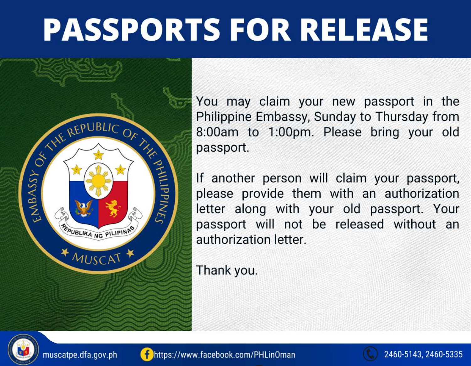## **PASSPORTS FOR RELEASE**



You may claim your new passport in the Philippine Embassy, Sunday to Thursday from 8:00am to 1:00pm. Please bring your old passport.

If another person will claim your passport, please provide them with an authorization letter along with your old passport. Your passport will not be released without an authorization letter.

Thank you.





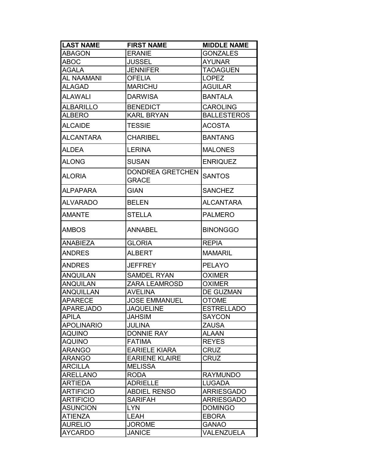| <b>LAST NAME</b>  | <b>FIRST NAME</b>                       | <b>MIDDLE NAME</b> |
|-------------------|-----------------------------------------|--------------------|
| <b>ABAGON</b>     | <b>ERANIE</b>                           | <b>GONZALES</b>    |
| <b>ABOC</b>       | <b>JUSSEL</b>                           | <b>AYUNAR</b>      |
| AGALA             | <b>JENNIFER</b>                         | <b>TAOAGUEN</b>    |
| <b>AL NAAMANI</b> | <b>OFELIA</b>                           | <b>LOPEZ</b>       |
| <b>ALAGAD</b>     | <b>MARICHU</b>                          | <b>AGUILAR</b>     |
| <b>ALAWALI</b>    | <b>DARWISA</b>                          | <b>BANTALA</b>     |
| <b>ALBARILLO</b>  | <b>BENEDICT</b>                         | <b>CAROLING</b>    |
| ALBERO            | <b>KARL BRYAN</b>                       | <b>BALLESTEROS</b> |
| <b>ALCAIDE</b>    | <b>TESSIE</b>                           | <b>ACOSTA</b>      |
| <b>ALCANTARA</b>  | <b>CHARIBEL</b>                         | <b>BANTANG</b>     |
| <b>ALDEA</b>      | <b>LERINA</b>                           | <b>MALONES</b>     |
| <b>ALONG</b>      | <b>SUSAN</b>                            | <b>ENRIQUEZ</b>    |
| <b>ALORIA</b>     | <b>DONDREA GRETCHEN</b><br><b>GRACE</b> | <b>SANTOS</b>      |
| ALPAPARA          | <b>GIAN</b>                             | <b>SANCHEZ</b>     |
| <b>ALVARADO</b>   | <b>BELEN</b>                            | <b>ALCANTARA</b>   |
| <b>AMANTE</b>     | <b>STELLA</b>                           | <b>PALMERO</b>     |
| AMBOS             | <b>ANNABEL</b>                          | <b>BINONGGO</b>    |
| <b>ANABIEZA</b>   | <b>GLORIA</b>                           | <b>REPIA</b>       |
| <b>ANDRES</b>     | <b>ALBERT</b>                           | <b>MAMARIL</b>     |
| <b>ANDRES</b>     | <b>JEFFREY</b>                          | <b>PELAYO</b>      |
| ANQUILAN          | <b>SAMDEL RYAN</b>                      | <b>OXIMER</b>      |
| <b>ANQUILAN</b>   | <b>ZARA LEAMROSD</b>                    | <b>OXIMER</b>      |
| <b>ANQUILLAN</b>  | <b>AVELINA</b>                          | <b>DE GUZMAN</b>   |
| APARECE           | <b>JOSE EMMANUEL</b>                    | <b>OTOME</b>       |
| <b>APAREJADO</b>  | JAQUELINE                               | <b>ESTRELLADO</b>  |
| <b>APILA</b>      | <b>JAHSIM</b>                           | <b>SAYCON</b>      |
| <b>APOLINARIO</b> | <b>JULINA</b>                           | <b>ZAUSA</b>       |
| <b>AQUINO</b>     | <b>DONNIE RAY</b>                       | <b>ALAAN</b>       |
| <b>AQUINO</b>     | <b>FATIMA</b>                           | <b>REYES</b>       |
| <b>ARANGO</b>     | <b>EARIELE KIARA</b>                    | <b>CRUZ</b>        |
| <b>ARANGO</b>     | <b>EARIENE KLAIRE</b>                   | <b>CRUZ</b>        |
| <b>ARCILLA</b>    | <b>MELISSA</b>                          |                    |
| <b>ARELLANO</b>   | <b>RODA</b>                             | <b>RAYMUNDO</b>    |
| <b>ARTIEDA</b>    | <b>ADRIELLE</b>                         | <b>LUGADA</b>      |
| <b>ARTIFICIO</b>  | <b>ABDIEL RENSO</b>                     | <b>ARRIESGADO</b>  |
| <b>ARTIFICIO</b>  | <b>SARIFAH</b>                          | <b>ARRIESGADO</b>  |
| <b>ASUNCION</b>   | <b>LYN</b>                              | <b>DOMINGO</b>     |
| <b>ATIENZA</b>    | LEAH                                    | <b>EBORA</b>       |
| <b>AURELIO</b>    | <b>JOROME</b>                           | <b>GANAO</b>       |
| <b>AYCARDO</b>    | <b>JANICE</b>                           | VALENZUELA         |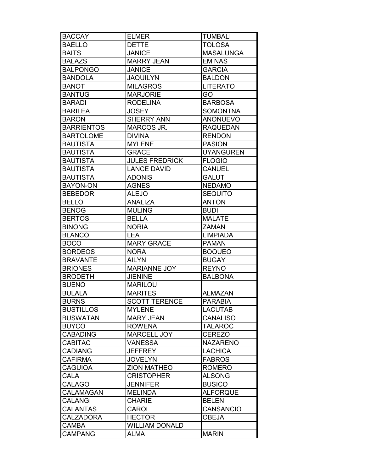| <b>BACCAY</b>     | <b>ELMER</b>          | <b>TUMBALI</b>   |
|-------------------|-----------------------|------------------|
| <b>BAELLO</b>     | <b>DETTE</b>          | <b>TOLOSA</b>    |
| <b>BAITS</b>      | <b>JANICE</b>         | <b>MASALUNGA</b> |
| <b>BALAZS</b>     | <b>MARRY JEAN</b>     | <b>EM NAS</b>    |
| <b>BALPONGO</b>   | <b>JANICE</b>         | <b>GARCIA</b>    |
| <b>BANDOLA</b>    | <b>JAQUILYN</b>       | <b>BALDON</b>    |
| <b>BANOT</b>      | <b>MILAGROS</b>       | <b>LITERATO</b>  |
| <b>BANTUG</b>     | <b>MARJORIE</b>       | GO               |
| <b>BARADI</b>     | <b>RODELINA</b>       | <b>BARBOSA</b>   |
| <b>BARILEA</b>    | <b>JOSEY</b>          | <b>SOMONTNA</b>  |
| <b>BARON</b>      | <b>SHERRY ANN</b>     | <b>ANONUEVO</b>  |
| <b>BARRIENTOS</b> | MARCOS JR.            | <b>RAQUEDAN</b>  |
| <b>BARTOLOME</b>  | <b>DIVINA</b>         | <b>RENDON</b>    |
| <b>BAUTISTA</b>   | <b>MYLENE</b>         | <b>PASION</b>    |
| <b>BAUTISTA</b>   | <b>GRACE</b>          | <b>UYANGUREN</b> |
| <b>BAUTISTA</b>   | <b>JULES FREDRICK</b> | <b>FLOGIO</b>    |
| <b>BAUTISTA</b>   | <b>LANCE DAVID</b>    | <b>CANUEL</b>    |
| <b>BAUTISTA</b>   | <b>ADONIS</b>         | <b>GALUT</b>     |
| <b>BAYON-ON</b>   | <b>AGNES</b>          | <b>NEDAMO</b>    |
| <b>BEBEDOR</b>    | <b>ALEJO</b>          | <b>SEQUITO</b>   |
| <b>BELLO</b>      | <b>ANALIZA</b>        | <b>ANTON</b>     |
| <b>BENOG</b>      | <b>MULING</b>         | <b>BUDI</b>      |
| <b>BERTOS</b>     | <b>BELLA</b>          | <b>MALATE</b>    |
| <b>BINONG</b>     | <b>NORIA</b>          | <b>ZAMAN</b>     |
| <b>BLANCO</b>     | <b>LEA</b>            | <b>LIMPIADA</b>  |
| <b>BOCO</b>       | <b>MARY GRACE</b>     | <b>PAMAN</b>     |
| <b>BORDEOS</b>    | <b>NORA</b>           | <b>BOQUEO</b>    |
| <b>BRAVANTE</b>   | <b>AILYN</b>          | <b>BUGAY</b>     |
| <b>BRIONES</b>    | <b>MARIANNE JOY</b>   | <b>REYNO</b>     |
| <b>BRODETH</b>    | <b>JIENINE</b>        | <b>BALBONA</b>   |
| <b>BUENO</b>      | <b>MARILOU</b>        |                  |
| <b>BULALA</b>     | <b>MARITES</b>        | <b>ALMAZAN</b>   |
| <b>BURNS</b>      | <b>SCOTT TERENCE</b>  | <b>PARABIA</b>   |
| <b>BUSTILLOS</b>  | <b>MYLENE</b>         | <b>LACUTAB</b>   |
| <b>BUSWATAN</b>   | <b>MARY JEAN</b>      | <b>CANALISO</b>  |
| <b>BUYCO</b>      | <b>ROWENA</b>         | <b>TALAROC</b>   |
| <b>CABADING</b>   | <b>MARCELL JOY</b>    | <b>CEREZO</b>    |
| <b>CABITAC</b>    | <b>VANESSA</b>        | <b>NAZARENO</b>  |
| <b>CADIANG</b>    | <b>JEFFREY</b>        | <b>LACHICA</b>   |
| <b>CAFIRMA</b>    | <b>JOVELYN</b>        | <b>FABROS</b>    |
| <b>CAGUIOA</b>    | <b>ZION MATHEO</b>    | <b>ROMERO</b>    |
| CALA              | <b>CRISTOPHER</b>     | <b>ALSONG</b>    |
| <b>CALAGO</b>     | <b>JENNIFER</b>       | <b>BUSICO</b>    |
| <b>CALAMAGAN</b>  | <b>MELINDA</b>        | <b>ALFORQUE</b>  |
| <b>CALANGI</b>    | <b>CHARIE</b>         | <b>BELEN</b>     |
| <b>CALANTAS</b>   | CAROL                 | <b>CANSANCIO</b> |
| <b>CALZADORA</b>  | <b>HECTOR</b>         | <b>OBEJA</b>     |
| <b>CAMBA</b>      | <b>WILLIAM DONALD</b> |                  |
| <b>CAMPANG</b>    | <b>ALMA</b>           | <b>MARIN</b>     |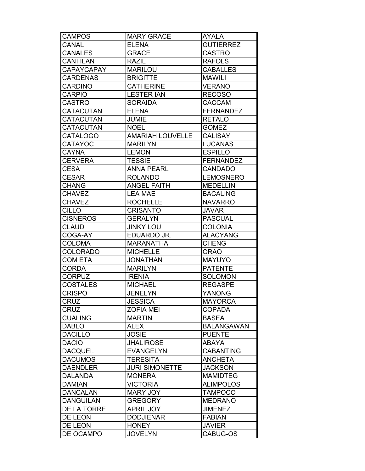| <b>CAMPOS</b>     | <b>MARY GRACE</b>       | <b>AYALA</b>      |
|-------------------|-------------------------|-------------------|
| <b>CANAL</b>      | <b>ELENA</b>            | <b>GUTIERREZ</b>  |
| <b>CANALES</b>    | <b>GRACE</b>            | <b>CASTRO</b>     |
| <b>CANTILAN</b>   | <b>RAZIL</b>            | <b>RAFOLS</b>     |
| <b>CAPAYCAPAY</b> | <b>MARILOU</b>          | <b>CABALLES</b>   |
| <b>CARDENAS</b>   | <b>BRIGITTE</b>         | <b>MAWILI</b>     |
| <b>CARDINO</b>    | <b>CATHERINE</b>        | <b>VERANO</b>     |
| <b>CARPIO</b>     | <b>LESTER IAN</b>       | <b>RECOSO</b>     |
| <b>CASTRO</b>     | <b>SORAIDA</b>          | <b>CACCAM</b>     |
| <b>CATACUTAN</b>  | <b>ELENA</b>            | <b>FERNANDEZ</b>  |
| <b>CATACUTAN</b>  | <b>JUMIE</b>            | <b>RETALO</b>     |
| <b>CATACUTAN</b>  | <b>NOEL</b>             | <b>GOMEZ</b>      |
| <b>CATALOGO</b>   | <b>AMARIAH LOUVELLE</b> | <b>CALISAY</b>    |
| <b>CATAYOC</b>    | <b>MARILYN</b>          | <b>LUCANAS</b>    |
| <b>CAYNA</b>      | <b>LEMON</b>            | <b>ESPILLO</b>    |
| <b>CERVERA</b>    | <b>TESSIE</b>           | <b>FERNANDEZ</b>  |
| <b>CESA</b>       | <b>ANNA PEARL</b>       | <b>CANDADO</b>    |
| <b>CESAR</b>      | <b>ROLANDO</b>          | <b>LEMOSNERO</b>  |
| <b>CHANG</b>      | <b>ANGEL FAITH</b>      | <b>MEDELLIN</b>   |
| <b>CHAVEZ</b>     | <b>LEA MAE</b>          | <b>BACALING</b>   |
| <b>CHAVEZ</b>     | <b>ROCHELLE</b>         | <b>NAVARRO</b>    |
| <b>CILLO</b>      | <b>CRISANTO</b>         | <b>JAVAR</b>      |
| <b>CISNEROS</b>   | <b>GERALYN</b>          | <b>PASCUAL</b>    |
| <b>CLAUD</b>      | <b>JINKY LOU</b>        | <b>COLONIA</b>    |
| COGA-AY           | EDUARDO JR.             | <b>ALACYANG</b>   |
| <b>COLOMA</b>     | <b>MARANATHA</b>        | <b>CHENG</b>      |
| <b>COLORADO</b>   | <b>MICHELLE</b>         | <b>ORAO</b>       |
| <b>COM ETA</b>    | <b>JONATHAN</b>         | <b>MAYUYO</b>     |
| <b>CORDA</b>      | <b>MARILYN</b>          | <b>PATENTE</b>    |
| <b>CORPUZ</b>     | <b>IRENIA</b>           | <b>SOLOMON</b>    |
| <b>COSTALES</b>   | <b>MICHAEL</b>          | <b>REGASPE</b>    |
| <b>CRISPO</b>     | <b>JENELYN</b>          | YANONG            |
| <b>CRUZ</b>       | <b>JESSICA</b>          | <b>MAYORCA</b>    |
| <b>CRUZ</b>       | <b>ZOFIA MEI</b>        | <b>COPADA</b>     |
| <b>CUALING</b>    | <b>MARTIN</b>           | <b>BASEA</b>      |
| <b>DABLO</b>      | <b>ALEX</b>             | <b>BALANGAWAN</b> |
| <b>DACILLO</b>    | <b>JOSIE</b>            | <b>PUENTE</b>     |
| <b>DACIO</b>      | <b>JHALIROSE</b>        | <b>ABAYA</b>      |
| <b>DACQUEL</b>    | <b>EVANGELYN</b>        | <b>CABANTING</b>  |
| <b>DACUMOS</b>    | <b>TERESITA</b>         | <b>ANCHETA</b>    |
| <b>DAENDLER</b>   | <b>JURI SIMONETTE</b>   | <b>JACKSON</b>    |
| <b>DALANDA</b>    | <b>MONERA</b>           | <b>MAMIDTEG</b>   |
| <b>DAMIAN</b>     | <b>VICTORIA</b>         | <b>ALIMPOLOS</b>  |
| <b>DANCALAN</b>   | <b>MARY JOY</b>         | <b>TAMPOCO</b>    |
| <b>DANGUILAN</b>  | <b>GREGORY</b>          | <b>MEDRANO</b>    |
| DE LA TORRE       | <b>APRIL JOY</b>        | <b>JIMENEZ</b>    |
| DE LEON           | <b>DODJIENAR</b>        | <b>FABIAN</b>     |
| DE LEON           | <b>HONEY</b>            | <b>JAVIER</b>     |
| DE OCAMPO         | <b>JOVELYN</b>          | CABUG-OS          |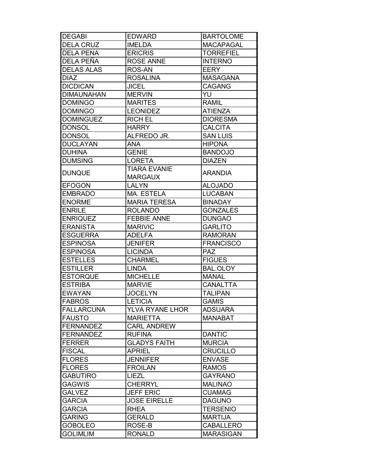| <b>DEGABI</b>     | <b>EDWARD</b>          | <b>BARTOLOME</b> |
|-------------------|------------------------|------------------|
| <b>DELA CRUZ</b>  | <b>IMELDA</b>          | <b>MACAPAGAL</b> |
| <b>DELA PENA</b>  | <b>ERICRIS</b>         | <b>TORREFIEL</b> |
| DELA PEÑA         | <b>ROSE ANNE</b>       | <b>INTERNO</b>   |
| <b>DELAS ALAS</b> | ROS-AN                 | <b>EERY</b>      |
| <b>DIAZ</b>       | <b>ROSALINA</b>        | <b>MASAGANA</b>  |
| <b>DICDICAN</b>   | <b>JICEL</b>           | <b>CAGANG</b>    |
| <b>DIMAUNAHAN</b> | <b>MERVIN</b>          | YU               |
| <b>DOMINGO</b>    | <b>MARITES</b>         | <b>RAMIL</b>     |
| <b>DOMINGO</b>    | <b>LEONIDEZ</b>        | <b>ATIENZA</b>   |
| <b>DOMINGUEZ</b>  | <b>RICH EL</b>         | <b>DIORESMA</b>  |
| <b>DONSOL</b>     | <b>HARRY</b>           | <b>CALCITA</b>   |
| <b>DONSOL</b>     | ALFREDO JR.            | <b>SAN LUIS</b>  |
| <b>DUCLAYAN</b>   | <b>ANA</b>             | <b>HIPONA</b>    |
| <b>DUHINA</b>     | <b>GENIE</b>           | <b>BANDOJO</b>   |
| <b>DUMSING</b>    | <b>LORETA</b>          | <b>DIAZEN</b>    |
|                   | <b>TIARA EVANIE</b>    |                  |
| <b>DUNQUE</b>     | <b>MARGAUX</b>         | <b>ARANDIA</b>   |
| <b>EFOGON</b>     | <b>LALYN</b>           | <b>ALOJADO</b>   |
| <b>EMBRADO</b>    | MA. ESTELA             | <b>LUCABAN</b>   |
| <b>ENORME</b>     | <b>MARIA TERESA</b>    | <b>BINADAY</b>   |
| <b>ENRILE</b>     | <b>ROLANDO</b>         | <b>GONZALES</b>  |
| <b>ENRIQUEZ</b>   | <b>FEBBIE ANNE</b>     | <b>DUNGAO</b>    |
| <b>ERANISTA</b>   | <b>MARIVIC</b>         | <b>GARLITO</b>   |
| <b>ESGUERRA</b>   | <b>ADELFA</b>          | <b>RAMORAN</b>   |
| <b>ESPINOSA</b>   | <b>JENIFER</b>         | <b>FRANCISCO</b> |
| <b>ESPINOSA</b>   | <b>LICINDA</b>         | <b>PAZ</b>       |
| <b>ESTELLES</b>   | <b>CHARMEL</b>         | <b>FIGUES</b>    |
| <b>ESTILLER</b>   | <b>LINDA</b>           | BAL.OLOY         |
| <b>ESTORQUE</b>   | <b>MICHELLE</b>        | <b>MANAL</b>     |
| <b>ESTRIBA</b>    | <b>MARVIE</b>          | <b>CANALTTA</b>  |
| <b>EWAYAN</b>     | <b>JOCELYN</b>         | <b>TALIPAN</b>   |
| <b>FABROS</b>     | <b>LETICIA</b>         | <b>GAMIS</b>     |
| <b>FALLARCUNA</b> | <b>YLVA RYANE LHOR</b> | <b>ADSUARA</b>   |
| <b>FAUSTO</b>     | <b>MARIETTA</b>        | <b>MANABAT</b>   |
| <b>FERNANDEZ</b>  | <b>CARL ANDREW</b>     |                  |
| <b>FERNANDEZ</b>  | <b>RUFINA</b>          | <b>DANTIC</b>    |
| <b>FERRER</b>     | <b>GLADYS FAITH</b>    | <b>MURCIA</b>    |
| <b>FISCAL</b>     | <b>APRIEL</b>          | <b>CRUCILLO</b>  |
| <b>FLORES</b>     | <b>JENNIFER</b>        | <b>ENVASE</b>    |
| <b>FLORES</b>     | <b>FROILAN</b>         | <b>RAMOS</b>     |
| <b>GABUTIRO</b>   | <b>LIEZL</b>           | <b>GAYRANO</b>   |
| <b>GAGWIS</b>     | <b>CHERRYL</b>         | <b>MALINAO</b>   |
| <b>GALVEZ</b>     | <b>JEFF ERIC</b>       | <b>CUAMAG</b>    |
| <b>GARCIA</b>     | <b>JOSE EIRELLE</b>    | <b>DAGUNO</b>    |
| <b>GARCIA</b>     | <b>RHEA</b>            | <b>TERSENIO</b>  |
| <b>GARING</b>     | <b>GERALD</b>          | <b>MARTIJA</b>   |
| <b>GOBOLEO</b>    | ROSE-B                 | <b>CABALLERO</b> |
| <b>GOLIMLIM</b>   | <b>RONALD</b>          | <b>MARASIGAN</b> |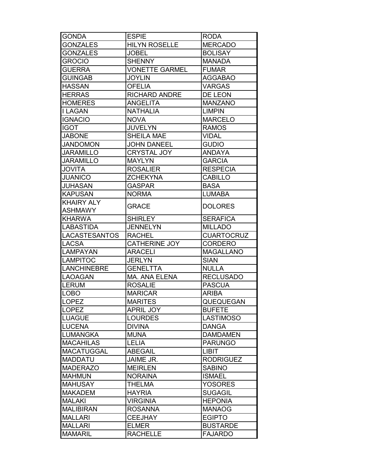| <b>GONDA</b>       | <b>ESPIE</b>          | <b>RODA</b>       |
|--------------------|-----------------------|-------------------|
| <b>GONZALES</b>    | <b>HILYN ROSELLE</b>  | <b>MERCADO</b>    |
| <b>GONZALES</b>    | <b>JOBEL</b>          | <b>BOLISAY</b>    |
| <b>GROCIO</b>      | <b>SHENNY</b>         | <b>MANADA</b>     |
| <b>GUERRA</b>      | <b>VONETTE GARMEL</b> | <b>FUMAR</b>      |
| <b>GUINGAB</b>     | <b>JOYLIN</b>         | <b>AGGABAO</b>    |
| <b>HASSAN</b>      | <b>OFELIA</b>         | <b>VARGAS</b>     |
| <b>HERRAS</b>      | <b>RICHARD ANDRE</b>  | DE LEON           |
| <b>HOMERES</b>     | <b>ANGELITA</b>       | <b>MANZANO</b>    |
| <b>I LAGAN</b>     | <b>NATHALIA</b>       | <b>LIMPIN</b>     |
| <b>IGNACIO</b>     | <b>NOVA</b>           | <b>MARCELO</b>    |
| <b>IGOT</b>        | <b>JUVELYN</b>        | <b>RAMOS</b>      |
| <b>JABONE</b>      | <b>SHEILA MAE</b>     | <b>VIDAL</b>      |
| <b>JANDOMON</b>    | <b>JOHN DANEEL</b>    | <b>GUDIO</b>      |
| JARAMILLO          | <b>CRYSTAL JOY</b>    | <b>ANDAYA</b>     |
| JARAMILLO          | <b>MAYLYN</b>         | <b>GARCIA</b>     |
| <b>ATIVOL</b>      | <b>ROSALIER</b>       | <b>RESPECIA</b>   |
| <b>JUANICO</b>     | <b>ZCHEKYNA</b>       | <b>CABILLO</b>    |
| JUHASAN            | <b>GASPAR</b>         | <b>BASA</b>       |
| <b>KAPUSAN</b>     | <b>NORMA</b>          | <b>LUMABA</b>     |
| <b>KHAIRY ALY</b>  |                       |                   |
| <b>ASHMAWY</b>     | <b>GRACE</b>          | <b>DOLORES</b>    |
| <b>KHARWA</b>      | <b>SHIRLEY</b>        | <b>SERAFICA</b>   |
| <b>LABASTIDA</b>   | <b>JENNELYN</b>       | <b>MILLADO</b>    |
| LACASTESANTOS      | <b>RACHEL</b>         | <b>CUARTOCRUZ</b> |
| <b>LACSA</b>       | <b>CATHERINE JOY</b>  | <b>CORDERO</b>    |
| <b>LAMPAYAN</b>    | <b>ARACELI</b>        | <b>MAGALLANO</b>  |
| <b>LAMPITOC</b>    | <b>JERLYN</b>         | <b>SIAN</b>       |
| <b>LANCHINEBRE</b> | <b>GENELTTA</b>       | <b>NULLA</b>      |
| <b>LAOAGAN</b>     | MA. ANA ELENA         | <b>RECLUSADO</b>  |
| <b>LERUM</b>       | <b>ROSALIE</b>        | <b>PASCUA</b>     |
| <b>LOBO</b>        | <b>MARICAR</b>        | ARIBA             |
| <b>LOPEZ</b>       | <b>MARITES</b>        | <b>QUEQUEGAN</b>  |
| <b>LOPEZ</b>       | <b>APRIL JOY</b>      | <b>BUFETE</b>     |
| <b>LUAGUE</b>      | <b>LOURDES</b>        | <b>LASTIMOSO</b>  |
| <b>LUCENA</b>      | <b>DIVINA</b>         | <b>DANGA</b>      |
| <b>LUMANGKA</b>    | <b>MUNA</b>           | <b>DAMDAMEN</b>   |
| <b>MACAHILAS</b>   | <b>LELIA</b>          | <b>PARUNGO</b>    |
| <b>MACATUGGAL</b>  | <b>ABEGAIL</b>        | <b>LIBIT</b>      |
| <b>MADDATU</b>     | JAIME JR.             | <b>RODRIGUEZ</b>  |
| <b>MADERAZO</b>    | <b>MEIRLEN</b>        | <b>SABINO</b>     |
| <b>MAHMUN</b>      | <b>NORAINA</b>        | <b>ISMAEL</b>     |
| <b>MAHUSAY</b>     | <b>THELMA</b>         | <b>YOSORES</b>    |
| <b>MAKADEM</b>     | <b>HAYRIA</b>         | <b>SUGAGIL</b>    |
| <b>MALAKI</b>      | <b>VIRGINIA</b>       | <b>HEPONIA</b>    |
| <b>MALIBIRAN</b>   | <b>ROSANNA</b>        | <b>MANAOG</b>     |
| <b>MALLARI</b>     | <b>CEEJHAY</b>        | <b>EGIPTO</b>     |
| <b>MALLARI</b>     | <b>ELMER</b>          | <b>BUSTARDE</b>   |
| <b>MAMARIL</b>     | <b>RACHELLE</b>       | <b>FAJARDO</b>    |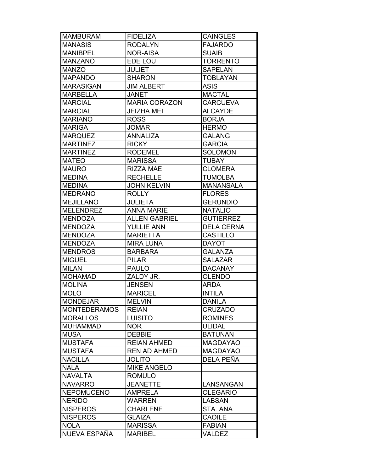| <b>MAMBURAM</b>     | <b>FIDELIZA</b>      | <b>CAINGLES</b>   |
|---------------------|----------------------|-------------------|
| <b>MANASIS</b>      | <b>RODALYN</b>       | <b>FAJARDO</b>    |
| <b>MANIBPEL</b>     | <b>NOR-AISA</b>      | <b>SUAIB</b>      |
| <b>MANZANO</b>      | EDE LOU              | <b>TORRENTO</b>   |
| <b>MANZO</b>        | <b>JULIET</b>        | <b>SAPELAN</b>    |
| <b>MAPANDO</b>      | <b>SHARON</b>        | <b>TOBLAYAN</b>   |
| <b>MARASIGAN</b>    | <b>JIM ALBERT</b>    | <b>ASIS</b>       |
| <b>MARBELLA</b>     | <b>JANET</b>         | <b>MACTAL</b>     |
| <b>MARCIAL</b>      | <b>MARIA CORAZON</b> | <b>CARCUEVA</b>   |
| <b>MARCIAL</b>      | <b>JEIZHA MEI</b>    | <b>ALCAYDE</b>    |
| <b>MARIANO</b>      | <b>ROSS</b>          | <b>BORJA</b>      |
| <b>MARIGA</b>       | <b>JOMAR</b>         | <b>HERMO</b>      |
| <b>MARQUEZ</b>      | <b>ANNALIZA</b>      | <b>GALANG</b>     |
| <b>MARTINEZ</b>     | <b>RICKY</b>         | <b>GARCIA</b>     |
| <b>MARTINEZ</b>     | <b>RODEMEL</b>       | <b>SOLOMON</b>    |
| <b>MATEO</b>        | <b>MARISSA</b>       | <b>TUBAY</b>      |
| <b>MAURO</b>        | <b>RIZZA MAE</b>     | <b>CLOMERA</b>    |
| <b>MEDINA</b>       | <b>RECHELLE</b>      | <b>TUMOLBA</b>    |
| <b>MEDINA</b>       | <b>JOHN KELVIN</b>   | <b>MANANSALA</b>  |
| <b>MEDRANO</b>      | <b>ROLLY</b>         | <b>FLORES</b>     |
| <b>MEJILLANO</b>    | <b>JULIETA</b>       | <b>GERUNDIO</b>   |
| <b>MELENDREZ</b>    | <b>ANNA MARIE</b>    | <b>NATALIO</b>    |
| <b>MENDOZA</b>      | <b>ALLEN GABRIEL</b> | <b>GUTIERREZ</b>  |
| <b>MENDOZA</b>      | <b>YULLIE ANN</b>    | <b>DELA CERNA</b> |
| <b>MENDOZA</b>      | <b>MARIETTA</b>      | <b>CASTILLO</b>   |
| <b>MENDOZA</b>      | <b>MIRA LUNA</b>     | <b>DAYOT</b>      |
| <b>MENDROS</b>      | <b>BARBARA</b>       | <b>GALANZA</b>    |
| <b>MIGUEL</b>       | <b>PILAR</b>         | <b>SALAZAR</b>    |
| <b>MILAN</b>        | <b>PAULO</b>         | <b>DACANAY</b>    |
| <b>MOHAMAD</b>      | ZALDY JR.            | <b>OLENDO</b>     |
| <b>MOLINA</b>       | <b>JENSEN</b>        | <b>ARDA</b>       |
| <b>MOLO</b>         | <b>MARICEL</b>       | <b>INTILA</b>     |
| <b>MONDEJAR</b>     | <b>MELVIN</b>        | <b>DANILA</b>     |
| <b>MONTEDERAMOS</b> | <b>REIAN</b>         | <b>CRUZADO</b>    |
| <b>MORALLOS</b>     | <b>LUISITO</b>       | <b>ROMINES</b>    |
| <b>MUHAMMAD</b>     | <b>NOR</b>           | <b>ULIDAL</b>     |
| <b>MUSA</b>         | <b>DEBBIE</b>        | <b>BATUNAN</b>    |
| <b>MUSTAFA</b>      | <b>REIAN AHMED</b>   | <b>MAGDAYAO</b>   |
| <b>MUSTAFA</b>      | <b>REN AD AHMED</b>  | <b>MAGDAYAO</b>   |
| <b>NACILLA</b>      | <b>JOLITO</b>        | DELA PEÑA         |
| <b>NALA</b>         | <b>MIKE ANGELO</b>   |                   |
| <b>NAVALTA</b>      | <b>ROMULO</b>        |                   |
| <b>NAVARRO</b>      | <b>JEANETTE</b>      | LANSANGAN         |
| <b>NEPOMUCENO</b>   | <b>AMPRELA</b>       | <b>OLEGARIO</b>   |
| <b>NERIDO</b>       | <b>WARREN</b>        | <b>LABSAN</b>     |
| <b>NISPEROS</b>     | <b>CHARLENE</b>      | STA. ANA          |
| <b>NISPEROS</b>     | <b>GLAIZA</b>        | <b>CAOILE</b>     |
| <b>NOLA</b>         | <b>MARISSA</b>       | <b>FABIAN</b>     |
| NUEVA ESPAÑA        | <b>MARIBEL</b>       | <b>VALDEZ</b>     |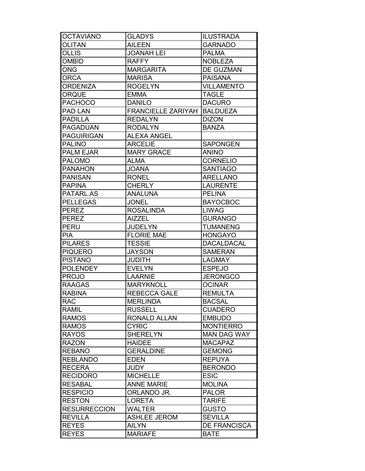| <b>OCTAVIANO</b>    | <b>GLADYS</b>             | <b>ILUSTRADA</b>    |
|---------------------|---------------------------|---------------------|
| <b>OLITAN</b>       | <b>AILEEN</b>             | <b>GARNADO</b>      |
| <b>OLLIS</b>        | <b>JOANAH LEI</b>         | <b>PALMA</b>        |
| <b>OMBID</b>        | <b>RAFFY</b>              | <b>NOBLEZA</b>      |
| <b>ONG</b>          | <b>MARGARITA</b>          | <b>DE GUZMAN</b>    |
| <b>ORCA</b>         | <b>MARISA</b>             | <b>PAISANA</b>      |
| <b>ORDENIZA</b>     | <b>ROGELYN</b>            | <b>VILLAMENTO</b>   |
| <b>ORQUE</b>        | <b>EMMA</b>               | <b>TAGLE</b>        |
| <b>PACHOCO</b>      | <b>DANILO</b>             | <b>DACURO</b>       |
| <b>PAD LAN</b>      | <b>FRANCIELLE ZARIYAH</b> | <b>BALDUEZA</b>     |
| <b>PADILLA</b>      | <b>REDALYN</b>            | <b>DIZON</b>        |
| PAGADUAN            | <b>RODALYN</b>            | <b>BANZA</b>        |
| <b>PAGUIRIGAN</b>   | <b>ALEXA ANGEL</b>        |                     |
| <b>PALINO</b>       | <b>ARCELIE</b>            | <b>SAPONGEN</b>     |
| <b>PALM EJAR</b>    | <b>MARY GRACE</b>         | <b>ANINO</b>        |
| <b>PALOMO</b>       | <b>ALMA</b>               | <b>CORNELIO</b>     |
| <b>PANAHON</b>      | <b>JOANA</b>              | <b>SANTIAGO</b>     |
| <b>PANISAN</b>      | <b>RONEL</b>              | <b>ARELLANO</b>     |
| <b>PAPINA</b>       | <b>CHERLY</b>             | <b>LAURENTE</b>     |
| PATARL.AS           | <b>ANALUNA</b>            | <b>PELINA</b>       |
| <b>PELLEGAS</b>     | <b>JONEL</b>              | <b>BAYOCBOC</b>     |
| <b>PEREZ</b>        | <b>ROSALINDA</b>          | <b>LIWAG</b>        |
| <b>PEREZ</b>        | <b>AIZZEL</b>             | <b>GURANGO</b>      |
| <b>PERU</b>         | <b>JUDELYN</b>            | <b>TUMANENG</b>     |
| <b>PIA</b>          | <b>FLORIE MAE</b>         | <b>HONGAYO</b>      |
| <b>PILARES</b>      | <b>TESSIE</b>             | <b>DACALDACAL</b>   |
| <b>PIQUERO</b>      | <b>JAYSON</b>             | <b>SAMERAN</b>      |
| <b>PISTANO</b>      | JUDITH                    | <b>LAGMAY</b>       |
| <b>POLENDEY</b>     | <b>EVELYN</b>             | <b>ESPEJO</b>       |
| <b>PROJO</b>        | <b>LAARNIE</b>            | <b>JERONGCO</b>     |
| <b>RAAGAS</b>       | <b>MARYKNOLL</b>          | <b>OCINAR</b>       |
| <b>RABINA</b>       | <b>REBECCA GALE</b>       | <b>REMULTA</b>      |
| <b>RAC</b>          | <b>MERLINDA</b>           | <b>BACSAL</b>       |
| <b>RAMIL</b>        | <b>RUSSELL</b>            | <b>CUADERO</b>      |
| <b>RAMOS</b>        | <b>RONALD ALLAN</b>       | <b>EMBUDO</b>       |
| <b>RAMOS</b>        | <b>CYRIC</b>              | <b>MONTIERRO</b>    |
| <b>RAYOS</b>        | <b>SHERELYN</b>           | <b>MAN DAG WAY</b>  |
| <b>RAZON</b>        | <b>HAIDEE</b>             | <b>MACAPAZ</b>      |
| <b>REBANO</b>       | <b>GERALDINE</b>          | <b>GEMONG</b>       |
| <b>REBLANDO</b>     | <b>EDEN</b>               | <b>REPUYA</b>       |
| <b>RECERA</b>       | <b>JUDY</b>               | <b>BERONDO</b>      |
| <b>RECIDORO</b>     | <b>MICHELLE</b>           | <b>ESIC</b>         |
| <b>RESABAL</b>      | <b>ANNE MARIE</b>         | <b>MOLINA</b>       |
| <b>RESPICIO</b>     | ORLANDO JR.               | <b>PALOR</b>        |
| <b>RESTON</b>       | <b>LORETA</b>             | <b>TARIFE</b>       |
| <b>RESURRECCION</b> | <b>WALTER</b>             | <b>GUSTO</b>        |
| <b>REVILLA</b>      | <b>ASHLEE JEROM</b>       | <b>SEVILLA</b>      |
| <b>REYES</b>        | <b>AILYN</b>              | <b>DE FRANCISCA</b> |
| <b>REYES</b>        | <b>MARIAFE</b>            | <b>BATE</b>         |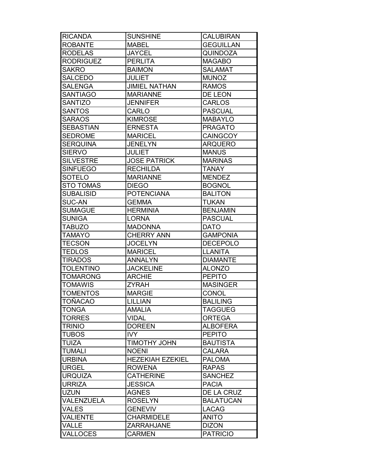| <b>RICANDA</b>   | <b>SUNSHINE</b>         | <b>CALUBIRAN</b> |
|------------------|-------------------------|------------------|
| <b>ROBANTE</b>   | <b>MABEL</b>            | <b>GEGUILLAN</b> |
| <b>RODELAS</b>   | <b>JAYCEL</b>           | <b>QUINDOZA</b>  |
| <b>RODRIGUEZ</b> | <b>PERLITA</b>          | <b>MAGABO</b>    |
| SAKRO            | <b>BAIMON</b>           | <b>SALAMAT</b>   |
| <b>SALCEDO</b>   | JULIET                  | <b>MUNOZ</b>     |
| <b>SALENGA</b>   | <b>JIMIEL NATHAN</b>    | <b>RAMOS</b>     |
| <b>SANTIAGO</b>  | <b>MARIANNE</b>         | DE LEON          |
| <b>SANTIZO</b>   | <b>JENNIFER</b>         | <b>CARLOS</b>    |
| <b>SANTOS</b>    | <b>CARLO</b>            | <b>PASCUAL</b>   |
| <b>SARAOS</b>    | <b>KIMROSE</b>          | <b>MABAYLO</b>   |
| <b>SEBASTIAN</b> | <b>ERNESTA</b>          | <b>PRAGATO</b>   |
| <b>SEDROME</b>   | <b>MARICEL</b>          | <b>CAINGCOY</b>  |
| <b>SERQUINA</b>  | <b>JENELYN</b>          | <b>ARQUERO</b>   |
| <b>SIERVO</b>    | <b>JULIET</b>           | <b>MANUS</b>     |
| <b>SILVESTRE</b> | <b>JOSE PATRICK</b>     | <b>MARINAS</b>   |
| <b>SINFUEGO</b>  | <b>RECHILDA</b>         | <b>TANAY</b>     |
| <b>SOTELO</b>    | <b>MARIANNE</b>         | <b>MENDEZ</b>    |
| <b>STO TOMAS</b> | <b>DIEGO</b>            | <b>BOGNOL</b>    |
| <b>SUBALISID</b> | <b>POTENCIANA</b>       | <b>BALITON</b>   |
| <b>SUC-AN</b>    | <b>GEMMA</b>            | <b>TUKAN</b>     |
| <b>SUMAGUE</b>   | <b>HERMINIA</b>         | <b>BENJAMIN</b>  |
| <b>SUNIGA</b>    | <b>LORNA</b>            | <b>PASCUAL</b>   |
| <b>TABUZO</b>    | <b>MADONNA</b>          | <b>DATO</b>      |
| <b>TAMAYO</b>    | <b>CHERRY ANN</b>       | <b>GAMPONIA</b>  |
| <b>TECSON</b>    | <b>JOCELYN</b>          | <b>DECEPOLO</b>  |
| <b>TEDLOS</b>    | <b>MARICEL</b>          | <b>LLANITA</b>   |
| <b>TIRADOS</b>   | <b>ANNALYN</b>          | <b>DIAMANTE</b>  |
| <b>TOLENTINO</b> | <b>JACKELINE</b>        | <b>ALONZO</b>    |
| <b>TOMARONG</b>  | <b>ARCHIE</b>           | <b>PEPITO</b>    |
| <b>TOMAWIS</b>   | <b>ZYRAH</b>            | <b>MASINGER</b>  |
| <b>TOMENTOS</b>  | <b>MARGIE</b>           | <b>CONOL</b>     |
| <b>TOÑACAO</b>   | <b>LILLIAN</b>          | <b>BALILING</b>  |
| <b>TONGA</b>     | <b>AMALIA</b>           | <b>TAGGUEG</b>   |
| <b>TORRES</b>    | <b>VIDAL</b>            | <b>ORTEGA</b>    |
| <b>TRINIO</b>    | <b>DOREEN</b>           | <b>ALBOFERA</b>  |
| <b>TUBOS</b>     | <b>IVY</b>              | <b>PEPITO</b>    |
| <b>TUIZA</b>     | <b>TIMOTHY JOHN</b>     | <b>BAUTISTA</b>  |
| <b>TUMALI</b>    | <b>NOENI</b>            | <b>CALARA</b>    |
| <b>URBINA</b>    | <b>HEZEKIAH EZEKIEL</b> | <b>PALOMA</b>    |
| <b>URGEL</b>     | <b>ROWENA</b>           | <b>RAPAS</b>     |
| <b>URQUIZA</b>   | <b>CATHERINE</b>        | <b>SANCHEZ</b>   |
| <b>URRIZA</b>    | <b>JESSICA</b>          | <b>PACIA</b>     |
| <b>UZUN</b>      | <b>AGNES</b>            | DE LA CRUZ       |
| VALENZUELA       | <b>ROSELYN</b>          | <b>BALATUCAN</b> |
| <b>VALES</b>     | <b>GENEVIV</b>          | <b>LACAG</b>     |
| <b>VALIENTE</b>  | <b>CHARMIDELE</b>       | <b>ANITO</b>     |
| <b>VALLE</b>     | <b>ZARRAHJANE</b>       | <b>DIZON</b>     |
| <b>VALLOCES</b>  | <b>CARMEN</b>           | <b>PATRICIO</b>  |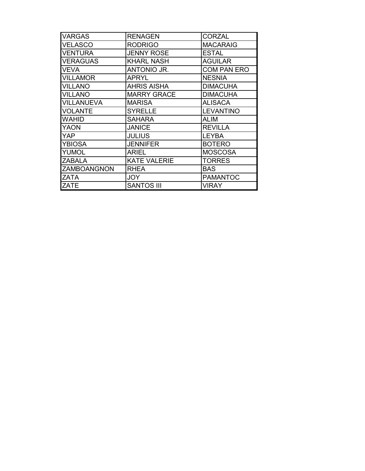| <b>VARGAS</b>     | <b>RENAGEN</b>      | <b>CORZAL</b>      |
|-------------------|---------------------|--------------------|
| <b>VELASCO</b>    | <b>RODRIGO</b>      | <b>MACARAIG</b>    |
| <b>VENTURA</b>    | <b>JENNY ROSE</b>   | <b>ESTAL</b>       |
| <b>VERAGUAS</b>   | <b>KHARL NASH</b>   | <b>AGUILAR</b>     |
| <b>VEVA</b>       | ANTONIO JR.         | <b>COM PAN ERO</b> |
| <b>VILLAMOR</b>   | <b>APRYL</b>        | <b>NESNIA</b>      |
| <b>VILLANO</b>    | <b>AHRIS AISHA</b>  | <b>DIMACUHA</b>    |
| <b>VILLANO</b>    | <b>MARRY GRACE</b>  | <b>DIMACUHA</b>    |
| <b>VILLANUEVA</b> | <b>MARISA</b>       | <b>ALISACA</b>     |
| <b>VOLANTE</b>    | <b>SYRELLE</b>      | <b>LEVANTINO</b>   |
| <b>WAHID</b>      | <b>SAHARA</b>       | <b>ALIM</b>        |
| <b>YAON</b>       | <b>JANICE</b>       | <b>REVILLA</b>     |
| <b>YAP</b>        | <b>JULIUS</b>       | <b>LEYBA</b>       |
| <b>YBIOSA</b>     | <b>JENNIFER</b>     | <b>BOTERO</b>      |
| <b>YUMOL</b>      | <b>ARIEL</b>        | <b>MOSCOSA</b>     |
| <b>ZABALA</b>     | <b>KATE VALERIE</b> | <b>TORRES</b>      |
| ZAMBOANGNON       | RHEA                | BAS.               |
| ZATA              | <b>JOY</b>          | <b>PAMANTOC</b>    |
| <b>ZATE</b>       | <b>SANTOS III</b>   | <b>VIRAY</b>       |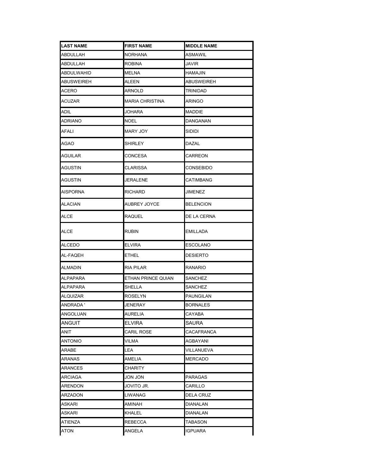| <b>LAST NAME</b>  | <b>FIRST NAME</b>  | <b>MIDDLE NAME</b> |
|-------------------|--------------------|--------------------|
| ABDULLAH          | NORHANA            | ASMAWIL            |
| ABDULLAH          | <b>ROBINA</b>      | JAVIR              |
| ABDULWAHID        | <b>MELNA</b>       | HAMAJIN            |
| <b>ABUSWEIREH</b> | ALEEN              | ABUSWEIREH         |
| ACERO             | ARNOLD             | TRINIDAD           |
| <b>ACUZAR</b>     | MARIA CHRISTINA    | ARINGO             |
| ADIL              | JOHARA             | MADDIE             |
| ADRIANO           | NOEL               | DANGANAN           |
| AFALI             | MARY JOY           | SIDIDI             |
| <b>AGAO</b>       | SHIRLEY            | DAZAL              |
| AGUILAR           | CONCESA            | CARREON            |
| <b>AGUSTIN</b>    | CLARISSA           | CONSEBIDO          |
| AGUSTIN           | JERALENE           | CATIMBANG          |
| AISPORNA          | RICHARD            | JIMENEZ            |
| ALACIAN           | AUBREY JOYCE       | <b>BELENCION</b>   |
| ALCE              | RAQUEL             | DE LA CERNA        |
| ALCE              | RUBIN              | EMILLADA           |
| ALCEDO            | ELVIRA             | ESCOLANO           |
| AL-FAQEH          | ETHEL              | DESIERTO           |
| ALMADIN           | <b>RIA PILAR</b>   | RANARIO            |
| <b>ALPAPARA</b>   | ETHAN PRINCE QUIAN | SANCHEZ            |
| ALPAPARA          | SHELLA             | SANCHEZ            |
| ALQUIZAR          | ROSELYN            | <b>PAUNGILAN</b>   |
| <b>ANDRADA'</b>   | <b>JENERAY</b>     | <b>BORNALES</b>    |
| ANGOLUAN          | AURELIA            | CAYABA             |
| ANGUIT            | <b>ELVIRA</b>      | SAURA              |
| ANIT              | CARIL ROSE         | CACAFRANCA         |
| ANTONIO           | VILMA              | AGBAYANI           |
| ARABE             | LEA                | VILLANUEVA         |
| ARANAS            | AMELIA             | <b>MERCADO</b>     |
| ARANCES           | CHARITY            |                    |
| ARCIAGA           | JON JON            | PARAGAS            |
| ARENDON           | JOVITO JR.         | CARILLO            |
| ARZADON           | LIWANAG            | DELA CRUZ          |
| ASKARI            | AMINAH             | DIANALAN           |
| ASKARI            | KHALEL             | DIANALAN           |
| ATIENZA           | REBECCA            | TABASON            |
| ATON              | ANGELA             | <b>IGPUARA</b>     |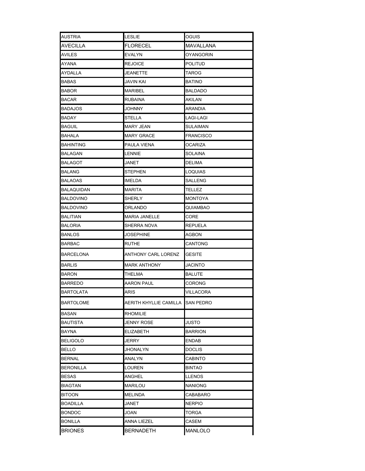| AUSTRIA          | <b>LESLIE</b>                    | OGUIS            |
|------------------|----------------------------------|------------------|
| AVECILLA         | <b>FLORECEL</b>                  | MAVALLANA        |
| AVILES           | EVALYN                           | OYANGORIN        |
| AYANA            | <b>REJOICE</b>                   | <b>POLITUD</b>   |
| AYDALLA          | JEANETTE                         | TAROG            |
| BABAS            | JAVIN KAI                        | <b>BATINO</b>    |
| BABOR            | <b>MARIBEL</b>                   | <b>BALDADO</b>   |
| BACAR            | RUBAINA                          | AKILAN           |
| <b>BADAJOS</b>   | JOHNNY                           | ARANDIA          |
| BADAY            | STELLA                           | LAGI-LAGI        |
| Baguil           | <b>MARY JEAN</b>                 | SULAIMAN         |
| BAHALA           | MARY GRACE                       | <b>FRANCISCO</b> |
| BAHINTING        | PAULA VIENA                      | OCARIZA          |
| BALAGAN          | LENNIE                           | SOLAINA          |
| BALAGOT          | JANET                            | DELIMA           |
| BALANG           | STEPHEN                          | LOQUIAS          |
| BALAOAS          | <b>IMELDA</b>                    | SALLENG          |
| BALAQUIDAN       | MARITA                           | TELLEZ           |
| BALDOVINO        | SHERLY                           | <b>MONTOYA</b>   |
| BALDOVINO        | ORLANDO                          | QUIAMBAO         |
| BALITIAN         | <b>MARIA JANELLE</b>             | CORE             |
| BALORIA          | SHERRA NOVA                      | <b>REPUELA</b>   |
| BANLOS           | JOSEPHINE                        | AGBON            |
| BARBAC           | RUTHE                            | CANTONG          |
| BARCELONA        | ANTHONY CARL LORENZ              | GESITE           |
| BARLIS           | <b>MARK ANTHONY</b>              | JACINTO          |
| BARON            | THELMA                           | <b>BALUTE</b>    |
| BARREDO          | AARON PAUL                       | CORONG           |
| <b>BARTOLATA</b> | <b>ARIS</b>                      | VILLACORA        |
| BARTOLOME        | AERITH KHYLLIE CAMILLA SAN PEDRO |                  |
| BASAN            | RHOMILIE                         |                  |
| BAUTISTA         | <b>JENNY ROSE</b>                | JUSTO            |
| BAYNA            | ELIZABETH                        | <b>BARRION</b>   |
| <b>BELIGOLO</b>  | JERRY                            | <b>ENDAB</b>     |
| BELLO            | JHONALYN                         | <b>DOCLIS</b>    |
| <b>BERNAL</b>    | ANALYN                           | CABINTO          |
| BERONILLA        | LOUREN                           | <b>BINTAO</b>    |
| BESAS            | ANGHEL                           | LLENOS           |
| BIAGTAN          | MARILOU                          | NANIONG          |
| <b>BITOON</b>    | <b>MELINDA</b>                   | CABABARO         |
| BOADILLA         | JANET                            | <b>NERPIO</b>    |
| <b>BONDOC</b>    | JOAN                             | TORGA            |
| BONILLA          | ANNA LIEZEL                      | CASEM            |
| <b>BRIONES</b>   | <b>BERNADETH</b>                 | MANLOLO          |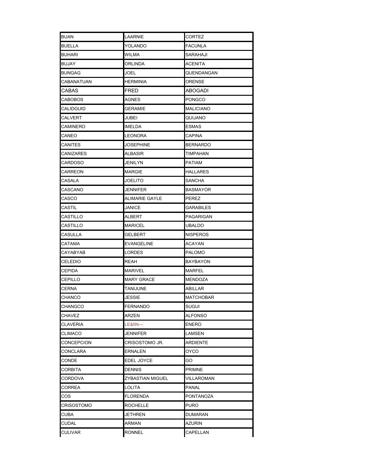| BUAN             | LAARNIE           | CORTEZ           |
|------------------|-------------------|------------------|
| BUELLA           | YOLANDO           | <b>FACUNLA</b>   |
| BUHARI           | WILMA             | SARAHAJI         |
| BUJAY            | ORLINDA           | ACENITA          |
| <b>BUNGAG</b>    | JOEL              | QUENDANGAN       |
| CABANATUAN       | <b>HERMINIA</b>   | ORENSE           |
| CABAS            | FRED              | <b>ABOGADI</b>   |
| CABOBOS          | AGNES             | <b>PONGCO</b>    |
| CALIDGUID        | GERAMIE           | <b>MALICIANO</b> |
| CALVERT          | JUBEI             | QUIJANO          |
| CAMINERO         | IMELDA            | <b>ESMAS</b>     |
| CANEO            | LEONORA           | <b>CAPINA</b>    |
| CANITES          | JOSEPHINE         | <b>BERNARDO</b>  |
| <b>CANIZARES</b> | ALBASIR           | <b>TIMPAHAN</b>  |
| CARDOSO          | JENILYN           | <b>PATIAM</b>    |
| <b>CARREON</b>   | MARGIE            | HALLARES         |
| CASALA           | JOELITO           | <b>SANCHA</b>    |
| CASCANO          | JENNIFER          | <b>BASMAYOR</b>  |
| CASCO            | ALIMARIE GAYLE    | PEREZ            |
| CASTIL           | JANICE            | GARABILES        |
| CASTILLO         | ALBERT            | PAGARIGAN        |
| CASTILLO         | MARICEL           | <b>UBALDO</b>    |
| CASULLA          | GELBERT           | <b>NISPEROS</b>  |
| CATAMA           | EVANGELINE        | ACAYAN           |
| CAYABYAB         | LORDES            | PALOMO           |
| CELEDIO          | REAH              | <b>BAYBAYON</b>  |
| <b>CEPIDA</b>    | MARIVEL           | MARFEL           |
| CEPILLO          | <b>MARY GRACE</b> | MENDOZA          |
| CERNA            | TANIJUNE          | ABILLAR          |
| CHANCO           | <b>IFSSIF</b>     | <b>MATCHOBAR</b> |
| CHANGCO          | FERNANDO          | SUGUI            |
| CHAVEZ           | ARZEN             | ALFONSO          |
| CLAVERIA         | LE&fiN—           | <b>ENERO</b>     |
| <b>CLIMACO</b>   | JENNIFER          | LAMSEN           |
| CONCEPCION       | CRISOSTOMO JR.    | ARDIENTE         |
| CONCLARA         | <b>ERNALEN</b>    | <b>OYCO</b>      |
| CONDE            | EDEL JOYCE        | GO               |
| CORBITA          | DENNIS            | <b>PRIMNE</b>    |
| CORDOVA          | ZYBASTIAN MIGUEL  | VILLAROMAN       |
| CORREA           | LOLITA            | PANAL            |
| cos              | FLORENDA          | PONTANOZA        |
| CRISOSTOMO       | ROCHELLE          | PURO             |
| CUBA             | JETHREN           | DUMARAN          |
| <b>CUDAL</b>     | ARMAN             | AZURIN           |
| <b>CULIVAR</b>   | RONNEL            | CAPELLAN         |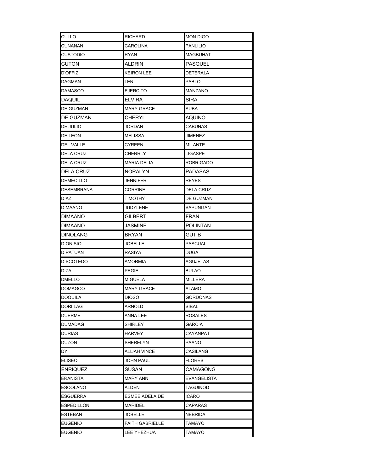| CULLO             | RICHARD                | <b>MON DIGO</b>  |  |
|-------------------|------------------------|------------------|--|
| CUNANAN           | CAROLINA               | <b>PANLILIO</b>  |  |
| CUSTODIO          | RYAN                   | MAGBUHAT         |  |
| CUTON             | ALDRIN                 | PASQUEL          |  |
| D'OFFIZI          | KEIRON LEE             | DETERALA         |  |
| DAGMAN            | LENI                   | PABLO            |  |
| DAMASCO           | EJERCITO               | MANZANO          |  |
| DAQUIL            | ELVIRA                 | SIRA             |  |
| DE GUZMAN         | MARY GRACE             | <b>SUBA</b>      |  |
| DE GUZMAN         | CHERYL                 | <b>AQUINO</b>    |  |
| DE JULIO          | JORDAN                 | CABUNAS          |  |
| DE LEON           | MELISSA                | JIMENEZ          |  |
| DEL VALLE         | CYREEN                 | MILANTE          |  |
| <b>DELA CRUZ</b>  | CHERRLY                | LIGASPE          |  |
| DELA CRUZ         | MARIA DELIA            | <b>ROBRIGADO</b> |  |
| DELA CRUZ         | NORALYN                | <b>PADASAS</b>   |  |
| <b>DEMECILLO</b>  | JENNIFER               | <b>REYES</b>     |  |
| <b>DESEMBRANA</b> | CORRINE                | <b>DELA CRUZ</b> |  |
| <b>DIAZ</b>       | TIMOTHY                | DE GUZMAN        |  |
| DIMAANO           | JUDYLENE               | SAPUNGAN         |  |
| DIMAANO           | GILBERT                | FRAN             |  |
| DIMAANO           | JASMINE                | <b>POLINTAN</b>  |  |
| DINOLANG          | BRYAN                  | <b>GUTIB</b>     |  |
| DIONISIO          | JOBELLE                | PASCUAL          |  |
| DIPATUAN          | RASIYA                 | DUGA             |  |
| DISCOTEDO         | AMORMIA                | AGUJETAS         |  |
| DIZA              | PEGIE                  | <b>BULAO</b>     |  |
| DMELLO            | MIGUELA                | <b>MILLERA</b>   |  |
| DOMAGCO           | <b>MARY GRACE</b>      | <b>ALAMO</b>     |  |
| DOQUILA           | <b>DIOSO</b>           | <b>GORDONAS</b>  |  |
| DORI LAG          | ARNOLD                 | SIBAL            |  |
| DUERME            | ANNA LEE               | <b>ROSALES</b>   |  |
| DUMADAG           | SHIRLEY                | GARCIA           |  |
| DURIAS            | HARVEY                 | CAYANPAT         |  |
| DUZON             | SHERELYN               | PAANO            |  |
| DY                | <b>ALIJAH VINCE</b>    | CASILANG         |  |
| ELISEO            | JOHN PAUL              | FLORES           |  |
| <b>ENRIQUEZ</b>   | SUSAN                  | CAMAGONG         |  |
| ERANISTA          | MARY ANN               | EVANGELISTA      |  |
| ESCOLANO          | ALDEN                  | TAGUINOD         |  |
| ESGUERRA          | ESMEE ADELAIDE         | ICARO            |  |
| ESPEDILLON        | MARIDEL                | CAPARAS          |  |
| ESTEBAN           | JOBELLE                | NEBRIDA          |  |
| EUGENIO           | <b>FAITH GABRIELLE</b> | TAMAYO           |  |
| EUGENIO           | <b>LEE YHEZHUA</b>     | TAMAYO           |  |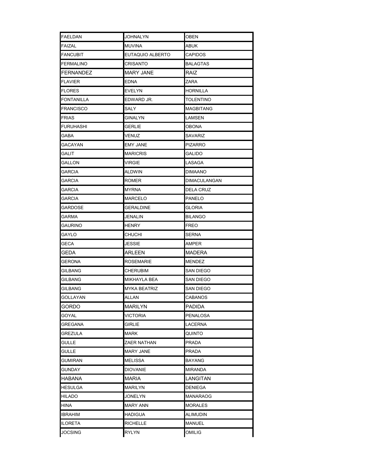| FAELDAN          | JOHNALYN         | OBEN                |
|------------------|------------------|---------------------|
| FAIZAL           | MUVINA           | ABUK                |
| <b>FANCUBIT</b>  | EUTAQUIO ALBERTO | <b>CAPIDOS</b>      |
| FERMALINO        | CRISANTO         | <b>BALAGTAS</b>     |
| FERNANDEZ        | MARY JANE        | RAIZ                |
| FLAVIER          | EDNA             | ZARA                |
| <b>FLORES</b>    | EVELYN           | HORNILLA            |
| FONTANILLA       | EDWARD JR.       | <b>TOLENTINO</b>    |
| <b>FRANCISCO</b> | SALY             | <b>MAGBITANG</b>    |
| FRIAS            | GINALYN          | LAMSEN              |
| FURUHASHI        | GERLIE           | OBONA               |
| GABA             | VENUZ            | SAVARIZ             |
| GACAYAN          | EMY JANE         | <b>PIZARRO</b>      |
| GALIT            | MARICRIS         | <b>GALIDO</b>       |
| GALLON           | VIRGIE           | LASAGA              |
| GARCIA           | ALDWIN           | DIMAANO             |
| GARCIA           | ROMER            | <b>DIMACULANGAN</b> |
| GARCIA           | MYRNA            | <b>DELA CRUZ</b>    |
| GARCIA           | MARCELO          | PANELO              |
| GARDOSE          | GERALDINE        | GLORIA              |
| GARMA            | JENALIN          | <b>BILANGO</b>      |
| <b>GAURINO</b>   | HENRY            | <b>FREO</b>         |
| GAYLO            | CHUCHI           | SERNA               |
| GECA             | JESSIE           | AMPER               |
| GEDA             | ARLEEN           | <b>MADERA</b>       |
| GERONA           | ROSEMARIE        | <b>MENDEZ</b>       |
| <b>GILBANG</b>   | CHERUBIM         | SAN DIEGO           |
| GILBANG          | MIKHAYLA BEA     | <b>SAN DIEGO</b>    |
| GILBANG          | MYKA BEATRIZ     | SAN DIEGO           |
| GOLLAYAN         | ALLAN            | CABANOS             |
| GORDO            | MARILYN          | PADIDA              |
| GOYAL            | VICTORIA         | PENALOSA            |
| GREGANA          | GIRLIE           | LACERNA             |
| GREZULA          | MARK             | QUINTO              |
| GULLE            | ZAER NATHAN      | PRADA               |
| GULLE            | MARY JANE        | PRADA               |
| GUMIRAN          | MELISSA          | BAYANG              |
| GUNDAY           | DIOVANIE         | MIRANDA             |
| HABANA           | MARIA            | LANGITAN            |
| HESULGA          | MARILYN          | DENIEGA             |
| HILADO           | JONELYN          | MANARAOG            |
| HINA             | <b>MARY ANN</b>  | MORALES             |
| IBRAHIM          | HADIGUA          | ALIMUDIN            |
| <b>ILORETA</b>   | <b>RICHELLE</b>  | <b>MANUEL</b>       |
| <b>JOCSING</b>   | RYLYN            | OMILIG              |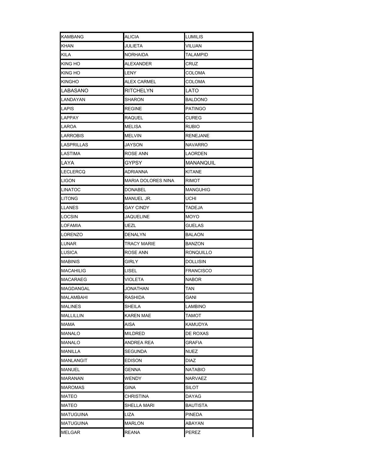| KAMBANG        | ALICIA             | LUMILIS          |
|----------------|--------------------|------------------|
| KHAN           | JULIETA            | VILUAN           |
| <b>KILA</b>    | NORHAIDA           | TALAMPID         |
| <b>KING HO</b> | ALEXANDER          | CRUZ             |
| KING HO        | LENY               | COLOMA           |
| KINGHO         | ALEX CARMEL        | COLOMA           |
| LABASANO       | RITCHELYN          | LATO             |
| LANDAYAN       | SHARON             | <b>BALDONO</b>   |
| LAPIS          | REGINE             | <b>PATINGO</b>   |
| LAPPAY         | RAQUEL             | <b>CUREG</b>     |
| LAROA          | MELISA             | <b>RUBIO</b>     |
| LARROBIS       | MELVIN             | <b>RENEJANE</b>  |
| LASPRILLAS     | JAYSON             | <b>NAVARRO</b>   |
| LASTIMA        | ROSE ANN           | LAORDEN          |
| LAYA           | GYPSY              | <b>MANANQUIL</b> |
| LECLERCQ       | ADRIANNA           | <b>KITANE</b>    |
| LIGON          | MARIA DOLORES NINA | RIMOT            |
| LINATOC        | DONABEL            | <b>MANGUHIG</b>  |
| LITONG         | MANUEL JR.         | UCHI             |
| LLANES         | GAY CINDY          | TADEJA           |
| LOCSIN         | JAQUELINE          | MOYO             |
| LOFAMIA        | UEZL               | <b>GUELAS</b>    |
| LORENZO        | DENALYN            | BALAON           |
| LUNAR          | TRACY MARIE        | BANZON           |
| LUSICA         | ROSE ANN           | RONQUILLO        |
| MABINIS        | GIRLY              | <b>DOLLISIN</b>  |
| MACAHILIG      | LISEL              | <b>FRANCISCO</b> |
| MACARAEG       | VIOLETA            | <b>NABOR</b>     |
| MAGDANGAL      | JONATHAN           | TAN              |
| MALAMBAHI      | RASHIDA            | GANI             |
| MALINES        | SHEILA             | LAMBINO          |
| MALLILLIN      | KAREN MAE          | TAMOT            |
| MAMA           | AISA               | KAMUDYA          |
| MANALO         | MILDRED            | DE ROXAS         |
| MANALO         | ANDREA REA         | GRAFIA           |
| MANILLA        | SEGUNDA            | NUEZ             |
| MANLANGIT      | EDISON             | DIAZ             |
| MANUEL         | GENNA              | NATABIO          |
| MARANAN        | WENDY              | NARVAEZ          |
| MAROMAS        | GINA               | SILOT            |
| MATEO          | CHRISTINA          | DAYAG            |
| MATEO          | SHELLA MARI        | BAUTISTA         |
| MATUGUINA      | LIZA               | PINEDA           |
| MATUGUINA      | <b>MARLON</b>      | ABAYAN           |
| MELGAR         | <b>REANA</b>       | PEREZ            |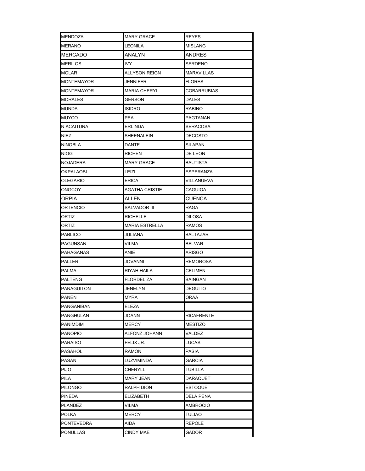| <b>MENDOZA</b>  | <b>MARY GRACE</b>   | <b>REYES</b>      |  |
|-----------------|---------------------|-------------------|--|
| MERANO          | LEONILA             | <b>MISLANG</b>    |  |
| MERCADO         | ANALYN              | ANDRES            |  |
| MERILOS         | IVY.                | <b>SERDENO</b>    |  |
| MOLAR           | ALLYSON REIGN       | <b>MARAVILLAS</b> |  |
| MONTEMAYOR      | JENNIFER            | <b>FLORES</b>     |  |
| MONTEMAYOR      | <b>MARIA CHERYL</b> | COBARRUBIAS       |  |
| MORALES         | GERSON              | <b>DALES</b>      |  |
| MUNDA           | ISIDRO              | <b>RABINO</b>     |  |
| MUYCO           | PEA                 | PAGTANAN          |  |
| N ACAITUNA      | ERLINDA             | <b>SERACOSA</b>   |  |
| NIEZ            | SHEENALEIN          | DECOSTO           |  |
| NINOBLA         | DANTE               | SILAPAN           |  |
| <b>NIOG</b>     | RICHEN              | DE LEON           |  |
| <b>NOJADERA</b> | <b>MARY GRACE</b>   | <b>BAUTISTA</b>   |  |
| OKPALAOBI       | LEIZL               | ESPERANZA         |  |
| OLEGARIO        | ERICA               | VILLANUEVA        |  |
| ONGCOY          | AGATHA CRISTIE      | CAGUIOA           |  |
| ORPIA           | ALLEN               | <b>CUENCA</b>     |  |
| ORTENCIO        | SALVADOR III        | RAGA              |  |
| ORTIZ           | RICHELLE            | DILOSA            |  |
| ORTIZ           | MARIA ESTRELLA      | RAMOS             |  |
| <b>PABLICO</b>  | JULIANA             | BALTAZAR          |  |
| PAGUNSAN        | VILMA               | <b>BELVAR</b>     |  |
| PAHAGANAS       | ANIE                | ARISGO            |  |
| PALLER          | JOVANNI             | <b>REMOROSA</b>   |  |
| PALMA           | RIYAH HAILA         | <b>CELIMEN</b>    |  |
| PALTENG         | FLORDELIZA          | BAINGAN           |  |
| PANAGUITON      | JENELYN             | <b>DEGUITO</b>    |  |
| PANEN           | <b>MYRA</b>         | ORAA              |  |
| PANGANIBAN      | ELEZA               |                   |  |
| PANGHULAN       | JOANN               | <b>RICAFRENTE</b> |  |
| PANIMDIM        | MERCY               | MESTIZO           |  |
| PANOPIO         | ALFONZ JOHANN       | VALDEZ            |  |
| PARAISO         | FELIX JR.           | LUCAS             |  |
| PASAHOL         | RAMON               | PASIA             |  |
| PASAN           | LUZVIMINDA          | GARCIA            |  |
| PIJO            | CHERYLL             | TUBILLA           |  |
| PILA            | MARY JEAN           | DARAQUET          |  |
| PILONGO         | RALPH DION          | <b>ESTOQUE</b>    |  |
| PINEDA          | ELIZABETH           | DELA PENA         |  |
| PLANDEZ         | VILMA               | AMBROCIO          |  |
| POLKA           | MERCY               | <b>TULIAO</b>     |  |
| PONTEVEDRA      | AIDA                | REPOLE            |  |
| PONULLAS        | <b>CINDY MAE</b>    | GADOR             |  |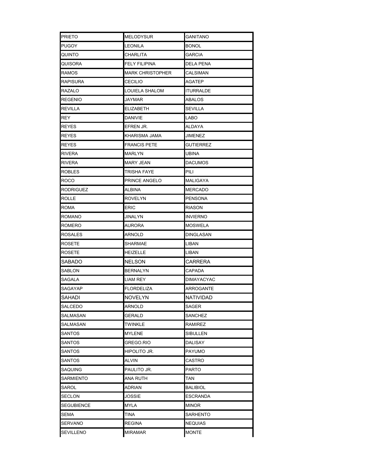| PRIETO           | <b>MELODYSUR</b> | GANITANO          |
|------------------|------------------|-------------------|
| PUGOY            | LEONILA          | <b>BONOL</b>      |
| QUINTO           | CHARLITA         | <b>GARCIA</b>     |
| QUISORA          | FELY FILIPINA    | DELA PENA         |
| RAMOS            | MARK CHRISTOPHER | CALSIMAN          |
| RAPISURA         | CECILIO          | AGATEP            |
| RAZALO           | LOUIELA SHALOM   | <b>ITURRALDE</b>  |
| REGENIO          | JAYMAR           | ABALOS            |
| <b>REVILLA</b>   | ELIZABETH        | <b>SEVILLA</b>    |
| REY              | DANIVIE          | LABO              |
| <b>REYES</b>     | EFREN JR.        | ALDAYA            |
| REYES            | KHARISMA JAMA    | JIMENEZ           |
| REYES            | FRANCIS PETE     | <b>GUTIERREZ</b>  |
| RIVERA           | MARLYN           | UBINA             |
| RIVERA           | <b>MARY JEAN</b> | <b>DACUMOS</b>    |
| ROBLES           | TRISHA FAYE      | PILI              |
| ROCO             | PRINCE ANGELO    | MALIGAYA          |
| <b>RODRIGUEZ</b> | ALBINA           | MERCADO           |
| <b>ROLLE</b>     | ROVELYN          | <b>PENSONA</b>    |
| ROMA             | ERIC             | RIASON            |
| ROMANO           | JINALYN          | INVIERNO          |
| ROMERO           | AURORA           | MOSWELA           |
| ROSALES          | ARNOLD           | DINGLASAN         |
| ROSETE           | SHARMAE          | LIBAN             |
| ROSETE           | HEIZELLE         | LIBAN             |
| SABADO           | NELSON           | CARRERA           |
| SABLON           | BERNALYN         | CAPADA            |
| SAGALA           | LIAM REY         | <b>DIMAYACYAC</b> |
| SAGAYAP          | FLORDELIZA       | ARROGANTE         |
| SAHADI           | <b>NOVELYN</b>   | NATIVIDAD         |
| SALCEDO          | ARNOLD           | SAGER             |
| SALMASAN         | GERALD           | <b>SANCHEZ</b>    |
| SALMASAN         | TWINKLE          | RAMIREZ           |
| SANTOS           | MYLENE           | SIBULLEN          |
| SANTOS           | GREGO.RIO        | DALISAY           |
| SANTOS           | hipolito Jr.     | <b>PAYUMO</b>     |
| SANTOS           | ALVIN            | CASTRO            |
| SAQUING          | PAULITO JR.      | PARTO             |
| SARMIENTO        | ANA RUTH         | TAN               |
| SAROL            | ADRIAN           | <b>BALIBIOL</b>   |
| SECLON           | JOSSIE           | ESCRANDA          |
| SEGUBIENCE       | MYLA             | MINOR             |
| SEMA             | TINA             | SARHENTO          |
| SERVANO          | <b>REGINA</b>    | <b>NEQUIAS</b>    |
| SEVILLENO        | <b>MIRAMAR</b>   | <b>MONTE</b>      |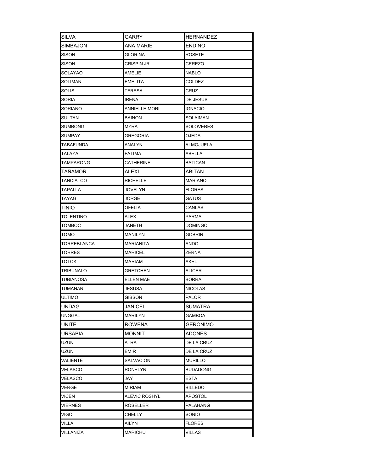| SILVA       | GARRY          | <b>HERNANDEZ</b> |  |
|-------------|----------------|------------------|--|
| SIMBAJON    | ANA MARIE      | <b>ENDINO</b>    |  |
| SISON       | GLORINA        | <b>ROSETE</b>    |  |
| SISON       | CRISPIN JR.    | CEREZO           |  |
| SOLAYAO     | AMELIE         | NABLO            |  |
| SOLIMAN     | EMELITA        | <b>COLDEZ</b>    |  |
| SOLIS       | TERESA         | <b>CRUZ</b>      |  |
| SORIA       | IRENA          | DE JESUS         |  |
| SORIANO     | ANNIELLE MORI  | IGNACIO          |  |
| SULTAN      | BAINON         | <b>SOLAIMAN</b>  |  |
| SUMBONG     | MYRA           | SOLOVERES        |  |
| SUMPAY      | GREGORIA       | OJEDA            |  |
| TABAFUNDA   | ANALYN         | ALMOJUELA        |  |
| TALAYA      | FATIMA         | ABELLA           |  |
| TAMPARONG   | CATHERINE      | <b>BATICAN</b>   |  |
| TANAMOR     | ALEXI          | ABITAN           |  |
| TANCIATCO   | RICHELLE       | <b>MARIANO</b>   |  |
| TAPALLA     | JOVELYN        | <b>FLORES</b>    |  |
| TAYAG       | JORGE          | GATUS            |  |
| TINIO       | OFELIA         | CANLAS           |  |
| TOLENTINO   | ALEX           | PARMA            |  |
| TOMBOC      | JANETH         | DOMINGO          |  |
| томо        | MANILYN        | <b>GOBRIN</b>    |  |
| TORREBLANCA | MARIANITA      | ANDO             |  |
| TORRES      | MARICEL        | ZERNA            |  |
| тоток       | MARIAM         | AKEL             |  |
| TRIBUNALO   | GRETCHEN       | ALICER           |  |
| TUBIANOSA   | ELLEN MAE      | <b>BORRA</b>     |  |
| TUMANAN     | JESUSA         | <b>NICOLAS</b>   |  |
| ULTIMO      | <b>GIBSON</b>  | <b>PALOR</b>     |  |
| UNDAG       | <b>JANICEL</b> | SUMATRA          |  |
| UNGGAL      | MARILYN        | GAMBOA           |  |
| UNITE       | ROWENA         | <b>GERONIMO</b>  |  |
| URSABIA     | <b>MONNIT</b>  | <b>ADONES</b>    |  |
| uzun        | ATRA           | DE LA CRUZ       |  |
| uzun        | EMIR           | DE LA CRUZ       |  |
| VALIENTE    | SALVACION      | MURILLO          |  |
| VELASCO     | RONELYN        | <b>BUDADONG</b>  |  |
| VELASCO     | JAY            | <b>ESTA</b>      |  |
| VERGE       | MIRIAM         | <b>BILLEDO</b>   |  |
| VICEN       | ALEVIC ROSHYL  | APOSTOL          |  |
| VIERNES     | ROSELLER       | PALAHANG         |  |
| VIGO        | <b>CHELLY</b>  | SONIO            |  |
| VILLA       | AILYN          | <b>FLORES</b>    |  |
| VILLANIZA   | <b>MARICHU</b> | <b>VILLAS</b>    |  |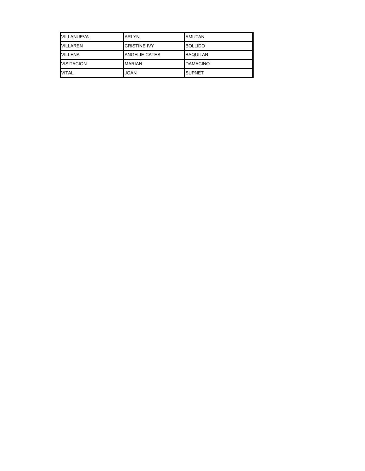| VILLANUEVA        | <b>ARLYN</b>         | AMUTAN          |
|-------------------|----------------------|-----------------|
| VILLAREN          | <b>CRISTINE IVY</b>  | <b>BOLLIDO</b>  |
| VILLENA           | <b>ANGELIE CATES</b> | <b>BAQUILAR</b> |
| <b>VISITACION</b> | <b>MARIAN</b>        | <b>DAMACINO</b> |
| <b>VITAL</b>      | <b>JOAN</b>          | <b>SUPNET</b>   |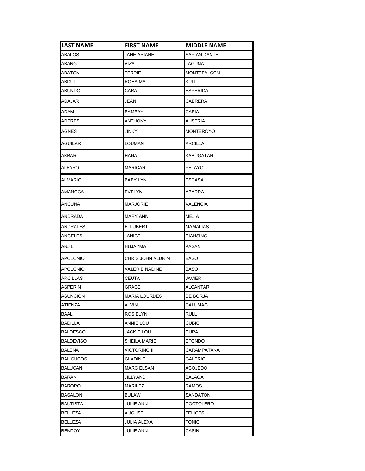| <b>LAST NAME</b> | <b>FIRST NAME</b>    | <b>MIDDLE NAME</b>  |
|------------------|----------------------|---------------------|
| ABALOS           | <b>JANE ARIANE</b>   | <b>SAPIAN DANTE</b> |
| ABANG            | AIZA                 | LAGUNA              |
| ABATON           | TERRIE               | MONTEFALCON         |
| ABDUL            | ROHAIMA              | KULI                |
| ABUNDO           | CARA                 | <b>ESPERIDA</b>     |
| ADAJAR           | JEAN                 | CABRERA             |
| adam             | PAMPAY               | <b>CAPIA</b>        |
| ADERES           | ANTHONY              | AUSTRIA             |
| AGNES            | JINKY                | MONTEROYO           |
| AGUILAR          | LOUMAN               | ARCILLA             |
| AKBAR            | HANA                 | KABUGATAN           |
| ALFARO           | <b>MARICAR</b>       | PELAYO              |
| ALMARIO          | BABY LYN             | ESCASA              |
| AMANGCA          | EVELYN               | ABARRA              |
| ANCUNA           | <b>MARJORIE</b>      | VALENCIA            |
| ANDRADA          | MARY ANN             | MEJIA               |
| ANDRALES         | <b>ELLUBERT</b>      | MAMALIAS            |
| ANGELES          | JANICE               | DIANSING            |
| ANJIL            | HUJAYMA              | KASAN               |
| APOLONIO         | CHRIS JOHN ALDRIN    | BASO                |
| APOLONIO         | VALERIE NADINE       | BASO                |
| ARCILLAS         | CEUTA                | <b>JAVIER</b>       |
| ASPERIN          | GRACE                | ALCANTAR            |
| ASUNCION         | <b>MARIA LOURDES</b> | DE BORJA            |
| <b>ATIENZA</b>   | <b>ALVIN</b>         | CALUMAG             |
| BAAL             | ROSIELYN             | <b>RULL</b>         |
| BADILLA          | ANNIE LOU            | CUBIO               |
| BALDESCO         | JACKIE LOU           | DURA                |
| BALDEVISO        | SHEILA MARIE         | EFONDO              |
| <b>BALENA</b>    | VICTORINO III        | CARAMPATANA         |
| <b>BALICUCOS</b> | GLADIN E             | GALERIO             |
| BALUCAN          | <b>MARC ELSAN</b>    | ACOJEDO             |
| BARAN            | JILLYAND             | BALAGA              |
| BARORO           | MARILEZ              | RAMOS               |
| BASALON          | BULAW                | SANDATON            |
| BAUTISTA         | JULIE ANN            | DOCTOLERO           |
| BELLEZA          | AUGUST               | <b>FELICES</b>      |
| <b>BELLEZA</b>   | <b>JULIA ALEXA</b>   | <b>TONIO</b>        |
| <b>BENDOY</b>    | <b>JULIE ANN</b>     | CASIN               |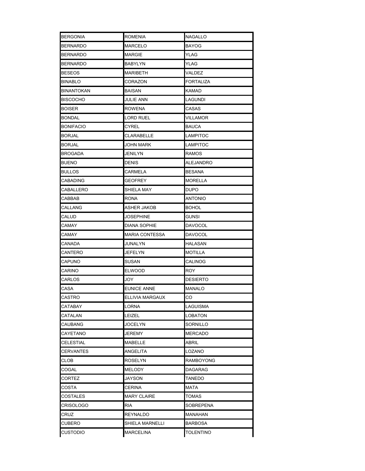| <b>BERGONIA</b>  | ROMENIA          | <b>NAGALLO</b>   |
|------------------|------------------|------------------|
| BERNARDO         | MARCELO          | <b>BAYOG</b>     |
| BERNARDO         | MARGIE           | YLAG             |
| BERNARDO         | BABYLYN          | YLAG             |
| BESEOS           | MARIBETH         | VALDEZ           |
| BINABLO          | CORAZON          | <b>FORTALIZA</b> |
| BINANTOKAN       | BAISAN           | KAMAD            |
| <b>BISCOCHO</b>  | JULIE ANN        | LAGUNDI          |
| <b>BOISER</b>    | ROWENA           | CASAS            |
| BONDAL           | LORD RUEL        | VILLAMOR         |
| <b>BONIFACIO</b> | CYREL            | <b>BAUCA</b>     |
| BORJAL           | CLARABELLE       | LAMPITOC         |
| BORJAL           | JOHN MARK        | LAMPITOC         |
| BROGADA          | JENILYN          | RAMOS            |
| BUENO            | DENIS            | ALEJANDRO        |
| BULLOS           | CARMELA          | BESANA           |
| CABADING         | GEOFREY          | <b>MORELLA</b>   |
| CABALLERO        | SHIELA MAY       | <b>DUPO</b>      |
| CABBAB           | RONA             | <b>ANTONIO</b>   |
| CALLANG          | ASHER JAKOB      | <b>BOHOL</b>     |
| CALUD            | JOSEPHINE        | GUNSI            |
| CAMAY            | DIANA SOPHIE     | <b>DAVOCOL</b>   |
| CAMAY            | MARIA CONTESSA   | <b>DAVOCOL</b>   |
| CANADA           | JUNALYN          | HALASAN          |
| CANTERO          | JEFELYN          | <b>MOTILLA</b>   |
| CAPUNO           | SUSAN            | <b>CALINOG</b>   |
| CARINO           | <b>ELWOOD</b>    | ROY              |
| CARLOS           | JOY              | DESIERTO         |
| CASA             | EUNICE ANNE      | MANALO           |
| CASTRO           | ELLIVIA MARGAUX  | CO               |
| CATABAY          | LORNA            | LAGUISMA         |
| CATALAN          | LEIZEL           | LOBATON          |
| CAUBANG          | JOCELYN          | SORNILLO         |
| CAYETANO         | JEREMY           | <b>MERCADO</b>   |
| CELESTIAL        | MABELLE          | ABRIL            |
| CERVANTES        | ANGELITA         | LOZANO           |
| CLOB             | ROSELYN          | RAMBOYONG        |
| COGAL            | MELODY           | DAGARAG          |
| CORTEZ           | JAYSON           | TANEDO           |
| COSTA            | CERINA           | MATA             |
| COSTALES         | MARY CLAIRE      | TOMAS            |
| CRISOLOGO        | ria              | SOBREPENA        |
| CRUZ             | REYNALDO         | MANAHAN          |
| CUBERO           | SHIELA MARNELLI  | BARBOSA          |
| CUSTODIO         | <b>MARCELINA</b> | <b>TOLENTINO</b> |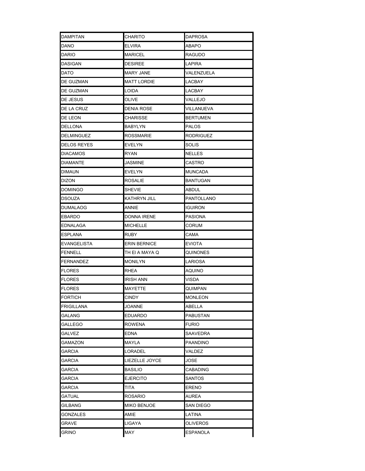| <b>DAMPITAN</b>   | CHARITO          | <b>DAPROSA</b>   |
|-------------------|------------------|------------------|
| DANO              | ELVIRA           | ABAPO            |
| DARIO             | MARICEL          | RAGUDO           |
| DASIGAN           | DESIREE          | LAPIRA           |
| DATO              | <b>MARY JANE</b> | VALENZUELA       |
| DE GUZMAN         | MATT LORDIE      | LACBAY           |
| DE GUZMAN         | LOIDA            | LACBAY           |
| DE JESUS          | OLIVE            | VALLEJO          |
| DE LA CRUZ        | DENIA ROSE       | VILLANUEVA       |
| DE LEON           | CHARISSE         | <b>BERTUMEN</b>  |
| DELLONA           | BABYLYN          | <b>PALOS</b>     |
| DELMINGUEZ        | ROSSMARIE        | <b>RODRIGUEZ</b> |
| DELOS REYES       | EVELYN           | SOLIS            |
| <b>DIACAMOS</b>   | RYAN             | <b>NELLES</b>    |
| DIAMANTE          | JASMINE          | CASTRO           |
| DIMAUN            | EVELYN           | <b>MUNCADA</b>   |
| DIZON             | <b>ROSALIE</b>   | <b>BANTUGAN</b>  |
| DOMINGO           | SHEVIE           | ABDUL            |
| <b>DSOUZA</b>     | KATHRYN JILL     | PANTOLLANO       |
| DUMALAOG          | ANNIE            | <b>IGUIRON</b>   |
| EBARDO            | DONNA IRENE      | <b>PASIONA</b>   |
| EDNALAGA          | MICHELLE         | CORUM            |
| ESPLANA           | RUBY             | CAMA             |
| EVANGELISTA       | ERIN BERNICE     | <b>EVIOTA</b>    |
| FENNELL           | TH EI A MAYA Q   | QUINONES         |
| <b>FERNANDEZ</b>  | Monilyn          | LARIOSA          |
| <b>FLORES</b>     | RHEA             | <b>AQUINO</b>    |
| <b>FLORES</b>     | <b>IRISH ANN</b> | VISDA            |
| <b>FLORES</b>     | MAYETTE          | QUIMPAN          |
| <b>FORTICH</b>    | CINDY            | <b>MONLEON</b>   |
| <b>FRIGILLANA</b> | JOANNE           | ABELLA           |
| GALANG            | EDUARDO          | <b>PABUSTAN</b>  |
| GALLEGO           | ROWENA           | FURIO            |
| GALVEZ            | EDNA             | SAAVEDRA         |
| GAMAZON           | MAYLA            | PAANDINO         |
| <b>GARCIA</b>     | LORADEL          | VALDEZ           |
| GARCIA            | LIEZELLE JOYCE   | JOSE             |
| GARCIA            | BASILIO          | <b>CABADING</b>  |
| GARCIA            | EJERCITO         | <b>SANTOS</b>    |
| GARCIA            | TITA             | <b>ERENO</b>     |
| GATUAL            | ROSARIO          | AUREA            |
| <b>GILBANG</b>    | MIKO BENJOE      | <b>SAN DIEGO</b> |
| <b>GONZALES</b>   | AMIE             | LATINA           |
| GRAVE             | LIGAYA           | <b>OLIVEROS</b>  |
| GRINO             | MAY              | <b>ESPANOLA</b>  |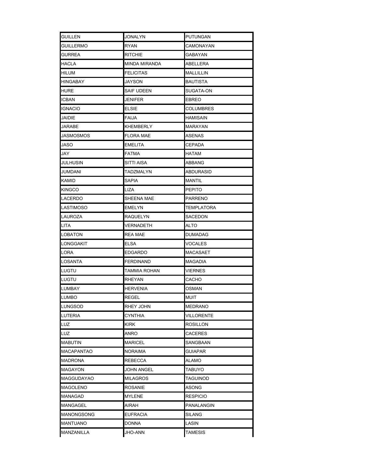| <b>GUILLEN</b> | <b>JONALYN</b> | <b>PUTUNGAN</b>  |
|----------------|----------------|------------------|
| GUILLERMO      | RYAN           | CAMONAYAN        |
| GURREA         | RITCHIE        | GABAYAN          |
| HACLA          | MINDA MIRANDA  | ABELLERA         |
| hilum          | FELICITAS      | <b>MALLILLIN</b> |
| HINGABAY       | JAYSON         | BAUTISTA         |
| HURE           | SAIF UDEEN     | SUGATA-ON        |
| <b>ICBAN</b>   | JENIFER        | EBREO            |
| <b>IGNACIO</b> | ELSIE          | COLUMBRES        |
| JAIDIE         | FAIJA          | <b>HAMISAIN</b>  |
| JARABE         | KHEMBERLY      | MARAYAN          |
| JASMOSMOS      | FLORA MAE      | ASENAS           |
| JASO           | EMELITA        | CEPADA           |
| JAY            | FATMA          | HATAM            |
| JULHUSIN       | SITTI AISA     | ABBANG           |
| JUMDANI        | TADZMALYN      | <b>ABDURASID</b> |
| KAMID          | SAPIA          | MANTIL           |
| KINGCO         | LIZA           | <b>PEPITO</b>    |
| LACERDO        | SHEENA MAE     | <b>PARRENO</b>   |
| LASTIMOSO      | EMELYN         | TEMPLATORA       |
| LAUROZA        | RAQUELYN       | SACEDON          |
| LITA           | VERNADETH      | ALTO             |
| LOBATON        | REA MAE        | <b>DUMADAG</b>   |
| LONGGAKIT      | ELSA           | VOCALES          |
| LORA           | EDGARDO        | MACASAET         |
| LOSANTA        | FERDINAND      | MAGADIA          |
| LUGTU          | TAMMIA ROHAN   | <b>VIERNES</b>   |
| LUGTU          | RHEYAN         | CACHO            |
| LUMBAY         | HERVENIA       | OSMAN            |
| LUMBO          | <b>REGEL</b>   | <b>MUIT</b>      |
| LUNGSOD        | RHEY JOHN      | MEDRANO          |
| LUTERIA        | CYNTHIA        | VILLORENTE       |
| LUZ            | KIRK           | ROSILLON         |
| LUZ            | ANRO           | CACERES          |
| MABUTIN        | MARICEL        | SANGBAAN         |
| MACAPANTAO     | NORAIMA        | GUIAPAR          |
| MADRONA        | REBECCA        | ALAMO            |
| MAGAYON        | JOHN ANGEL     | TABUYO           |
| MAGGUDAYAO     | MILAGROS       | TAGUINOD         |
| MAGOLENO       | ROSANIE        | ASONG            |
| MANAGAD        | MYLENE         | RESPICIO         |
| MANGAGEL       | AIRAH          | PANALANGIN       |
| MANONGSONG     | EUFRACIA       | SILANG           |
| MANTUANO       | DONNA          | LASIN            |
| MANZANILLA     | <b>JHO-ANN</b> | <b>TAMESIS</b>   |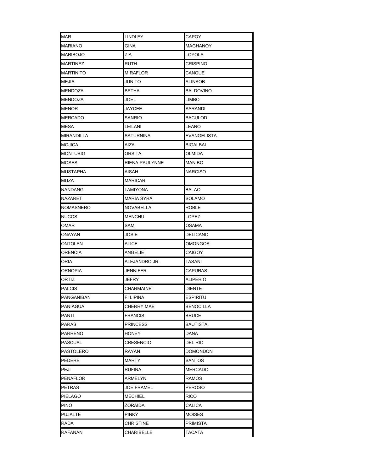| MAR              | <b>LINDLEY</b>   | CAPOY            |
|------------------|------------------|------------------|
| MARIANO          | GINA             | MAGHANOY         |
| MARIBOJO         | ZIA              | LOYOLA           |
| MARTINEZ         | ruth             | <b>CRISPINO</b>  |
| <b>MARTINITO</b> | MIRAFLOR         | CANQUE           |
| MEJIA            | JUNITO           | ALINSOB          |
| <b>MENDOZA</b>   | <b>BETHA</b>     | <b>BALDOVINO</b> |
| MENDOZA          | JOEL             | <b>LIMBO</b>     |
| MENOR            | JAYCEE           | SARANDI          |
| MERCADO          | SANRIO           | <b>BACULOD</b>   |
| MESA             | LEILANI          | LEANO            |
| MIRANDILLA       | SATURNINA        | EVANGELISTA      |
| MOJICA           | AIZA             | <b>BIGALBAL</b>  |
| MONTUBIG         | ORSITA           | OLMIDA           |
| <b>MOSES</b>     | RIENA PAULYNNE   | <b>MANIBO</b>    |
| MUSTAPHA         | AISAH            | <b>NARCISO</b>   |
| MUZA             | <b>MARICAR</b>   |                  |
| NANDANG          | LAMIYONA         | BALAO            |
| NAZARET          | MARIA SYRA       | SOLAMO           |
| NOMASNERO        | NOVABELLA        | ROBLE            |
| NUCOS            | MENCHU           | LOPEZ            |
| OMAR             | SAM              | OSAMA            |
| ONAYAN           | JOSIE            | DELICANO         |
| ONTOLAN          | ALICE            | <b>OMONGOS</b>   |
| ORENCIA          | ANGELIE          | CAIGOY           |
| ORIA             | ALEJANDRO JR.    | TASANI           |
| <b>ORNOPIA</b>   | JENNIFER         | CAPURAS          |
| ORTIZ            | JEFRY            | <b>ALIPERIO</b>  |
| PALCIS           | CHARMAINE        | <b>DIENTE</b>    |
| PANGANIBAN       | <b>FI LIPINA</b> | <b>ESPIRITU</b>  |
| PANIAGUA         | CHERRY MAE       | <b>BENOCILLA</b> |
| PANTI            | FRANCIS          | <b>BRUCE</b>     |
| PARAS            | PRINCESS         | BAUTISTA         |
| PARRENO          | HONEY            | DANA             |
| PASCUAL          | CRESENCIO        | del Rio          |
| PASTOLERO        | RAYAN            | <b>DOMONDON</b>  |
| PEDERE           | MARTY            | SANTOS           |
| PEJI             | RUFINA           | MERCADO          |
| PENAFLOR         | ARMELYN          | RAMOS            |
| PETRAS           | JOE FRAMEL       | <b>PEROSO</b>    |
| PIELAGO          | MECHIEL          | <b>RICO</b>      |
| PINO             | ZORAIDA          | CALICA           |
| PUJALTE          | PINKY            | MOISES           |
| RADA             | CHRISTINE        | <b>PRIMISTA</b>  |
| RAFANAN          | CHARIBELLE       | <b>TACATA</b>    |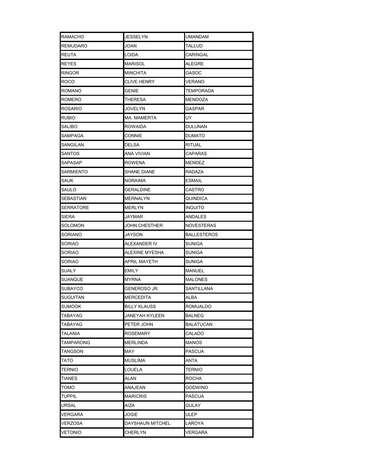| <b>RAMACHO</b>   | <b>JESSELYN</b>     | <b>UMANDAM</b>     |
|------------------|---------------------|--------------------|
| REMUDARO         | JOAN                | TALLUD             |
| REUTA            | LOIDA               | CARINGAL           |
| REYES            | MARISOL             | ALEGRE             |
| RINGOR           | MINCHITA            | GASOC              |
| ROCO             | CLIVE HENRY         | VERANO             |
| ROMANO           | GENIE               | <b>TEMPORADA</b>   |
| ROMERO           | THERESA             | MENDOZA            |
| <b>ROSARIO</b>   | JOVELYN             | GASPAR             |
| Rubio            | <b>MA. MAMERTA</b>  | UY                 |
| SALIBO           | ROWAIDA             | <b>DULUNAN</b>     |
| SAMPAGA          | CONNIE              | <b>DUMATO</b>      |
| SANGILAN         | DELSA               | <b>RITUAL</b>      |
| SANTOS           | ANA VIVIAN          | CAPARAS            |
| <b>SAPASAP</b>   | <b>ROWENA</b>       | <b>MENDEZ</b>      |
| SARMIENTO        | <b>SHANE DIANE</b>  | RADAZA             |
| SAUK             | <b>NORAIMA</b>      | <b>ESMAIL</b>      |
| SAULO            | <b>GERALDINE</b>    | CASTRO             |
| <b>SEBASTIAN</b> | MERNALYN            | QUINDICA           |
| SERRATORE        | MERLYN              | <b>INGUITO</b>     |
| SIERA            | JAYMAR              | ANDALES            |
| SOLOMON          | JOHN CHESTHER       | NOVESTERAS         |
| SORIANO          | JAYSON              | <b>BALLESTEROS</b> |
| SORIAO           | ALEXANDER IV        | SUNIGA             |
| SORIAO           | ALEXINE MYESHA      | <b>SUNIGA</b>      |
| SORIAO           | APRIL MAYETH        | <b>SUNIGA</b>      |
| SUALY            | <b>EMILY</b>        | <b>MANUEL</b>      |
| SUANQUE          | <b>MYRNA</b>        | <b>MALONES</b>     |
| SUBAYCO          | GENEROSO JR.        | <b>SANTILLANA</b>  |
| <b>SUGUITAN</b>  | <b>MERCEDITA</b>    | <b>ALBA</b>        |
| SUMOOK           | <b>BILLY KLAUSS</b> | <b>ROMUALDO</b>    |
| TABAYAG          | JANEYAH KYLEEN      | <b>BALNEG</b>      |
| TABAYAG          | PETER JOHN          | BALATUCAN          |
| TALANIA          | <b>ROSEMARY</b>     | CALADO             |
| TAMPARONG        | MERLINDA            | MANOS              |
| TANGSON          | MAY                 | PASCUA             |
| TATO             | MUSLIMA             | ANTA               |
| TERNIO           | LOUELA              | TERNIO             |
| TIANES           | ALAN                | ROCHA              |
| TOMO             | ANAJEAN             | GODWINO            |
| TUPPIL           | MARICRIS            | PASCUA             |
| URSAL            | AIZA                | GULAY              |
| VERGARA          | JOSIE               | ULEP               |
| VERZOSA          | DAYSHAUN MITCHEL    | LAROYA             |
| VETONIO          | CHERLYN             | VERGARA            |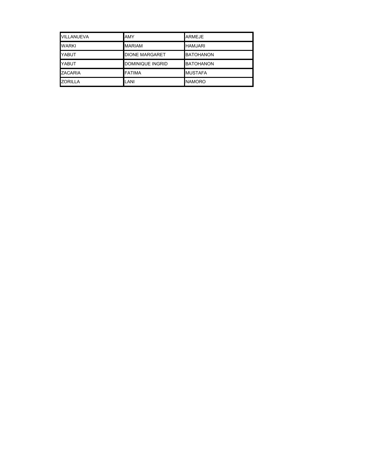| VILLANUEVA     | <b>AMY</b>              | <b>ARMEJE</b>    |
|----------------|-------------------------|------------------|
| <b>WARKI</b>   | <b>MARIAM</b>           | <b>HAMJARI</b>   |
| <b>YABUT</b>   | <b>DIONE MARGARET</b>   | <b>BATOHANON</b> |
| YABUT          | <b>DOMINIQUE INGRID</b> | <b>BATOHANON</b> |
| <b>ZACARIA</b> | <b>FATIMA</b>           | <b>IMUSTAFA</b>  |
| <b>ZORILLA</b> | LANI                    | <b>NAMORO</b>    |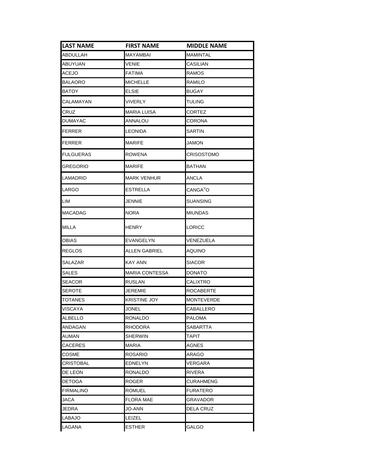| <b>LAST NAME</b> | <b>FIRST NAME</b>     | <b>MIDDLE NAME</b>   |
|------------------|-----------------------|----------------------|
| ABDULLAH         | <b>MAYAMBAI</b>       | <b>MAMINTAL</b>      |
| ABUYUAN          | VENIE                 | CASILIAN             |
| <b>ACEJO</b>     | <b>FATIMA</b>         | <b>RAMOS</b>         |
| <b>BALAORO</b>   | <b>MICHELLE</b>       | RAMILO               |
| BATOY            | ELSIE                 | BUGAY                |
| CALAMAYAN        | VIVERLY               | TULING               |
| CRUZ             | <b>MARIA LUISA</b>    | CORTEZ               |
| <b>DUMAYAC</b>   | ANNALOU               | CORONA               |
| <b>FERRER</b>    | LEONIDA               | SARTIN               |
| <b>FERRER</b>    | <b>MARIFE</b>         | JAMON                |
| <b>FULGUERAS</b> | ROWENA                | CRISOSTOMO           |
| GREGORIO         | <b>MARIFE</b>         | <b>BATHAN</b>        |
| LAMADRID         | <b>MARK VENHUR</b>    | ANCLA                |
| LARGO            | <b>ESTRELLA</b>       | CANGA <sup>V</sup> O |
| LIM              | JENNIE                | SUANSING             |
| <b>MACADAG</b>   | NORA                  | <b>MIUNDAS</b>       |
| MILLA            | HENRY                 | LORICC               |
| OBIAS            | EVANGELYN             | VENEZUELA            |
| <b>REGLOS</b>    | ALLEN GABRIEL         | AQUINO               |
| SALAZAR          | KAY ANN               | SIACOR               |
| SALES            | <b>MARIA CONTESSA</b> | DONATO               |
| <b>SEACOR</b>    | <b>RUSLAN</b>         | CALIXTRO             |
| SEROTE           | JEREMIE               | ROCABERTE            |
| TOTANES          | KRISTINE JOY          | <b>MONTEVERDE</b>    |
| VISCAYA          | JONEL                 | CABALLERO            |
| <b>ALBELLO</b>   | RONALDO               | PALOMA               |
| ANDAGAN          | RHODORA               | SABARTTA             |
| AUMAN            | <b>SHERWIN</b>        | <b>TAPIT</b>         |
| CACERES          | <b>MARIA</b>          | AGNES                |
| COSME            | <b>ROSARIO</b>        | ARAGO                |
| CRISTOBAL        | <b>EDNELYN</b>        | VERGARA              |
| DE LEON          | RONALDO               | RIVERA               |
| <b>DETOGA</b>    | <b>ROGER</b>          | <b>CURAHMENG</b>     |
| <b>FIRMALINO</b> | ROMUEL                | FURATERO             |
| JACA             | FLORA MAE             | GRAVADOR             |
| JEDRA            | JO-ANN                | <b>DELA CRUZ</b>     |
| LABAJO           | LEIZEL                |                      |
| LAGANA           | <b>ESTHER</b>         | GALGO                |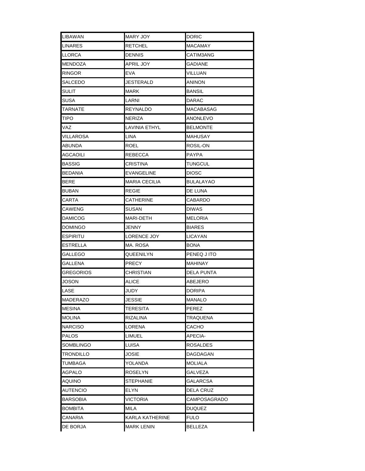| LIBAWAN          | MARY JOY          | <b>DORIC</b>      |
|------------------|-------------------|-------------------|
| LINARES          | RETCHEL           | <b>MACAMAY</b>    |
| <b>LLORCA</b>    | <b>DENNIS</b>     | CATIM3ANG         |
| <b>MENDOZA</b>   | <b>APRIL JOY</b>  | GADIANE           |
| <b>RINGOR</b>    | EVA               | VILLUAN           |
| SALCEDO          | JESTERALD         | <b>ANINON</b>     |
| SULIT            | MARK              | <b>BANSIL</b>     |
| SUSA             | LARNI             | DARAC             |
| TARNATE          | REYNALDO          | <b>MACABASAG</b>  |
| TIPO             | NERIZA            | ANONLEVO          |
| VAZ              | LAVINIA ETHYL     | BELMONTE          |
| VILLAROSA        | LINA              | MAHUSAY           |
| ABUNDA           | ROEL              | ROSIL-ON          |
| AGCAOILI         | REBECCA           | PAYPA             |
| <b>BASSIG</b>    | CRISTINA          | TUNGCUL           |
| <b>BEDANIA</b>   | EVANGELINE        | <b>DIOSC</b>      |
| BERE             | MARIA CECILIA     | <b>BULALAYAO</b>  |
| <b>BUBAN</b>     | REGIE             | DE LUNA           |
| CARTA            | CATHERINE         | CABARDO           |
| CAWENG           | SUSAN             | <b>DIWAS</b>      |
| <b>DAMICOG</b>   | MARI-DETH         | <b>MELORIA</b>    |
| <b>DOMINGO</b>   | JENNY             | <b>BIARES</b>     |
| <b>ESPIRITU</b>  | LORENCE JOY       | <b>LICAYAN</b>    |
| ESTRELLA         | MA. ROSA          | BONA              |
| GALLEGO          | QUEENILYN         | PENEQ J ITO       |
| GALLENA          | PRECY             | MAHINAY           |
| <b>GREGORIOS</b> | CHRISTIAN         | <b>DELA PUNTA</b> |
| JOSON            | ALICE             | ABEJERO           |
| LASE             | JUDY              | DORIPA            |
| <b>MADERAZO</b>  | JESSIE            | <b>MANALO</b>     |
| <b>MESINA</b>    | TERESITA          | <b>PEREZ</b>      |
| <b>MOLINA</b>    | RIZALINA          | TRAQUENA          |
| <b>NARCISO</b>   | LORENA            | САСНО             |
| <b>PALOS</b>     | LIMUEL            | APECIA-           |
| <b>SOMBLINGO</b> | LUISA             | ROSALDES          |
| TRONDILLO        | JOSIE             | DAGDAGAN          |
| TUMBAGA          | YOLANDA           | MOLIALA           |
| <b>AGPALO</b>    | ROSELYN           | GALVEZA           |
| AQUINO           | STEPHANIE         | GALARCSA          |
| <b>AUTENCIO</b>  | ELYN              | DELA CRUZ         |
| <b>BARSOBIA</b>  | VICTORIA          | CAMPOSAGRADO      |
| <b>BOMBITA</b>   | MILA              | <b>DUQUEZ</b>     |
| <b>CANARIA</b>   | KARLA KATHERINE   | <b>FULO</b>       |
| <b>DE BORJA</b>  | <b>MARK LENIN</b> | <b>BELLEZA</b>    |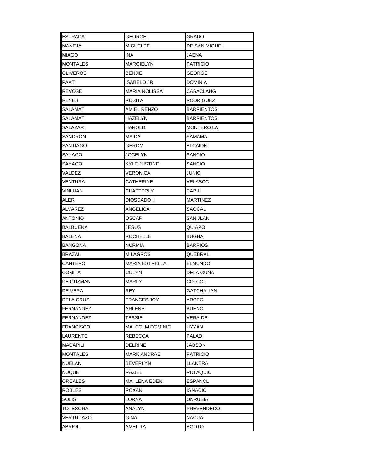| <b>ESTRADA</b>   | <b>GEORGE</b>          | GRADO             |
|------------------|------------------------|-------------------|
| MANEJA           | MICHELEE               | DE SAN MIGUEL     |
| <b>MIAGO</b>     | INA                    | JAENA             |
| <b>MONTALES</b>  | MARGIELYN              | PATRICIO          |
| <b>OLIVEROS</b>  | BENJIE                 | <b>GEORGE</b>     |
| PAAT             | ISABELO JR.            | DOMINIA           |
| REVOSE           | MARIA NOLISSA          | CASACLANG         |
| <b>REYES</b>     | ROSITA                 | RODRIGUEZ         |
| SALAMAT          | AMIEL RENZO            | BARRIENTOS        |
| SALAMAT          | HAZELYN                | BARRIENTOS        |
| SALAZAR          | HAROLD                 | MONTERO LA        |
| SANDRON          | MAIDA                  | SAMAMA            |
| SANTIAGO         | GEROM                  | ALCAIDE           |
| SAYAGO           | <b>JOCELYN</b>         | SANCIO            |
| SAYAGO           | KYLE JUSTINE           | SANCIO            |
| VALDEZ           | VERONICA               | JUNIO             |
| VENTURA          | CATHERINE              | VELASCC           |
| <b>VINLUAN</b>   | CHATTERLY              | CAPILI            |
| ALER             | DIOSDADO II            | MARTINEZ          |
| ALVAREZ          | ANGELICA               | SAGCAL            |
| <b>ANTONIO</b>   | OSCAR                  | SAN JLAN          |
| <b>BALBUENA</b>  | JESUS                  | QUIAPO            |
| BALENA           | ROCHELLE               | BUGNA             |
| <b>BANGONA</b>   | NURMIA                 | <b>BARRIOS</b>    |
| <b>BRAZAL</b>    | MILAGROS               | QUEBRAL           |
| CANTERO          | <b>MARIA ESTRELLA</b>  | <b>ELMUNDO</b>    |
| COMITA           | COLYN                  | DELA GUNA         |
| DE GUZMAN        | MARLY                  | COLCOL            |
| DE VERA          | REY                    | <b>GATCHALIAN</b> |
| IDELA CRUZ       | FRANCES JOY            | ARCEC             |
| <b>FERNANDEZ</b> | ARLENE                 | BUENC             |
| FERNANDEZ        | TESSIE                 | VERA DE           |
| <b>FRANCISCO</b> | <b>MALCOLM DOMINIC</b> | UYYAN             |
| LAURENTE         | REBECCA                | PALAD             |
| <b>MACAPILI</b>  | <b>DELRINE</b>         | JABSON            |
| <b>MONTALES</b>  | MARK ANDRAE            | PATRICIO          |
| <b>NUELAN</b>    | BEVERLYN               | LLANERA           |
| <b>NUQUE</b>     | RAZIEL                 | RUTAQUIO          |
| ORCALES          | MA. LENA EDEN          | ESPANCL           |
| <b>ROBLES</b>    | ROXAN                  | IGNACIO           |
| SOLIS            | LORNA                  | ONRUBIA           |
| TOTESORA         | ANALYN                 | <b>PREVENDEDO</b> |
| <b>VERTUDAZO</b> | GINA                   | NACUA             |
| <b>ABRIOL</b>    | AMELITA                | AGOTO             |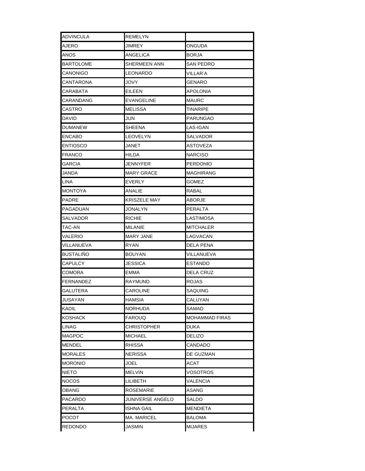| <b>ADVINCULA</b> | REMELYN            |                       |
|------------------|--------------------|-----------------------|
| AJERO            | JIMREY             | ONGUDA                |
| ANOS             | ANGELICA           | <b>BORJA</b>          |
| <b>BARTOLOME</b> | SHERMEEN ANN       | SAN PEDRO             |
| CANONIGO         | LEONARDO           | VILLAR <sup>-</sup> A |
| CANTARONA        | JOVY               | GENARO                |
| CARABATA         | EILEEN             | APOLONIA              |
| CARANDANG        | EVANGELINE         | MAURC                 |
| CASTRO           | MELISSA            | TINARIPE              |
| DAVID            | JUN                | PARUNGAO              |
| <b>DUMANEW</b>   | SHEENA             | LAS-IGAN              |
| <b>ENCABO</b>    | LEOVELYN           | SALVADOR              |
| <b>ENTIOSCO</b>  | <b>JANET</b>       | ASTOVEZA              |
| FRANCO           | HILDA              | NARCISO               |
| GARCIA           | JENNYFER           | PERDOhlIO             |
| JANDA            | <b>MARY GRACE</b>  | MAGHIRANG             |
| LINA             | EVERLY             | GOMEZ                 |
| <b>MONTOYA</b>   | ANALIE             | RABAL                 |
| <b>PADRE</b>     | KRISZELE MAY       | ABORJE                |
| PAGADUAN         | JONALYN            | PERALTA               |
| SALVADOR         | <b>RICHIE</b>      | LASTIMOSA             |
| TAC-AN           | MILANIE            | MITCHALER             |
| VALERIO          | MARY JANE          | LAGVACAN              |
| VILLANUEVA       | RYAN               | DELA PENA             |
| <b>BUSTALINO</b> | <b>BOUYAN</b>      | VILLANUEVA            |
| CAPULCY          | JESSICA            | ESTANDO               |
| COMORA           | EMMA               | DELA CRUZ             |
| FERNANDEZ        | RAYMUND            | ROJAS                 |
| GALUTERA         | CAROLINE           | SAQUING               |
| JUSAYAN          | HAMSIA             | CALUYAN               |
| KADIL            | <b>NORHUDA</b>     | SAMAD                 |
| KOSHACK          | FAROUQ             | MOHAMMAD FIRAS        |
| <b>LINAG</b>     | <b>CHRISTOPHER</b> | DUKA                  |
| <b>MAGPOC</b>    | <b>MICHAEL</b>     | <b>DELIZO</b>         |
| MENDEL           | RHISSA             | CANDADO               |
| <b>MORALES</b>   | NERISSA            | DE GUZMAN             |
| <b>MORONIO</b>   | JOEL               | ACAT                  |
| NIETO            | <b>MELVIN</b>      | VOSOTROS              |
| NOCOS.           | LILIBETH           | VALENCIA              |
| OBANG            | <b>ROSEMARIE</b>   | ASANG                 |
| PACARDO          | JUNIVERSE ANGELO   | SALDO                 |
| PERALTA          | ISHNA GAIL         | MENDIETA              |
| POCOT            | <b>MA. MARICEL</b> | BALOMA                |
| <b>REDONDO</b>   | JASMIN             | <b>MIJARES</b>        |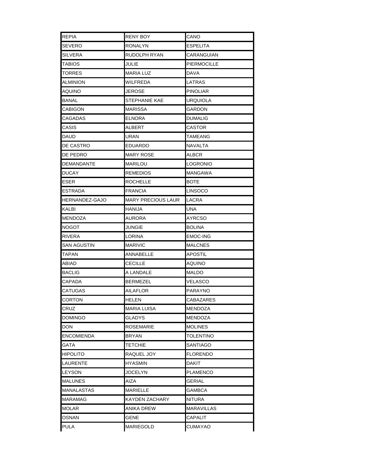| <b>REPIA</b>          | <b>RENY BOY</b>           | CANO              |
|-----------------------|---------------------------|-------------------|
| <b>SEVERO</b>         | RONALYN                   | ESPELITA          |
| <b>SILVERA</b>        | RUDOLPH RYAN              | CARANGUIAN        |
| TABIOS                | JULIE                     | PIERMOCILLE       |
| <b>TORRES</b>         | MARIA LUZ                 | DAVA              |
| ALMINION              | WILFREDA                  | LATRAS            |
| <b>AQUINO</b>         | JEROSE                    | <b>PINOLIAR</b>   |
| <b>BANAL</b>          | <b>STEPHANIE KAE</b>      | URQUIOLA          |
| <b>CABIGON</b>        | MARISSA                   | GARDON            |
| CAGADAS               | ELNORA                    | DUMALIG           |
| CASIS                 | ALBERT                    | CASTOR            |
| DAUD                  | URAN                      | TAMEANG           |
| <b>DE CASTRO</b>      | EDUARDO                   | NAVALTA           |
| DE PEDRO              | <b>MARY ROSE</b>          | ALBCR             |
| DEMANDANTE            | MARILOU                   | LOGRONIO          |
| <b>DUCAY</b>          | REMEDIOS                  | <b>MANGAWA</b>    |
| <b>ESER</b>           | ROCHELLE                  | BOTE              |
| <b>ESTRADA</b>        | <b>FRANCIA</b>            | <b>LINSOCO</b>    |
| <b>HERNANDEZ-GAJO</b> | <b>MARY PRECIOUS LAUR</b> | LACRA             |
| <b>KALBI</b>          | HANIJA                    | UNA               |
| <b>MENDOZA</b>        | AURORA                    | AYRCSO            |
| <b>NOGOT</b>          | JUNGIE                    | BOLINA            |
| <b>RIVERA</b>         | LORINA                    | EMOC-ING          |
| <b>SAN AGUSTIN</b>    | <b>MARIVIC</b>            | <b>MALCNES</b>    |
| <b>TAPAN</b>          | ANNABELLE                 | APOSTIL           |
| ABIAD                 | CECILLE                   | AQUINO            |
| <b>BACLIG</b>         | A LANDALE                 | MALDO             |
| CAPADA                | BERMEZEL                  | VELASCO           |
| <b>CATUGAS</b>        | AILAFLOR                  | PARAYNO           |
| <b>CORTON</b>         | HELEN                     | CABAZARES         |
| <b>CRUZ</b>           | <b>MARIA LUISA</b>        | <b>MENDOZA</b>    |
| <b>DOMINGO</b>        | GLADYS                    | MENDOZA           |
| <b>DON</b>            | <b>ROSEMARIE</b>          | <b>MOLINES</b>    |
| <b>ENCOMIENDA</b>     | <b>BRYAN</b>              | TOLENTINO         |
| <b>GATA</b>           | TETCHIE                   | SANTIAGO          |
| <b>HIPOLITO</b>       | RAQUEL JOY                | FLORENDO          |
| LAURENTE              | HYASMIN                   | DAKIT             |
| <b>LEYSON</b>         | JOCELYN                   | PLAMENCO          |
| <b>MALUNES</b>        | AIZA                      | GERIAL            |
| <b>MANALASTAS</b>     | MARIELLE                  | GAMBCA            |
| <b>MARAMAG</b>        | KAYDEN ZACHARY            | NITURA            |
| <b>MOLAR</b>          | ANIKA DREW                | <b>MARAVILLAS</b> |
| OSNAN                 | GENE                      | CAPALIT           |
| <b>PULA</b>           | <b>MARIEGOLD</b>          | <b>CUMAYAO</b>    |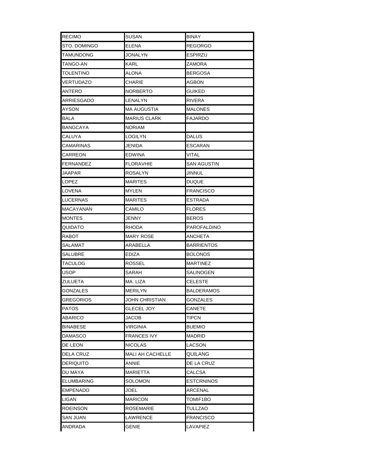| <b>RECIMO</b>     | SUSAN             | <b>BINAY</b>       |
|-------------------|-------------------|--------------------|
| STO. DOMINGO      | ELENA             | <b>REGORGO</b>     |
| TAMUNDONG         | <b>JONALYN</b>    | ESPIRZU            |
| TANGO-AN          | KARL              | ZAMORA             |
| <b>TOLENTINO</b>  | ALONA             | <b>BERGOSA</b>     |
| VERTUDAZO         | CHARIE            | AGBON              |
| ANTERO            | NORBERTO          | GUIKED             |
| ARRIESGADO        | LENALYN           | RIVERA             |
| <b>AYSON</b>      | MA AUGUSTIA       | MALONES            |
| BALA              | MARIUS CLARK      | FAJARDO            |
| <b>BANGCAYA</b>   | NORIAM            |                    |
| CALUYA            | LOGILYN           | DALUS              |
| CAMARINAS         | JENIDA            | ESCARAN            |
| CARREON           | <b>EDWINA</b>     | <b>VITAL</b>       |
| <b>FERNANDEZ</b>  | FLORAVHIE         | <b>SAN AGUSTIN</b> |
| JAAPAR            | ROSALYN           | JINNUL             |
| LOPEZ             | MARITES           | DUQUE              |
| LOVENA            | MYLEN             | <b>FRANCISCO</b>   |
| <b>LUCERNAS</b>   | <b>MARITES</b>    | ESTRADA            |
| <b>MACAYANAN</b>  | CAMILO            | <b>FLORES</b>      |
| <b>MONTES</b>     | JENNY             | BEROS              |
| QUIDATO           | RHODA             | PAROFALDINO        |
| <b>RABOT</b>      | MARY ROSE         | ANCHETA            |
| SALAMAT           | ARABELLA          | BARRIENTOS         |
| <b>SALUBRE</b>    | EDIZA             | BOLONOS            |
| TACULOG           | ROSSEL            | MARTINEZ           |
| USOP              | SARAH             | SALINOGEN          |
| ZULUETA           | ma. Liza          | CELESTE            |
| <b>GONZALES</b>   | <b>MERILYN</b>    | <b>BALDERAMOS</b>  |
| GREGORIOS         | JOHN CHRISTIAN    | GONZALES           |
| <b>PATOS</b>      | <b>GLECEL JOY</b> | CANETE             |
| <b>ABARICO</b>    | JACOB             | TIPCN              |
| <b>BINABESE</b>   | VIRGINIA          | <b>BUEMIO</b>      |
| <b>DAMASCO</b>    | FRANCES IVY       | MADRID             |
| DE LEON           | NICOLAS           | LACSON             |
| DELA CRUZ         | MALI AH CACHELLE  | QUILANG            |
| <b>DERIQUITO</b>  | ANNIE             | DE LA CRUZ         |
| DU MAYA           | MARIETTA          | CALCSA             |
| <b>ELUMBARING</b> | SOLOMON           | ESTCRNINOS         |
| <b>EMPENADO</b>   | JOEL              | ARCENAL            |
| LIGAN             | MARICON           | TOMIF1BO           |
| <b>ROEINSON</b>   | ROSEMARIE         | <b>TULLZAO</b>     |
| <b>SAN JUAN</b>   | LAWRENCE          | FRANCISCO          |
| ANDRADA           | GENIE             | LAVAPIEZ           |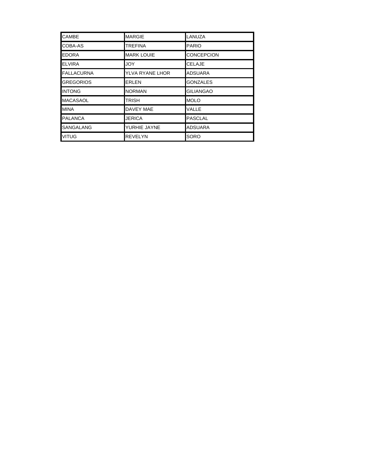| <b>CAMBE</b>      | <b>MARGIE</b>     | LANUZA            |
|-------------------|-------------------|-------------------|
| COBA-AS           | <b>TREFINA</b>    | <b>PARIO</b>      |
| <b>EDORA</b>      | <b>MARK LOUIE</b> | <b>CONCEPCION</b> |
| <b>ELVIRA</b>     | <b>JOY</b>        | <b>CELAJE</b>     |
| <b>FALLACURNA</b> | YLVA RYANE LHOR   | <b>ADSUARA</b>    |
| <b>GREGORIOS</b>  | <b>ERLEN</b>      | <b>GONZALES</b>   |
| <b>INTONG</b>     | <b>NORMAN</b>     | <b>GILIANGAO</b>  |
| <b>MACASAOL</b>   | <b>TRISH</b>      | <b>MOLO</b>       |
| <b>MINA</b>       | <b>DAVEY MAE</b>  | VALLE             |
| <b>PALANCA</b>    | <b>JERICA</b>     | <b>PASCLAL</b>    |
| <b>SANGALANG</b>  | YURHIE JAYNE      | <b>ADSUARA</b>    |
| <b>VITUG</b>      | <b>REVELYN</b>    | <b>SORO</b>       |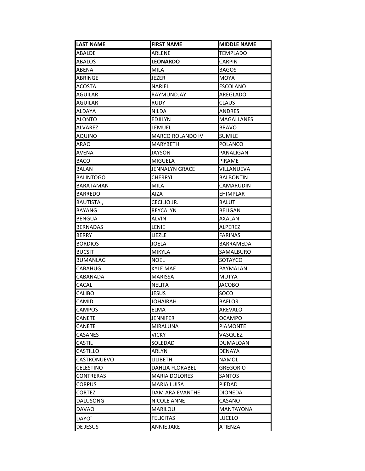| LAST NAME         | <b>FIRST NAME</b>       | <b>MIDDLE NAME</b> |
|-------------------|-------------------------|--------------------|
| ABALDE            | ARLENE                  | <b>TEMPLADO</b>    |
| ABALOS            | <b>LEONARDO</b>         | <b>CARPIN</b>      |
| ABENA             | MILA                    | <b>BAGOS</b>       |
| ABRINGE           | JEZER                   | <b>MOYA</b>        |
| ACOSTA            | <b>NARIEL</b>           | <b>ESCOLANO</b>    |
| <b>AGUILAR</b>    | RAYMUNDJAY              | AREGLADO           |
| AGUILAR           | <b>RUDY</b>             | <b>CLAUS</b>       |
| ALDAYA            | <b>NILDA</b>            | <b>ANDRES</b>      |
| <b>ALONTO</b>     | EDJILYN                 | MAGALLANES         |
| ALVAREZ           | LEMUEL                  | <b>BRAVO</b>       |
| AQUINO            | <b>MARCO ROLANDO IV</b> | <b>SUMILE</b>      |
| ARAO              | <b>MARYBETH</b>         | <b>POLANCO</b>     |
| AVENA             | JAYSON                  | PANALIGAN          |
| <b>BACO</b>       | <b>MIGUELA</b>          | PIRAME             |
| BALAN             | JENNALYN GRACE          | VILLANUEVA         |
| <b>BALINTOGO</b>  | <b>CHERRYL</b>          | <b>BALBONTIN</b>   |
| BARATAMAN         | <b>MILA</b>             | CAMARUDIN          |
| BARREDO           | AIZA                    | <b>EHIMPLAR</b>    |
| BAUTISTA,         | CECILIO JR.             | <b>BALUT</b>       |
| BAYANG            | REYCALYN                | <b>BELIGAN</b>     |
| <b>BENGUA</b>     | <b>ALVIN</b>            | AXALAN             |
| <b>BERNADAS</b>   | LENIE                   | <b>ALPEREZ</b>     |
| BERRY             | LIEZLE                  | <b>FARINAS</b>     |
| <b>BORDIOS</b>    | <b>JOELA</b>            | BARRAMEDA          |
| <b>BUCSIT</b>     | <b>MIKYLA</b>           | SAMALBURO          |
| <b>BUMANLAG</b>   | <b>NOEL</b>             | SOTAYCO            |
| CABAHUG           | <b>KYLE MAE</b>         | PAYMALAN           |
| CABANADA          | <b>MARISSA</b>          | <b>MUTYA</b>       |
| CACAL             | <b>NELITA</b>           | <b>JACOBO</b>      |
| CALIBO            | JESUS                   | SOCO               |
| CAMID             | JOHAIRAH                | <b>BAFLOR</b>      |
| <b>CAMPOS</b>     | <b>ELMA</b>             | <b>AREVALO</b>     |
| CANETE            | JENNIFER                | <b>OCAMPO</b>      |
| CANETE            | <b>MIRALUNA</b>         | <b>PIAMONTE</b>    |
| CASANES           | VICKY                   | VASQUEZ            |
| CASTIL            | SOLEDAD                 | DUMALOAN           |
| CASTILLO          | ARLYN                   | <b>DENAYA</b>      |
| CASTRONUEVO       | LILIBETH                | <b>NAMOL</b>       |
| <b>CELESTINO</b>  | <b>DAHLIA FLORABEL</b>  | <b>GREGORIO</b>    |
| CONTRERAS         | <b>MARIA DOLORES</b>    | SANTOS             |
| CORPUS            | <b>MARIA LUISA</b>      | PIEDAD             |
| <b>CORTEZ</b>     | DAM ARA EVANTHE         | <b>DIONEDA</b>     |
| DALUSONG          | NICOLE ANNE             | CASANO             |
| <b>DAVAO</b>      | MARILOU                 | <b>MANTAYONA</b>   |
| DAYO <sup>-</sup> | <b>FELICITAS</b>        | LUCELO             |
| DE JESUS          | <b>ANNIE JAKE</b>       | <b>ATIENZA</b>     |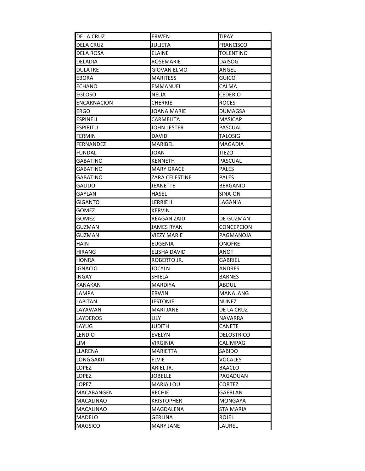| DE LA CRUZ         | ERWEN              | TIPAY             |
|--------------------|--------------------|-------------------|
| <b>DELA CRUZ</b>   | <b>JULIETA</b>     | <b>FRANCISCO</b>  |
| <b>DELA ROSA</b>   | <b>ELAINE</b>      | TOLENTINO         |
| DELADIA            | ROSEMARIE          | <b>DAISOG</b>     |
| <b>DULATRE</b>     | <b>GIOVAN ELMO</b> | ANGEL             |
| EBORA              | MARITESS           | <b>GUICO</b>      |
| ECHANO             | EMMANUEL           | CALMA             |
| <b>EGLOSO</b>      | NELIA              | <b>CEDERIO</b>    |
| <b>ENCARNACION</b> | CHERRIE            | <b>ROCES</b>      |
| <b>ERGO</b>        | JOANA MARIE        | DUMAGSA           |
| ESPINELI           | CARMELITA          | <b>MASICAP</b>    |
| <b>ESPIRITU</b>    | <b>JOHN LESTER</b> | <b>PASCUAL</b>    |
| <b>FERMIN</b>      | DAVID              | <b>TALOSIG</b>    |
| FERNANDEZ          | MARIBEL            | MAGADIA           |
| FUNDAL             | JOAN               | <b>TIEZO</b>      |
| GABATINO           | <b>KENNETH</b>     | <b>PASCUAL</b>    |
| GABATINO           | <b>MARY GRACE</b>  | <b>PALES</b>      |
| GABATINO           | ZARA CELESTINE     | <b>PALES</b>      |
| GALIDO             | JEANETTE           | <b>BERGANIO</b>   |
| GAYLAN             | HASEL              | SINA-ON           |
| GIGANTO            | <b>LERRIE II</b>   | LAGANIA           |
| GOMEZ              | <b>KERVIN</b>      |                   |
| GOMEZ              | REAGAN ZAID        | DE GUZMAN         |
| GUZMAN             | <b>JAMES RYAN</b>  | <b>CONCEPCION</b> |
| GUZMAN             | VIEZY MARIE        | PAGMANOJA         |
| HAIN               | <b>EUGENIA</b>     | <b>ONOFRE</b>     |
| <b>HIRANG</b>      | ELISHA DAVID       | ANOT              |
| HONRA              | ROBERTO JR.        | <b>GABRIEL</b>    |
| IGNACIO            | JOCYLN             | ANDRES            |
| <b>INGAY</b>       | SHIELA             | <b>BARNES</b>     |
| KANAKAN            | <b>MARDIYA</b>     | ABDUL             |
| LAMPA              | <b>ERWIN</b>       | MANALANG          |
| <b>LAPITAN</b>     | <b>JESTONIE</b>    | <b>NUNEZ</b>      |
| LAYAWAN            | <b>MARI JANE</b>   | DE LA CRUZ        |
| <b>LAYDEROS</b>    | LILY               | <b>NAVARRA</b>    |
| LAYUG              | <b>JUDITH</b>      | <b>CANETE</b>     |
| <b>LENDIO</b>      | <b>EVELYN</b>      | DELOSTRICO        |
| LIM                | VIRGINIA           | <b>CALIMPAG</b>   |
| LLARENA            | MARIETTA           | SABIDO            |
| LONGGAKIT          | ELVIE              | <b>VOCALES</b>    |
| LOPEZ              | ARIEL JR.          | <b>BAACLO</b>     |
| LOPEZ              | <b>JOBELLE</b>     | PAGADUAN          |
| LOPEZ              | <b>MARIA LOU</b>   | <b>CORTEZ</b>     |
| MACABANGEN         | <b>RECHIE</b>      | GAERLAN           |
| <b>MACALINAO</b>   | <b>KRISTOPHER</b>  | <b>MONGAYA</b>    |
| <b>MACALINAO</b>   | MAGDALENA          | <b>STA MARIA</b>  |
| MADELO             | GERLINA            | <b>ROJEL</b>      |
| <b>MAGSICO</b>     | <b>MARY JANE</b>   | LAUREL            |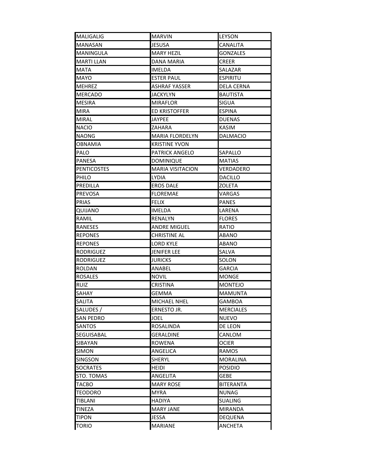| <b>JESUSA</b><br>CANALITA<br><b>MANASAN</b><br><b>MANINGULA</b><br><b>MARY HEZIL</b><br>GONZALES<br><b>MARTI LLAN</b><br>DANA MARIA<br><b>CREER</b><br><b>MATA</b><br><b>IMELDA</b><br>SALAZAR<br><b>MAYO</b><br><b>ESTER PAUL</b><br><b>ESPIRITU</b><br><b>MEHREZ</b><br><b>ASHRAF YASSER</b><br>DELA CERNA<br><b>MERCADO</b><br><b>JACKYLYN</b><br><b>BAUTISTA</b><br><b>SIGUA</b><br><b>MESIRA</b><br><b>MIRAFLOR</b><br>ED KRISTOFFER<br>ESPINA<br>MIRA<br><b>JAYPEE</b><br><b>DUENAS</b><br><b>MIRAL</b><br>ZAHARA<br><b>KASIM</b><br><b>NACIO</b><br><b>NAONG</b><br><b>MARIA FLORDELYN</b><br>DALMACIO<br><b>OBNAMIA</b><br><b>KRISTINE YVON</b><br>PALO<br><b>PATRICK ANGELO</b><br>SAPALLO<br>PANESA<br><b>DOMINIQUE</b><br><b>MATIAS</b><br><b>PENTICOSTES</b><br><b>MARIA VISITACION</b><br>VERDADERO<br>PHILO<br><b>LYDIA</b><br><b>DACILLO</b><br>PREDILLA<br><b>EROS DALE</b><br><b>ZOLETA</b><br><b>PREVOSA</b><br><b>FLOREMAE</b><br>VARGAS<br><b>PRIAS</b><br><b>FELIX</b><br><b>PANES</b><br>QUIJANO<br>IMELDA<br>LARENA<br>RAMIL<br><b>RENALYN</b><br><b>FLORES</b><br><b>RANESES</b><br><b>ANDRE MIGUEL</b><br>RATIO<br><b>REPONES</b><br><b>CHRISTINE AL</b><br>ABANO<br><b>REPONES</b><br>LORD KYLE<br>ABANO<br><b>JENIFER LEE</b><br><b>RODRIGUEZ</b><br>SALVA<br><b>JURICKS</b><br>SOLON<br>RODRIGUEZ<br><b>ROLDAN</b><br>ANABEL<br><b>GARCIA</b><br><b>ROSALES</b><br><b>NOVIL</b><br><b>MONGE</b><br><b>RUIZ</b><br><b>CRISTINA</b><br><b>MONTEJO</b><br>SAHAY<br>GEMMA<br><b>MAMUNTA</b><br>SALITA<br>MICHAEL NHEL<br><b>GAMBOA</b><br>SALUDES /<br><b>MERCIALES</b><br>ERNESTO JR.<br><b>SAN PEDRO</b><br><b>NUEVO</b><br>JOEL<br><b>SANTOS</b><br><b>ROSALINDA</b><br>DE LEON<br>SEGUISABAL<br><b>GERALDINE</b><br>CANLOM<br>SIBAYAN<br><b>ROWENA</b><br><b>OCIER</b><br>SIMON<br>ANGELICA<br><b>RAMOS</b><br>SHERYL<br><b>SINGSON</b><br><b>MORALINA</b><br><b>POSIDIO</b><br><b>SOCRATES</b><br><b>HEIDI</b><br>STO. TOMAS<br>ANGELITA<br>GEBE<br><b>MARY ROSE</b><br><b>BITERANTA</b><br>TACBO<br>TEODORO<br><b>MYRA</b><br><b>NUNAG</b><br><b>TIBLANI</b><br><b>SUALING</b><br><b>HADIYA</b><br><b>MARY JANE</b><br>TINEZA<br><b>MIRANDA</b><br><b>TIPON</b><br>JESSA<br><b>DEQUENA</b> | <b>MALIGALIG</b> | <b>MARVIN</b> | LEYSON         |
|--------------------------------------------------------------------------------------------------------------------------------------------------------------------------------------------------------------------------------------------------------------------------------------------------------------------------------------------------------------------------------------------------------------------------------------------------------------------------------------------------------------------------------------------------------------------------------------------------------------------------------------------------------------------------------------------------------------------------------------------------------------------------------------------------------------------------------------------------------------------------------------------------------------------------------------------------------------------------------------------------------------------------------------------------------------------------------------------------------------------------------------------------------------------------------------------------------------------------------------------------------------------------------------------------------------------------------------------------------------------------------------------------------------------------------------------------------------------------------------------------------------------------------------------------------------------------------------------------------------------------------------------------------------------------------------------------------------------------------------------------------------------------------------------------------------------------------------------------------------------------------------------------------------------------------------------------------------------------------------------------------------------------------------------------------------------------------------------------------------------------------------------------------------------------------------------------------------------------|------------------|---------------|----------------|
|                                                                                                                                                                                                                                                                                                                                                                                                                                                                                                                                                                                                                                                                                                                                                                                                                                                                                                                                                                                                                                                                                                                                                                                                                                                                                                                                                                                                                                                                                                                                                                                                                                                                                                                                                                                                                                                                                                                                                                                                                                                                                                                                                                                                                          |                  |               |                |
|                                                                                                                                                                                                                                                                                                                                                                                                                                                                                                                                                                                                                                                                                                                                                                                                                                                                                                                                                                                                                                                                                                                                                                                                                                                                                                                                                                                                                                                                                                                                                                                                                                                                                                                                                                                                                                                                                                                                                                                                                                                                                                                                                                                                                          |                  |               |                |
|                                                                                                                                                                                                                                                                                                                                                                                                                                                                                                                                                                                                                                                                                                                                                                                                                                                                                                                                                                                                                                                                                                                                                                                                                                                                                                                                                                                                                                                                                                                                                                                                                                                                                                                                                                                                                                                                                                                                                                                                                                                                                                                                                                                                                          |                  |               |                |
|                                                                                                                                                                                                                                                                                                                                                                                                                                                                                                                                                                                                                                                                                                                                                                                                                                                                                                                                                                                                                                                                                                                                                                                                                                                                                                                                                                                                                                                                                                                                                                                                                                                                                                                                                                                                                                                                                                                                                                                                                                                                                                                                                                                                                          |                  |               |                |
|                                                                                                                                                                                                                                                                                                                                                                                                                                                                                                                                                                                                                                                                                                                                                                                                                                                                                                                                                                                                                                                                                                                                                                                                                                                                                                                                                                                                                                                                                                                                                                                                                                                                                                                                                                                                                                                                                                                                                                                                                                                                                                                                                                                                                          |                  |               |                |
|                                                                                                                                                                                                                                                                                                                                                                                                                                                                                                                                                                                                                                                                                                                                                                                                                                                                                                                                                                                                                                                                                                                                                                                                                                                                                                                                                                                                                                                                                                                                                                                                                                                                                                                                                                                                                                                                                                                                                                                                                                                                                                                                                                                                                          |                  |               |                |
|                                                                                                                                                                                                                                                                                                                                                                                                                                                                                                                                                                                                                                                                                                                                                                                                                                                                                                                                                                                                                                                                                                                                                                                                                                                                                                                                                                                                                                                                                                                                                                                                                                                                                                                                                                                                                                                                                                                                                                                                                                                                                                                                                                                                                          |                  |               |                |
|                                                                                                                                                                                                                                                                                                                                                                                                                                                                                                                                                                                                                                                                                                                                                                                                                                                                                                                                                                                                                                                                                                                                                                                                                                                                                                                                                                                                                                                                                                                                                                                                                                                                                                                                                                                                                                                                                                                                                                                                                                                                                                                                                                                                                          |                  |               |                |
|                                                                                                                                                                                                                                                                                                                                                                                                                                                                                                                                                                                                                                                                                                                                                                                                                                                                                                                                                                                                                                                                                                                                                                                                                                                                                                                                                                                                                                                                                                                                                                                                                                                                                                                                                                                                                                                                                                                                                                                                                                                                                                                                                                                                                          |                  |               |                |
|                                                                                                                                                                                                                                                                                                                                                                                                                                                                                                                                                                                                                                                                                                                                                                                                                                                                                                                                                                                                                                                                                                                                                                                                                                                                                                                                                                                                                                                                                                                                                                                                                                                                                                                                                                                                                                                                                                                                                                                                                                                                                                                                                                                                                          |                  |               |                |
|                                                                                                                                                                                                                                                                                                                                                                                                                                                                                                                                                                                                                                                                                                                                                                                                                                                                                                                                                                                                                                                                                                                                                                                                                                                                                                                                                                                                                                                                                                                                                                                                                                                                                                                                                                                                                                                                                                                                                                                                                                                                                                                                                                                                                          |                  |               |                |
|                                                                                                                                                                                                                                                                                                                                                                                                                                                                                                                                                                                                                                                                                                                                                                                                                                                                                                                                                                                                                                                                                                                                                                                                                                                                                                                                                                                                                                                                                                                                                                                                                                                                                                                                                                                                                                                                                                                                                                                                                                                                                                                                                                                                                          |                  |               |                |
|                                                                                                                                                                                                                                                                                                                                                                                                                                                                                                                                                                                                                                                                                                                                                                                                                                                                                                                                                                                                                                                                                                                                                                                                                                                                                                                                                                                                                                                                                                                                                                                                                                                                                                                                                                                                                                                                                                                                                                                                                                                                                                                                                                                                                          |                  |               |                |
|                                                                                                                                                                                                                                                                                                                                                                                                                                                                                                                                                                                                                                                                                                                                                                                                                                                                                                                                                                                                                                                                                                                                                                                                                                                                                                                                                                                                                                                                                                                                                                                                                                                                                                                                                                                                                                                                                                                                                                                                                                                                                                                                                                                                                          |                  |               |                |
|                                                                                                                                                                                                                                                                                                                                                                                                                                                                                                                                                                                                                                                                                                                                                                                                                                                                                                                                                                                                                                                                                                                                                                                                                                                                                                                                                                                                                                                                                                                                                                                                                                                                                                                                                                                                                                                                                                                                                                                                                                                                                                                                                                                                                          |                  |               |                |
|                                                                                                                                                                                                                                                                                                                                                                                                                                                                                                                                                                                                                                                                                                                                                                                                                                                                                                                                                                                                                                                                                                                                                                                                                                                                                                                                                                                                                                                                                                                                                                                                                                                                                                                                                                                                                                                                                                                                                                                                                                                                                                                                                                                                                          |                  |               |                |
|                                                                                                                                                                                                                                                                                                                                                                                                                                                                                                                                                                                                                                                                                                                                                                                                                                                                                                                                                                                                                                                                                                                                                                                                                                                                                                                                                                                                                                                                                                                                                                                                                                                                                                                                                                                                                                                                                                                                                                                                                                                                                                                                                                                                                          |                  |               |                |
|                                                                                                                                                                                                                                                                                                                                                                                                                                                                                                                                                                                                                                                                                                                                                                                                                                                                                                                                                                                                                                                                                                                                                                                                                                                                                                                                                                                                                                                                                                                                                                                                                                                                                                                                                                                                                                                                                                                                                                                                                                                                                                                                                                                                                          |                  |               |                |
|                                                                                                                                                                                                                                                                                                                                                                                                                                                                                                                                                                                                                                                                                                                                                                                                                                                                                                                                                                                                                                                                                                                                                                                                                                                                                                                                                                                                                                                                                                                                                                                                                                                                                                                                                                                                                                                                                                                                                                                                                                                                                                                                                                                                                          |                  |               |                |
|                                                                                                                                                                                                                                                                                                                                                                                                                                                                                                                                                                                                                                                                                                                                                                                                                                                                                                                                                                                                                                                                                                                                                                                                                                                                                                                                                                                                                                                                                                                                                                                                                                                                                                                                                                                                                                                                                                                                                                                                                                                                                                                                                                                                                          |                  |               |                |
|                                                                                                                                                                                                                                                                                                                                                                                                                                                                                                                                                                                                                                                                                                                                                                                                                                                                                                                                                                                                                                                                                                                                                                                                                                                                                                                                                                                                                                                                                                                                                                                                                                                                                                                                                                                                                                                                                                                                                                                                                                                                                                                                                                                                                          |                  |               |                |
|                                                                                                                                                                                                                                                                                                                                                                                                                                                                                                                                                                                                                                                                                                                                                                                                                                                                                                                                                                                                                                                                                                                                                                                                                                                                                                                                                                                                                                                                                                                                                                                                                                                                                                                                                                                                                                                                                                                                                                                                                                                                                                                                                                                                                          |                  |               |                |
|                                                                                                                                                                                                                                                                                                                                                                                                                                                                                                                                                                                                                                                                                                                                                                                                                                                                                                                                                                                                                                                                                                                                                                                                                                                                                                                                                                                                                                                                                                                                                                                                                                                                                                                                                                                                                                                                                                                                                                                                                                                                                                                                                                                                                          |                  |               |                |
|                                                                                                                                                                                                                                                                                                                                                                                                                                                                                                                                                                                                                                                                                                                                                                                                                                                                                                                                                                                                                                                                                                                                                                                                                                                                                                                                                                                                                                                                                                                                                                                                                                                                                                                                                                                                                                                                                                                                                                                                                                                                                                                                                                                                                          |                  |               |                |
|                                                                                                                                                                                                                                                                                                                                                                                                                                                                                                                                                                                                                                                                                                                                                                                                                                                                                                                                                                                                                                                                                                                                                                                                                                                                                                                                                                                                                                                                                                                                                                                                                                                                                                                                                                                                                                                                                                                                                                                                                                                                                                                                                                                                                          |                  |               |                |
|                                                                                                                                                                                                                                                                                                                                                                                                                                                                                                                                                                                                                                                                                                                                                                                                                                                                                                                                                                                                                                                                                                                                                                                                                                                                                                                                                                                                                                                                                                                                                                                                                                                                                                                                                                                                                                                                                                                                                                                                                                                                                                                                                                                                                          |                  |               |                |
|                                                                                                                                                                                                                                                                                                                                                                                                                                                                                                                                                                                                                                                                                                                                                                                                                                                                                                                                                                                                                                                                                                                                                                                                                                                                                                                                                                                                                                                                                                                                                                                                                                                                                                                                                                                                                                                                                                                                                                                                                                                                                                                                                                                                                          |                  |               |                |
|                                                                                                                                                                                                                                                                                                                                                                                                                                                                                                                                                                                                                                                                                                                                                                                                                                                                                                                                                                                                                                                                                                                                                                                                                                                                                                                                                                                                                                                                                                                                                                                                                                                                                                                                                                                                                                                                                                                                                                                                                                                                                                                                                                                                                          |                  |               |                |
|                                                                                                                                                                                                                                                                                                                                                                                                                                                                                                                                                                                                                                                                                                                                                                                                                                                                                                                                                                                                                                                                                                                                                                                                                                                                                                                                                                                                                                                                                                                                                                                                                                                                                                                                                                                                                                                                                                                                                                                                                                                                                                                                                                                                                          |                  |               |                |
|                                                                                                                                                                                                                                                                                                                                                                                                                                                                                                                                                                                                                                                                                                                                                                                                                                                                                                                                                                                                                                                                                                                                                                                                                                                                                                                                                                                                                                                                                                                                                                                                                                                                                                                                                                                                                                                                                                                                                                                                                                                                                                                                                                                                                          |                  |               |                |
|                                                                                                                                                                                                                                                                                                                                                                                                                                                                                                                                                                                                                                                                                                                                                                                                                                                                                                                                                                                                                                                                                                                                                                                                                                                                                                                                                                                                                                                                                                                                                                                                                                                                                                                                                                                                                                                                                                                                                                                                                                                                                                                                                                                                                          |                  |               |                |
|                                                                                                                                                                                                                                                                                                                                                                                                                                                                                                                                                                                                                                                                                                                                                                                                                                                                                                                                                                                                                                                                                                                                                                                                                                                                                                                                                                                                                                                                                                                                                                                                                                                                                                                                                                                                                                                                                                                                                                                                                                                                                                                                                                                                                          |                  |               |                |
|                                                                                                                                                                                                                                                                                                                                                                                                                                                                                                                                                                                                                                                                                                                                                                                                                                                                                                                                                                                                                                                                                                                                                                                                                                                                                                                                                                                                                                                                                                                                                                                                                                                                                                                                                                                                                                                                                                                                                                                                                                                                                                                                                                                                                          |                  |               |                |
|                                                                                                                                                                                                                                                                                                                                                                                                                                                                                                                                                                                                                                                                                                                                                                                                                                                                                                                                                                                                                                                                                                                                                                                                                                                                                                                                                                                                                                                                                                                                                                                                                                                                                                                                                                                                                                                                                                                                                                                                                                                                                                                                                                                                                          |                  |               |                |
|                                                                                                                                                                                                                                                                                                                                                                                                                                                                                                                                                                                                                                                                                                                                                                                                                                                                                                                                                                                                                                                                                                                                                                                                                                                                                                                                                                                                                                                                                                                                                                                                                                                                                                                                                                                                                                                                                                                                                                                                                                                                                                                                                                                                                          |                  |               |                |
|                                                                                                                                                                                                                                                                                                                                                                                                                                                                                                                                                                                                                                                                                                                                                                                                                                                                                                                                                                                                                                                                                                                                                                                                                                                                                                                                                                                                                                                                                                                                                                                                                                                                                                                                                                                                                                                                                                                                                                                                                                                                                                                                                                                                                          |                  |               |                |
|                                                                                                                                                                                                                                                                                                                                                                                                                                                                                                                                                                                                                                                                                                                                                                                                                                                                                                                                                                                                                                                                                                                                                                                                                                                                                                                                                                                                                                                                                                                                                                                                                                                                                                                                                                                                                                                                                                                                                                                                                                                                                                                                                                                                                          |                  |               |                |
|                                                                                                                                                                                                                                                                                                                                                                                                                                                                                                                                                                                                                                                                                                                                                                                                                                                                                                                                                                                                                                                                                                                                                                                                                                                                                                                                                                                                                                                                                                                                                                                                                                                                                                                                                                                                                                                                                                                                                                                                                                                                                                                                                                                                                          |                  |               |                |
|                                                                                                                                                                                                                                                                                                                                                                                                                                                                                                                                                                                                                                                                                                                                                                                                                                                                                                                                                                                                                                                                                                                                                                                                                                                                                                                                                                                                                                                                                                                                                                                                                                                                                                                                                                                                                                                                                                                                                                                                                                                                                                                                                                                                                          |                  |               |                |
|                                                                                                                                                                                                                                                                                                                                                                                                                                                                                                                                                                                                                                                                                                                                                                                                                                                                                                                                                                                                                                                                                                                                                                                                                                                                                                                                                                                                                                                                                                                                                                                                                                                                                                                                                                                                                                                                                                                                                                                                                                                                                                                                                                                                                          |                  |               |                |
|                                                                                                                                                                                                                                                                                                                                                                                                                                                                                                                                                                                                                                                                                                                                                                                                                                                                                                                                                                                                                                                                                                                                                                                                                                                                                                                                                                                                                                                                                                                                                                                                                                                                                                                                                                                                                                                                                                                                                                                                                                                                                                                                                                                                                          |                  |               |                |
|                                                                                                                                                                                                                                                                                                                                                                                                                                                                                                                                                                                                                                                                                                                                                                                                                                                                                                                                                                                                                                                                                                                                                                                                                                                                                                                                                                                                                                                                                                                                                                                                                                                                                                                                                                                                                                                                                                                                                                                                                                                                                                                                                                                                                          |                  |               |                |
|                                                                                                                                                                                                                                                                                                                                                                                                                                                                                                                                                                                                                                                                                                                                                                                                                                                                                                                                                                                                                                                                                                                                                                                                                                                                                                                                                                                                                                                                                                                                                                                                                                                                                                                                                                                                                                                                                                                                                                                                                                                                                                                                                                                                                          |                  |               |                |
|                                                                                                                                                                                                                                                                                                                                                                                                                                                                                                                                                                                                                                                                                                                                                                                                                                                                                                                                                                                                                                                                                                                                                                                                                                                                                                                                                                                                                                                                                                                                                                                                                                                                                                                                                                                                                                                                                                                                                                                                                                                                                                                                                                                                                          |                  |               |                |
|                                                                                                                                                                                                                                                                                                                                                                                                                                                                                                                                                                                                                                                                                                                                                                                                                                                                                                                                                                                                                                                                                                                                                                                                                                                                                                                                                                                                                                                                                                                                                                                                                                                                                                                                                                                                                                                                                                                                                                                                                                                                                                                                                                                                                          |                  |               |                |
|                                                                                                                                                                                                                                                                                                                                                                                                                                                                                                                                                                                                                                                                                                                                                                                                                                                                                                                                                                                                                                                                                                                                                                                                                                                                                                                                                                                                                                                                                                                                                                                                                                                                                                                                                                                                                                                                                                                                                                                                                                                                                                                                                                                                                          |                  |               |                |
|                                                                                                                                                                                                                                                                                                                                                                                                                                                                                                                                                                                                                                                                                                                                                                                                                                                                                                                                                                                                                                                                                                                                                                                                                                                                                                                                                                                                                                                                                                                                                                                                                                                                                                                                                                                                                                                                                                                                                                                                                                                                                                                                                                                                                          | <b>TORIO</b>     | MARIANE       | <b>ANCHETA</b> |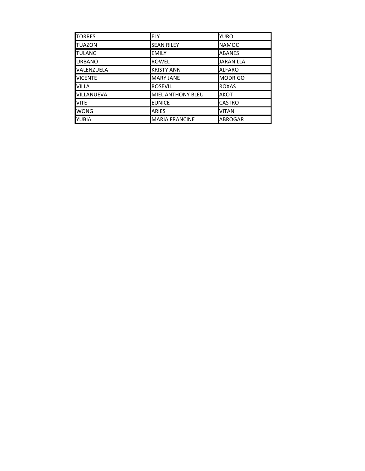| <b>TORRES</b>     | <b>ELY</b>               | <b>YURO</b>      |
|-------------------|--------------------------|------------------|
| <b>TUAZON</b>     | <b>SEAN RILEY</b>        | <b>NAMOC</b>     |
| <b>TULANG</b>     | <b>EMILY</b>             | <b>ABANES</b>    |
| <b>URBANO</b>     | <b>ROWEL</b>             | <b>JARANILLA</b> |
| VALENZUELA        | <b>KRISTY ANN</b>        | <b>ALFARO</b>    |
| <b>VICENTE</b>    | <b>MARY JANE</b>         | <b>MODRIGO</b>   |
| <b>VILLA</b>      | <b>ROSEVIL</b>           | <b>ROXAS</b>     |
| <b>VILLANUEVA</b> | <b>MIEL ANTHONY BLEU</b> | <b>AKOT</b>      |
| <b>VITE</b>       | <b>EUNICE</b>            | <b>CASTRO</b>    |
| <b>WONG</b>       | <b>ARIES</b>             | <b>VITAN</b>     |
| <b>YUBIA</b>      | <b>MARIA FRANCINE</b>    | <b>ABROGAR</b>   |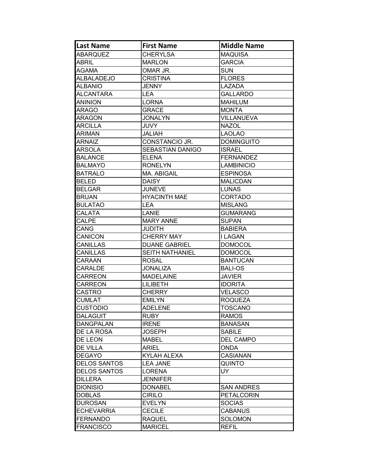| <b>Last Name</b>    | <b>First Name</b>       | <b>Middle Name</b> |
|---------------------|-------------------------|--------------------|
| <b>ABARQUEZ</b>     | <b>CHERYLSA</b>         | <b>MAQUISA</b>     |
| <b>ABRIL</b>        | <b>MARLON</b>           | <b>GARCIA</b>      |
| AGAMA               | OMAR JR.                | <b>SUN</b>         |
| <b>ALBALADEJO</b>   | <b>CRISTINA</b>         | <b>FLORES</b>      |
| <b>ALBANIO</b>      | <b>JENNY</b>            | LAZADA             |
| <b>ALCANTARA</b>    | <b>LEA</b>              | <b>GALLARDO</b>    |
| <b>ANINION</b>      | <b>LORNA</b>            | <b>MAHILUM</b>     |
| <b>ARAGO</b>        | <b>GRACE</b>            | <b>MONTA</b>       |
| <b>ARAGON</b>       | <b>JONALYN</b>          | <b>VILLANUEVA</b>  |
| <b>ARCILLA</b>      | <b>JUVY</b>             | <b>NAZOL</b>       |
| <b>ARIMAN</b>       | JALIAH                  | <b>LAOLAO</b>      |
| ARNAIZ              | CONSTANCIO JR.          | <b>DOMINGUITO</b>  |
| <b>ARSOLA</b>       | <b>SEBASTIAN DANIGO</b> | <b>ISRAEL</b>      |
| <b>BALANCE</b>      | <b>ELENA</b>            | <b>FERNANDEZ</b>   |
| <b>BALMAYO</b>      | <b>RONELYN</b>          | <b>LAMBINICIO</b>  |
| <b>BATRALO</b>      | MA. ABIGAIL             | <b>ESPINOSA</b>    |
| <b>BELED</b>        | <b>DAISY</b>            | <b>MALICDAN</b>    |
| <b>BELGAR</b>       | <b>JUNEVE</b>           | <b>LUNAS</b>       |
| <b>BRUAN</b>        | <b>HYACINTH MAE</b>     | <b>CORTADO</b>     |
| <b>BULATAO</b>      | <b>LEA</b>              | <b>MISLANG</b>     |
| CALATA              | LANIE                   | <b>GUMARANG</b>    |
| <b>CALPE</b>        | <b>MARY ANNE</b>        | <b>SUPAN</b>       |
| CANG                | <b>JUDITH</b>           | <b>BABIERA</b>     |
| <b>CANICON</b>      | <b>CHERRY MAY</b>       | I LAGAN            |
| <b>CANILLAS</b>     | <b>DUANE GABRIEL</b>    | <b>DOMOCOL</b>     |
| CANILLAS            | <b>SEITH NATHANIEL</b>  | <b>DOMOCOL</b>     |
| CARAAN              | <b>ROSAL</b>            | <b>BANTUCAN</b>    |
| <b>CARALDE</b>      | <b>JONALIZA</b>         | <b>BALI-OS</b>     |
| <b>CARREON</b>      | <b>MADELAINE</b>        | <b>JAVIER</b>      |
| CARREON             | <b>LILIBETH</b>         | <b>IDORITA</b>     |
| <b>CASTRO</b>       | <b>CHERRY</b>           | <b>VELASCO</b>     |
| <b>CUMLAT</b>       | <b>EMILYN</b>           | <b>ROQUEZA</b>     |
| <b>CUSTODIO</b>     | <b>ADELENE</b>          | <b>TOSCANO</b>     |
| <b>DALAGUIT</b>     | <b>RUBY</b>             | <b>RAMOS</b>       |
| <b>DANGPALAN</b>    | <b>IRENE</b>            | <b>BANASAN</b>     |
| <b>DE LA ROSA</b>   | <b>JOSEPH</b>           | <b>SABILE</b>      |
| <b>DE LEON</b>      | <b>MABEL</b>            | <b>DEL CAMPO</b>   |
| DE VILLA            | ARIEL                   | <b>ONDA</b>        |
| <b>DEGAYO</b>       | KYLAH ALEXA             | <b>CASIANAN</b>    |
| <b>DELOS SANTOS</b> | <b>LEA JANE</b>         | <b>QUINTO</b>      |
| <b>DELOS SANTOS</b> | <b>LORENA</b>           | UY.                |
| <b>DILLERA</b>      | <b>JENNIFER</b>         |                    |
| <b>DIONISIO</b>     | <b>DONABEL</b>          | <b>SAN ANDRES</b>  |
| <b>DOBLAS</b>       | <b>CIRILO</b>           | <b>PETALCORIN</b>  |
| <b>DUROSAN</b>      | <b>EVELYN</b>           | <b>SOCIAS</b>      |
| <b>ECHEVARRIA</b>   | <b>CECILE</b>           | <b>CABANUS</b>     |
| <b>FERNANDO</b>     | <b>RAQUEL</b>           | <b>SOLOMON</b>     |
| <b>FRANCISCO</b>    | <b>MARICEL</b>          | <b>REFIL</b>       |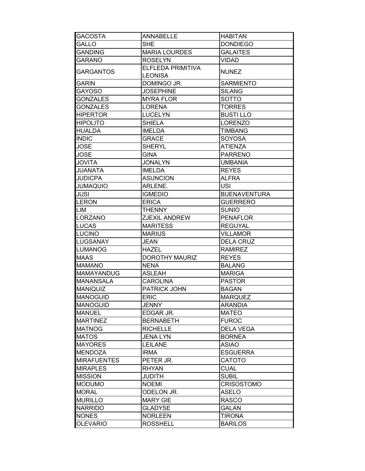| <b>GACOSTA</b>     | <b>ANNABELLE</b>             | <b>HABITAN</b>      |
|--------------------|------------------------------|---------------------|
| GALLO              | <b>SHE</b>                   | <b>DONDIEGO</b>     |
| <b>GANDING</b>     | <b>MARIA LOURDES</b>         | <b>GALAITES</b>     |
| <b>GARANO</b>      | <b>ROSELYN</b>               | <b>VIDAD</b>        |
| <b>GARGANTOS</b>   | ELFLEDA PRIMITIVA<br>LEONISA | <b>NUNEZ</b>        |
| <b>GARIN</b>       | DOMINGO JR.                  | <b>SARMIENTO</b>    |
| <b>GAYOSO</b>      | <b>JOSEPHINE</b>             | <b>SILANG</b>       |
| <b>GONZALES</b>    | <b>MYRA FLOR</b>             | <b>SOTTO</b>        |
| <b>GONZALES</b>    | <b>LORENA</b>                | <b>TORRES</b>       |
| <b>HIPERTOR</b>    | <b>LUCELYN</b>               | <b>BUSTILLO</b>     |
| <b>HIPOLITO</b>    | <b>SHIELA</b>                | <b>LORENZO</b>      |
| <b>HUALDA</b>      | <b>IMELDA</b>                | <b>TIMBANG</b>      |
| <b>INDIC</b>       | <b>GRACE</b>                 | <b>SOYOSA</b>       |
| <b>JOSE</b>        | <b>SHERYL</b>                | <b>ATIENZA</b>      |
| <b>JOSE</b>        | <b>GINA</b>                  | <b>PARRENO</b>      |
| <b>JOVITA</b>      | <b>JONALYN</b>               | <b>UMBANIA</b>      |
| <b>JUANATA</b>     | <b>IMELDA</b>                | <b>REYES</b>        |
| <b>JUDICPA</b>     | <b>ASUNCION</b>              | <b>ALFRA</b>        |
| <b>JUMAQUIO</b>    | ARLENE.                      | <b>USI</b>          |
| <b>JUSI</b>        | <b>IGMEDIO</b>               | <b>BUENAVENTURA</b> |
| <b>LERON</b>       | <b>ERICA</b>                 | <b>GUERRERO</b>     |
| LIM                | <b>THENNY</b>                | <b>SUNIO</b>        |
| <b>LORZANO</b>     | ZJEXIL ANDREW                | <b>PENAFLOR</b>     |
| LUCAS              | <b>MARITESS</b>              | <b>REGUYAL</b>      |
| <b>LUCINO</b>      | <b>MARIUS</b>                | <b>VILLAMOR</b>     |
| <b>LUGSANAY</b>    | <b>JEAN</b>                  | <b>DELA CRUZ</b>    |
| <b>LUMANOG</b>     | <b>HAZEL</b>                 | <b>RAMIREZ</b>      |
| <b>MAAS</b>        | <b>DOROTHY MAURIZ</b>        | <b>REYES</b>        |
| <b>MAMANO</b>      | <b>NENA</b>                  | <b>BALANG</b>       |
| <b>MAMAYANDUG</b>  | <b>ASLEAH</b>                | <b>MARIGA</b>       |
| <b>MANANSALA</b>   | <b>CAROLINA</b>              | <b>PASTOR</b>       |
| <b>MANIQUIZ</b>    | PATRICK JOHN                 | <b>BAGAN</b>        |
| <b>MANOGUID</b>    | <b>ERIC</b>                  | <b>MARQUEZ</b>      |
| <b>MANOGUID</b>    | <b>JENNY</b>                 | <b>ARANDIA</b>      |
| <b>MANUEL</b>      | EDGAR JR.                    | <b>MATEO</b>        |
| <b>MARTINEZ</b>    | <b>BERNABETH</b>             | <b>FUROC</b>        |
| <b>MATNOG</b>      | <b>RICHELLE</b>              | <b>DELA VEGA</b>    |
| <b>MATOS</b>       | <b>JENA LYN</b>              | <b>BORNEA</b>       |
| <b>MAYORES</b>     | <b>LEILANE</b>               | <b>ASIAO</b>        |
| <b>MENDOZA</b>     | <b>IRMA</b>                  | <b>ESGUERRA</b>     |
| <b>MIRAFUENTES</b> | PETER JR.                    | <b>CATOTO</b>       |
| <b>MIRAPLES</b>    | <b>RHYAN</b>                 | <b>CUAL</b>         |
| <b>MISSION</b>     | <b>JUDITH</b>                | <b>SUBIL</b>        |
| <b>MODUMO</b>      | <b>NOEMI</b>                 | <b>CRISOSTOMO</b>   |
| <b>MORAL</b>       | ODELON JR.                   | <b>ASELO</b>        |
| <b>MURILLO</b>     | <b>MARY GIE</b>              | <b>RASCO</b>        |
| <b>NARRIDO</b>     | <b>GLADYSE</b>               | <b>GALAN</b>        |
| <b>NONES</b>       | <b>NORLEEN</b>               | <b>TIRONA</b>       |
| <b>OLEVARIO</b>    | <b>ROSSHELL</b>              | <b>BARILOS</b>      |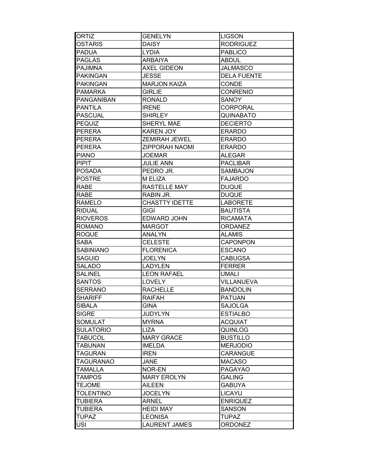| <b>ORTIZ</b>      | <b>GENELYN</b>        | <b>LIGSON</b>      |
|-------------------|-----------------------|--------------------|
| <b>OSTARIS</b>    | <b>DAISY</b>          | <b>RODRIGUEZ</b>   |
| <b>PADUA</b>      | <b>LYDIA</b>          | <b>PABLICO</b>     |
| <b>PAGLAS</b>     | <b>ARBAIYA</b>        | <b>ABDUL</b>       |
| <b>PAJIMNA</b>    | <b>AXEL GIDEON</b>    | <b>JALMASCO</b>    |
| <b>PAKINGAN</b>   | <b>JESSE</b>          | <b>DELA FUENTE</b> |
| <b>PAKINGAN</b>   | <b>MARJON KAIZA</b>   | CONDE              |
| <b>PAMARKA</b>    | <b>GIRLIE</b>         | <b>CONRENIO</b>    |
| <b>PANGANIBAN</b> | <b>RONALD</b>         | <b>SANOY</b>       |
| <b>PANTILA</b>    | <b>IRENE</b>          | <b>CORPORAL</b>    |
| <b>PASCUAL</b>    | <b>SHIRLEY</b>        | QUINABATO          |
| <b>PEQUIZ</b>     | SHERYL MAE            | <b>DECIERTO</b>    |
| <b>PERERA</b>     | <b>KAREN JOY</b>      | <b>ERARDO</b>      |
| <b>PERERA</b>     | ZEMIRAH JEWEL         | <b>ERARDO</b>      |
| <b>PERERA</b>     | <b>ZIPPORAH NAOMI</b> | <b>ERARDO</b>      |
| <b>PIANO</b>      | <b>JOEMAR</b>         | <b>ALEGAR</b>      |
| <b>PIPIT</b>      | <b>JULIE ANN</b>      | <b>PACLIBAR</b>    |
| <b>POSADA</b>     | PEDRO JR.             | <b>SAMBAJON</b>    |
| <b>POSTRE</b>     | M ELIZA               | <b>FAJARDO</b>     |
| <b>RABE</b>       | <b>RASTELLE MAY</b>   | <b>DUQUE</b>       |
| <b>RABE</b>       | RABIN JR.             | <b>DUQUE</b>       |
| <b>RAMELO</b>     | <b>CHASTTY IDETTE</b> | <b>LABORETE</b>    |
| <b>RIDUAL</b>     | <b>GIGI</b>           | <b>BAUTISTA</b>    |
| <b>RIOVEROS</b>   | <b>EDWARD JOHN</b>    | <b>RICAMATA</b>    |
| <b>ROMANO</b>     | <b>MARGOT</b>         | <b>ORDANEZ</b>     |
| <b>ROQUE</b>      | <b>ANALYN</b>         | <b>ALAMIS</b>      |
| SABA              | <b>CELESTE</b>        | <b>CAPONPON</b>    |
| <b>SABINIANO</b>  | <b>FLORENICA</b>      | <b>ESCANO</b>      |
| <b>SAGUID</b>     | <b>JOELYN</b>         | <b>CABUGSA</b>     |
| <b>SALADO</b>     | <b>LADYLEN</b>        | <b>FERRER</b>      |
| <b>SALINEL</b>    | <b>LEON RAFAEL</b>    | <b>UMALI</b>       |
| <b>SANTOS</b>     | <b>LOVELY</b>         | <b>VILLANUEVA</b>  |
| <b>SERRANO</b>    | <b>RACHELLE</b>       | <b>BANDOLIN</b>    |
| <b>SHARIFF</b>    | <b>RAIFAH</b>         | <b>PATUAN</b>      |
| <b>SIBALA</b>     | <b>GINA</b>           | <b>SAJOLGA</b>     |
| <b>SIGRE</b>      | <b>JUDYLYN</b>        | <b>ESTIALBO</b>    |
| <b>SOMULAT</b>    | <b>MYRNA</b>          | <b>ACQUIAT</b>     |
| <b>SULATORIO</b>  | <b>LIZA</b>           | <b>QUINLOG</b>     |
| <b>TABUCOL</b>    | <b>MARY GRACE</b>     | <b>BUSTILLO</b>    |
| <b>TABUNAN</b>    | <b>IMELDA</b>         | <b>MERJODIO</b>    |
| <b>TAGURAN</b>    | <b>IREN</b>           | CARANGUE           |
| <b>TAGURANAO</b>  | JANE                  | <b>MACASO</b>      |
| <b>TAMALLA</b>    | NOR-EN                | <b>PAGAYAO</b>     |
| <b>TAMPOS</b>     | <b>MARY EROLYN</b>    | <b>GALING</b>      |
| <b>TEJOME</b>     | <b>AILEEN</b>         | <b>GABUYA</b>      |
| <b>TOLENTINO</b>  | <b>JOCELYN</b>        | <b>LICAYU</b>      |
| <b>TUBIERA</b>    | <b>ARNEL</b>          | <b>ENRIQUEZ</b>    |
| <b>TUBIERA</b>    | <b>HEIDI MAY</b>      | <b>SANSON</b>      |
| <b>TUPAZ</b>      | <b>LEONISA</b>        | <b>TUPAZ</b>       |
| <b>USI</b>        | <b>LAURENT JAMES</b>  | <b>ORDONEZ</b>     |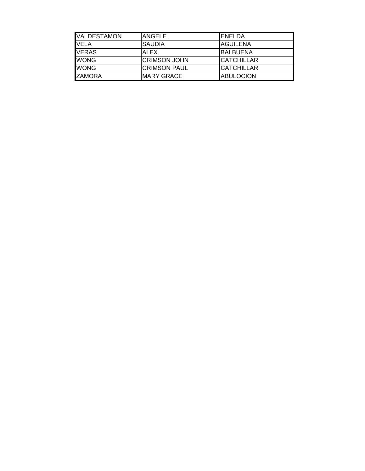| VALDESTAMON   | <b>ANGELE</b>       | <b>IENELDA</b>     |
|---------------|---------------------|--------------------|
| <b>VELA</b>   | <b>SAUDIA</b>       | <b>AGUILENA</b>    |
| <b>VERAS</b>  | <b>ALEX</b>         | IBALBUENA          |
| <b>WONG</b>   | <b>CRIMSON JOHN</b> | <b>ICATCHILLAR</b> |
| <b>WONG</b>   | <b>CRIMSON PAUL</b> | <b>CATCHILLAR</b>  |
| <b>ZAMORA</b> | <b>MARY GRACE</b>   | <b>ABULOCION</b>   |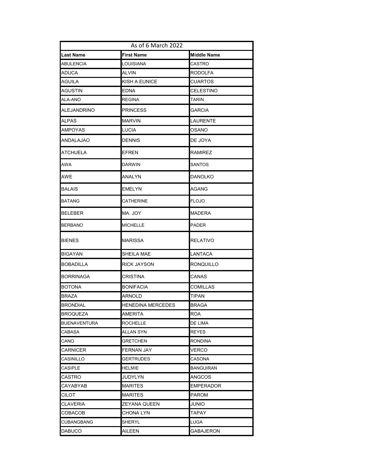| As of 6 March 2022  |                          |                    |
|---------------------|--------------------------|--------------------|
| Last Name           | First Name               | <b>Middle Name</b> |
| <b>ABULENCIA</b>    | LOUISIANA                | CASTRO             |
| ADUCA               | ALVIN                    | RODOLFA            |
| AGUILA              | KISH A EUNICE            | CUARTOS            |
| AGUSTIN             | EDNA                     | CELESTINO          |
| ALA-ANO             | <b>REGINA</b>            | TARIN              |
| ALEJANDRINO         | <b>PRINCESS</b>          | GARCIA             |
| ALPAS               | <b>MARVIN</b>            | LAURENTE           |
| AMPOYAS             | LUCIA                    | OSANO              |
| ANDALAJAO           | <b>DENNIS</b>            | DE JOYA            |
| ATCHUELA            | <b>EFREN</b>             | RAMIREZ            |
| AWA                 | <b>DARWIN</b>            | SANTOS             |
| AWE                 | ANALYN                   | DANOLKO            |
| BALAIS              | <b>EMELYN</b>            | AGANG              |
| BATANG              | CATHERINE                | <b>FLOJO</b>       |
| <b>BELEBER</b>      | MA. JOY                  | <b>MADERA</b>      |
| BERBANO             | <b>MICHELLE</b>          | <b>PADER</b>       |
| BIENES              | <b>MARISSA</b>           | RELATIVO           |
| BIGAYAN             | SHEILA MAE               | LANTACA            |
| BOBADILLA           | <b>RICK JAYSON</b>       | <b>RONQUILLO</b>   |
| <b>BORRINAGA</b>    | CRISTINA                 | CANAS              |
| <b>BOTONA</b>       | <b>BONIFACIA</b>         | <b>COMILLAS</b>    |
| <b>BRAZA</b>        | <b>ARNOLD</b>            | <b>TIPAN</b>       |
| <b>BRONDIAL</b>     | <b>HENEDINA MERCEDES</b> | <b>BRAGA</b>       |
| <b>BROQUEZA</b>     | <b>AMERITA</b>           | <b>ROA</b>         |
| <b>BUENAVENTURA</b> | <b>ROCHELLE</b>          | DE LIMA            |
| CABASA              | <b>ALLAN SYN</b>         | <b>REYES</b>       |
| CANO                | <b>GRETCHEN</b>          | <b>RONDINA</b>     |
| <b>CARNICER</b>     | FERNAN JAY               | VERCO              |
| CASINILLO           | <b>GERTRUDES</b>         | CASONA             |
| CASIPLE             | <b>HELMIE</b>            | <b>BANGUIRAN</b>   |
| CASTRO              | JUDYLYN                  | <b>ANGCOS</b>      |
| CAYABYAB            | <b>MARITES</b>           | <b>EMPERADOR</b>   |
| CILOT               | <b>MARITES</b>           | <b>PAROM</b>       |
| CLAVERIA            | ZEYANA QUEEN             | JUNIO              |
| COBACOB             | <b>CHONA LYN</b>         | TAPAY              |
| CUBANGBANG          | SHERYL                   | LUGA               |
| <b>DABUCO</b>       | <b>AILEEN</b>            | <b>GABAJERON</b>   |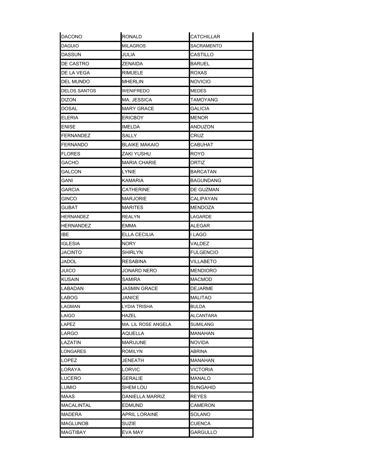| <b>DACONO</b>   | <b>RONALD</b>        | <b>CATCHILLAR</b> |
|-----------------|----------------------|-------------------|
| DAGUIO          | <b>MILAGROS</b>      | SACRAMENTO        |
| DASSUN          | JULIA                | CASTILLO          |
| DE CASTRO       | ZENAIDA              | <b>BARUEL</b>     |
| DE LA VEGA      | RIMUELE              | ROXAS             |
| DEL MUNDO       | <b>MHERLIN</b>       | <b>NOVICIO</b>    |
| DELOS SANTOS    | WENIFREDO            | <b>MEDES</b>      |
| DIZON           | MA. JESSICA          | TAMOYANG          |
| DOSAL           | <b>MARY GRACE</b>    | GALICIA           |
| ELERIA          | <b>ERICBOY</b>       | <b>MENOR</b>      |
| ENISE           | <b>IMELDA</b>        | ANDUZON           |
| FERNANDEZ       | SALLY                | CRUZ              |
| FERNANDO        | <b>BLAIKE MAKAIO</b> | CABUHAT           |
| FLORES          | ZAKI YUSHU           | ROYO              |
| GACHO           | <b>MARIA CHARIE</b>  | ORTIZ             |
| GALCON          | LYNIE                | <b>BARCATAN</b>   |
| GANI            | KAMARIA              | <b>BAGUNDANG</b>  |
| GARCIA          | <b>CATHERINE</b>     | DE GUZMAN         |
| GINCO           | <b>MARJORIE</b>      | CALIPAYAN         |
| GUBAT           | <b>MARITES</b>       | MENDOZA           |
| HERNANDEZ       | REALYN               | LAGARDE           |
| HERNANDEZ       | EMMA                 | ALEGAR            |
| IBE             | ELLA CECILIA         | I LAGO            |
| <b>IGLESIA</b>  | NORY                 | VALDEZ            |
| JACINTO         | SHIRLYN              | <b>FULGENCIO</b>  |
| JADOL           | <b>RESABINA</b>      | VILLABETO         |
| JUICO           | JONARD NERO          | <b>MENDIORO</b>   |
| KUSAIN          | SAMIRA               | <b>MACMOD</b>     |
| LABADAN         | <b>JASMIN GRACE</b>  | <b>DEJARME</b>    |
| LABOG           | <b>JANICE</b>        | <b>MALITAO</b>    |
| LAGMAN          | LYDIA TRISHA         | BULDA             |
| LAIGO           | HAZEL                | ALCANTARA         |
| LAPEZ           | MA. LIL ROSE ANGELA  | SUMILANG          |
| LARGO           | AQUELLA              | <b>MANAHAN</b>    |
| LAZATIN         | <b>MARIJUNE</b>      | <b>NOVIDA</b>     |
| LONGARES        | <b>ROMILYN</b>       | ABRINA            |
| LOPEZ           | JENEATH              | MANAHAN           |
| LORAYA          | LORVIC               | VICTORIA          |
| LUCERO          | <b>GERALIE</b>       | MANALO            |
| Lumio           | <b>SHEM LOU</b>      | SUNGAHID          |
| MAAS            | DANIELLA MARRIZ      | REYES             |
| MACALINTAL      | <b>EDMUND</b>        | CAMERON           |
| MADERA          | APRIL LORAINE        | SOLANO            |
| <b>MAGLUNOB</b> | <b>SUZIE</b>         | CUENCA            |
| <b>MAGTIBAY</b> | EVA MAY              | <b>GARGULLO</b>   |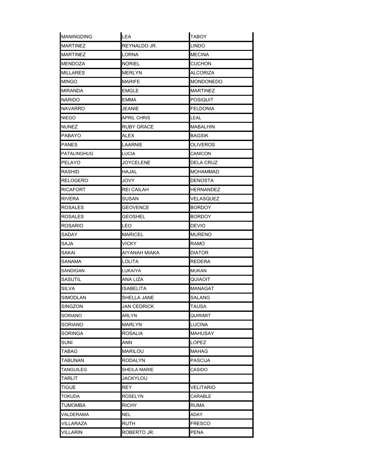| <b>MANINGDING</b> | LEA                | <b>TABOY</b>     |
|-------------------|--------------------|------------------|
| <b>MARTINEZ</b>   | REYNALDO JR.       | <b>LINDO</b>     |
| <b>MARTINEZ</b>   | <b>LORNA</b>       | <b>MECINA</b>    |
| <b>MENDOZA</b>    | <b>NORIEL</b>      | <b>CUCHON</b>    |
| <b>MILLARES</b>   | MERLYN             | ALCORIZA         |
| MINGO             | <b>MARIFE</b>      | <b>MONDONEDO</b> |
| MIRANDA           | EMGLE              | MARTINEZ         |
| NARIDO            | EMMA               | <b>POSIQUIT</b>  |
| NAVARRO           | <b>JEANIE</b>      | <b>FELDONIA</b>  |
| NIEGO             | <b>APRIL CHRIS</b> | LEAL             |
| NUNEZ             | RUBY GRACE         | MABALHIN         |
| PABAYO            | ALEX               | BAGSIK           |
| PANES             | LAARNIE            | <b>OLIVEROS</b>  |
| PATALINGHUG       | LUCIA              | CANICON          |
| PELAYO            | <b>JOYCELENE</b>   | <b>DELA CRUZ</b> |
| RASHID            | HAJAL              | MOHAMMAD         |
| RELOGERO          | <b>JOVY</b>        | <b>DENOSTA</b>   |
| RICAFORT          | REI CAILAH         | HERNANDEZ        |
| RIVERA            | SUSAN              | VELASQUEZ        |
| ROSALES           | <b>GEOVENCE</b>    | <b>BORDOY</b>    |
| ROSALES           | <b>GEOSHEL</b>     | <b>BORDOY</b>    |
| ROSARIO           | LEO                | <b>DEVIO</b>     |
| SADAY             | <b>MARICEL</b>     | <b>MURENO</b>    |
| SAJA              | VICKY              | RAMO             |
| SAKAI             | AIYANAH MIAKA      | <b>DIATOR</b>    |
| SANAMA            | <b>LOLITA</b>      | <b>REDERA</b>    |
| SANDIGAN          | LUKAIYA            | <b>MUKAN</b>     |
| SASUTIL           | ANA LIZA           | QUIAOIT          |
| <b>SILVA</b>      | ISABELITA          | <b>MANAGAT</b>   |
| <b>SIMODLAN</b>   | <b>SHELLA JANE</b> | <b>SALANG</b>    |
| SINGZON           | JAN CEDRICK        | TAUSA            |
| SORIANO           | ARLYN              | QUIRIMIT         |
| SORIANO           | MARLYN             | <b>LUCINA</b>    |
| SORINGA           | ROSALIA            | <b>MAHUSAY</b>   |
| SUNI              | ANN                | <b>LOPEZ</b>     |
| TABAG             | <b>MARILOU</b>     | MAHAG            |
| TABUNAN           | RODALYN            | <b>PASCUA</b>    |
| TANGUILEG         | SHEILA MARIE       | CASIDO           |
| TARLIT            | JACKYLOU           |                  |
| <b>TIGUE</b>      | <b>REY</b>         | VELITARIO        |
| TOKUDA            | ROSELYN            | CARABLE          |
| TUMOMBA           | <b>RICHY</b>       | <b>RUMA</b>      |
| VALDERAMA         | NEL                | ADAY             |
| VILLARAZA         | RUTH               | <b>FRESCO</b>    |
| VILLARIN          | ROBERTO JR.        | PENA             |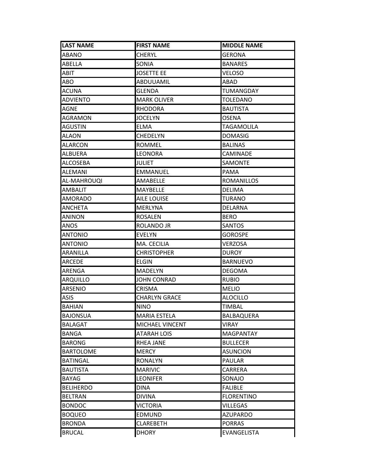| <b>LAST NAME</b> | <b>FIRST NAME</b>    | <b>MIDDLE NAME</b> |
|------------------|----------------------|--------------------|
| <b>ABANO</b>     | <b>CHERYL</b>        | <b>GERONA</b>      |
| <b>ABELLA</b>    | SONIA                | <b>BANARES</b>     |
| ABIT             | <b>JOSETTE EE</b>    | VELOSO             |
| ABO              | ABDUUAMIL            | ABAD               |
| <b>ACUNA</b>     | GLENDA               | TUMANGDAY          |
| <b>ADVIENTO</b>  | <b>MARK OLIVER</b>   | TOLEDANO           |
| AGNE             | <b>RHODORA</b>       | <b>BAUTISTA</b>    |
| <b>AGRAMON</b>   | <b>JOCELYN</b>       | OSENA              |
| <b>AGUSTIN</b>   | <b>ELMA</b>          | <b>TAGAMOLILA</b>  |
| <b>ALAON</b>     | <b>CHEDELYN</b>      | <b>DOMASIG</b>     |
| <b>ALARCON</b>   | <b>ROMMEL</b>        | <b>BALINAS</b>     |
| <b>ALBUERA</b>   | <b>LEONORA</b>       | CAMINADE           |
| ALCOSEBA         | <b>JULIET</b>        | <b>SAMONTE</b>     |
| <b>ALEMANI</b>   | <b>EMMANUEL</b>      | PAMA               |
| AL-MAHROUQI      | AMABELLE             | ROMANILLOS         |
| <b>AMBALIT</b>   | MAYBELLE             | <b>DELIMA</b>      |
| <b>AMORADO</b>   | <b>AILE LOUISE</b>   | TURANO             |
| <b>ANCHETA</b>   | <b>MERLYNA</b>       | <b>DELARNA</b>     |
| <b>ANINON</b>    | <b>ROSALEN</b>       | <b>BERO</b>        |
| <b>ANOS</b>      | ROLANDO JR           | <b>SANTOS</b>      |
| <b>ANTONIO</b>   | <b>EVELYN</b>        | <b>GOROSPE</b>     |
| <b>ANTONIO</b>   | MA. CECILIA          | <b>VERZOSA</b>     |
| <b>ARANILLA</b>  | <b>CHRISTOPHER</b>   | <b>DUROY</b>       |
| <b>ARCEDE</b>    | <b>ELGIN</b>         | <b>BARNUEVO</b>    |
| <b>ARENGA</b>    | <b>MADELYN</b>       | <b>DEGOMA</b>      |
| ARQUILLO         | JOHN CONRAD          | <b>RUBIO</b>       |
| <b>ARSENIO</b>   | CRISMA               | <b>MELIO</b>       |
| <b>ASIS</b>      | <b>CHARLYN GRACE</b> | <b>ALOCILLO</b>    |
| <b>BAHIAN</b>    | <b>NINO</b>          | <b>TIMBAL</b>      |
| <b>BAJONSUA</b>  | <b>MARIA ESTELA</b>  | BALBAQUERA         |
| <b>BALAGAT</b>   | MICHAEL VINCENT      | VIRAY              |
| <b>BANGA</b>     | ATARAH LOIS          | MAGPANTAY          |
| <b>BARONG</b>    | <b>RHEA JANE</b>     | <b>BULLECER</b>    |
| <b>BARTOLOME</b> | <b>MERCY</b>         | <b>ASUNCION</b>    |
| <b>BATINGAL</b>  | <b>RONALYN</b>       | <b>PAULAR</b>      |
| <b>BAUTISTA</b>  | <b>MARIVIC</b>       | CARRERA            |
| <b>BAYAG</b>     | <b>LEONIFER</b>      | SONAJO             |
| <b>BELIHERDO</b> | <b>DINA</b>          | <b>FALIBLE</b>     |
| <b>BELTRAN</b>   | <b>DIVINA</b>        | <b>FLORENTINO</b>  |
| <b>BONDOC</b>    | <b>VICTORIA</b>      | <b>VILLEGAS</b>    |
| <b>BOQUEO</b>    | <b>EDMUND</b>        | <b>AZUPARDO</b>    |
| <b>BRONDA</b>    | <b>CLAREBETH</b>     | <b>PORRAS</b>      |
| <b>BRUCAL</b>    | <b>DHORY</b>         | <b>EVANGELISTA</b> |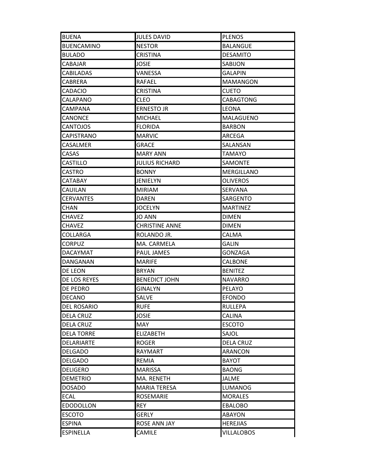| <b>BUENA</b>       | <b>JULES DAVID</b>    | <b>PLENOS</b>     |
|--------------------|-----------------------|-------------------|
| <b>BUENCAMINO</b>  | <b>NESTOR</b>         | <b>BALANGUE</b>   |
| <b>BULADO</b>      | <b>CRISTINA</b>       | <b>DESAMITO</b>   |
| CABAJAR            | JOSIE                 | SABIJON           |
| <b>CABILADAS</b>   | VANESSA               | <b>GALAPIN</b>    |
| <b>CABRERA</b>     | RAFAEL                | <b>MAMANGON</b>   |
| CADACIO            | <b>CRISTINA</b>       | <b>CUETO</b>      |
| CALAPANO           | <b>CLEO</b>           | CABAGTONG         |
| CAMPANA            | <b>ERNESTO JR</b>     | <b>LEONA</b>      |
| CANONCE            | <b>MICHAEL</b>        | MALAGUENO         |
| <b>CANTOJOS</b>    | <b>FLORIDA</b>        | <b>BARBON</b>     |
| <b>CAPISTRANO</b>  | <b>MARVIC</b>         | ARCEGA            |
| <b>CASALMER</b>    | <b>GRACE</b>          | SALANSAN          |
| CASAS              | <b>MARY ANN</b>       | TAMAYO            |
| <b>CASTILLO</b>    | <b>JULIUS RICHARD</b> | SAMONTE           |
| <b>CASTRO</b>      | <b>BONNY</b>          | <b>MERGILLANO</b> |
| <b>CATABAY</b>     | <b>JENIELYN</b>       | <b>OLIVEROS</b>   |
| <b>CAUILAN</b>     | <b>MIRIAM</b>         | <b>SERVANA</b>    |
| <b>CERVANTES</b>   | <b>DAREN</b>          | SARGENTO          |
| <b>CHAN</b>        | <b>JOCELYN</b>        | <b>MARTINEZ</b>   |
| <b>CHAVEZ</b>      | <b>JO ANN</b>         | <b>DIMEN</b>      |
| <b>CHAVEZ</b>      | <b>CHRISTINE ANNE</b> | <b>DIMEN</b>      |
| <b>COLLARGA</b>    | ROLANDO JR.           | CALMA             |
| <b>CORPUZ</b>      | MA. CARMELA           | GALIN             |
| <b>DACAYMAT</b>    | <b>PAUL JAMES</b>     | <b>GONZAGA</b>    |
| <b>DANGANAN</b>    | <b>MARIFE</b>         | <b>CALBONE</b>    |
| DE LEON            | <b>BRYAN</b>          | <b>BENITEZ</b>    |
| DE LOS REYES       | <b>BENEDICT JOHN</b>  | <b>NAVARRO</b>    |
| <b>DE PEDRO</b>    | <b>GINALYN</b>        | PELAYO            |
| <b>DECANO</b>      | SALVE                 | EFONDO            |
| <b>DEL ROSARIO</b> | <b>RUFE</b>           | <b>RULLEPA</b>    |
| <b>DELA CRUZ</b>   | <b>JOSIE</b>          | CALINA            |
| <b>DELA CRUZ</b>   | MAY                   | <b>ESCOTO</b>     |
| <b>DELA TORRE</b>  | <b>ELIZABETH</b>      | SAJOL             |
| DELARIARTE         | <b>ROGER</b>          | <b>DELA CRUZ</b>  |
| <b>DELGADO</b>     | <b>RAYMART</b>        | <b>ARANCON</b>    |
| <b>DELGADO</b>     | REMIA                 | BAYOT             |
| <b>DELIGERO</b>    | <b>MARISSA</b>        | <b>BAONG</b>      |
| <b>DEMETRIO</b>    | MA. RENETH            | JALME             |
| <b>DOSADO</b>      | <b>MARIA TERESA</b>   | <b>LUMANOG</b>    |
| <b>ECAL</b>        | <b>ROSEMARIE</b>      | <b>MORALES</b>    |
| <b>EDODOLLON</b>   | <b>REY</b>            | <b>EBALOBO</b>    |
| <b>ESCOTO</b>      | <b>GERLY</b>          | <b>ABAYON</b>     |
| <b>ESPINA</b>      | ROSE ANN JAY          | <b>HEREJIAS</b>   |
| <b>ESPINELLA</b>   | CAMILE                | VILLALOBOS        |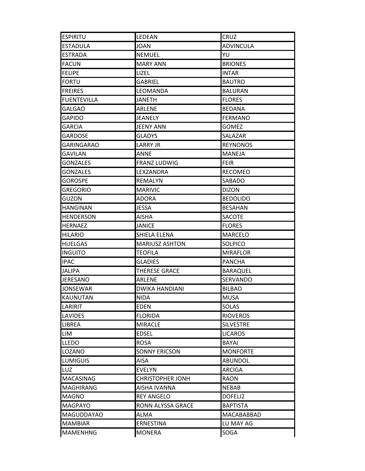| <b>ESPIRITU</b>    | <b>LEDEAN</b>           | <b>CRUZ</b>      |
|--------------------|-------------------------|------------------|
| <b>ESTADULA</b>    | <b>JOAN</b>             | <b>ADVINCULA</b> |
| <b>ESTRADA</b>     | <b>NEMUEL</b>           | YU               |
| <b>FACUN</b>       | <b>MARY ANN</b>         | <b>BRIONES</b>   |
| <b>FELIPE</b>      | LIZEL                   | <b>INTAR</b>     |
| <b>FORTU</b>       | <b>GABRIEL</b>          | <b>BAUTRO</b>    |
| <b>FREIRES</b>     | LEOMANDA                | <b>BALURAN</b>   |
| <b>FUENTEVILLA</b> | <b>JANETH</b>           | <b>FLORES</b>    |
| <b>GALGAO</b>      | <b>ARLENE</b>           | <b>BEDANA</b>    |
| <b>GAPIDO</b>      | <b>JEANELY</b>          | <b>FERMANO</b>   |
| <b>GARCIA</b>      | <b>JEENY ANN</b>        | <b>GOMEZ</b>     |
| <b>GARDOSE</b>     | <b>GLADYS</b>           | SALAZAR          |
| <b>GARINGARAO</b>  | <b>LARRY JR</b>         | <b>REYNONOS</b>  |
| GAVILAN            | <b>ANNE</b>             | <b>MANEJA</b>    |
| <b>GONZALES</b>    | <b>FRANZ LUDWIG</b>     | <b>FEIR</b>      |
| <b>GONZALES</b>    | LEXZANDRA               | <b>RECOMEO</b>   |
| <b>GOROSPE</b>     | <b>REMALYN</b>          | SABADO           |
| <b>GREGORIO</b>    | <b>MARIVIC</b>          | <b>DIZON</b>     |
| GUZON              | <b>ADORA</b>            | <b>BEDOLIDO</b>  |
| <b>HANGINAN</b>    | <b>JESSA</b>            | <b>BESAHAN</b>   |
| HENDERSON          | <b>AISHA</b>            | <b>SACOTE</b>    |
| <b>HERNAEZ</b>     | <b>JANICE</b>           | <b>FLORES</b>    |
| HILARIO            | SHIELA ELENA            | <b>MARCELO</b>   |
| <b>HUELGAS</b>     | <b>MARIUSZ ASHTON</b>   | SOLPICO          |
| <b>INGUITO</b>     | <b>TEOFILA</b>          | <b>MIRAFLOR</b>  |
| <b>IPAC</b>        | <b>GLADIES</b>          | <b>PANCHA</b>    |
| <b>JALIPA</b>      | THERESE GRACE           | <b>BARAQUEL</b>  |
| <b>JERESANO</b>    | <b>ARLENE</b>           | SERVANDO         |
| <b>JONSEWAR</b>    | <b>DWIKA HANDIANI</b>   | <b>BILBAO</b>    |
| KAUNUTAN           | NIDA                    | <b>MUSA</b>      |
| LARIRIT            | <b>EDEN</b>             | <b>SOLAS</b>     |
| <b>LAVIDES</b>     | <b>FLORIDA</b>          | <b>RIOVEROS</b>  |
| LIBREA             | <b>MIRACLE</b>          | <b>SILVESTRE</b> |
| LIM                | <b>EDSEL</b>            | <b>LICAROS</b>   |
| <b>LLEDO</b>       | <b>ROSA</b>             | <b>BAYAI</b>     |
| <b>LOZANO</b>      | <b>SONNY ERICSON</b>    | <b>MONFORTE</b>  |
| <b>LUMIGUIS</b>    | AISA                    | ABUNDOL          |
| <b>LUZ</b>         | <b>EVELYN</b>           | <b>ARCIGA</b>    |
| <b>MACASINAG</b>   | <b>CHRISTOPHER JONH</b> | RAON             |
| <b>MAGHIRANG</b>   | AISHA IVANNA            | <b>NEBAB</b>     |
| <b>MAGNO</b>       | <b>REY ANGELO</b>       | DOFELI2          |
| <b>MAGPAYO</b>     | RONN ALYSSA GRACE       | <b>BAPTISTA</b>  |
| <b>MAGUDDAYAO</b>  | <b>ALMA</b>             | MACABABBAD       |
| MAMBIAR            | <b>ERNESTINA</b>        | LU MAY AG        |
| <b>MAMENHNG</b>    | <b>MONERA</b>           | SOGA             |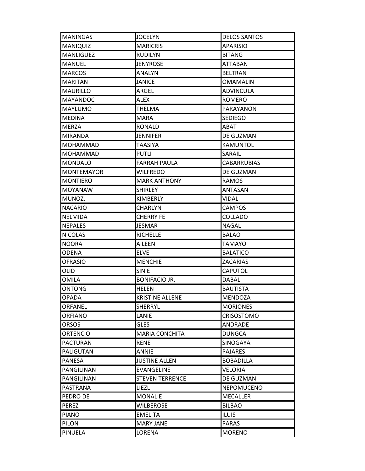| <b>MANINGAS</b>   | <b>JOCELYN</b>         | <b>DELOS SANTOS</b> |
|-------------------|------------------------|---------------------|
| <b>MANIQUIZ</b>   | <b>MARICRIS</b>        | <b>APARISIO</b>     |
| <b>MANLIGUEZ</b>  | <b>RUDILYN</b>         | <b>BITANG</b>       |
| MANUEL            | <b>JENYROSE</b>        | ATTABAN             |
| <b>MARCOS</b>     | ANALYN                 | <b>BELTRAN</b>      |
| <b>MARITAN</b>    | JANICE                 | OMAMALIN            |
| <b>MAURILLO</b>   | ARGEL                  | <b>ADVINCULA</b>    |
| <b>MAYANDOC</b>   | ALEX                   | <b>ROMERO</b>       |
| <b>MAYLUMO</b>    | <b>THELMA</b>          | PARAYANON           |
| <b>MEDINA</b>     | MARA                   | <b>SEDIEGO</b>      |
| <b>MERZA</b>      | <b>RONALD</b>          | ABAT                |
| <b>MIRANDA</b>    | JENNIFER               | DE GUZMAN           |
| <b>MOHAMMAD</b>   | <b>TAASIYA</b>         | <b>KAMUNTOL</b>     |
| <b>MOHAMMAD</b>   | <b>PUTLI</b>           | SARAIL              |
| <b>MONDALO</b>    | <b>FARRAH PAULA</b>    | <b>CABARRUBIAS</b>  |
| <b>MONTEMAYOR</b> | <b>WILFREDO</b>        | DE GUZMAN           |
| <b>MONTIERO</b>   | <b>MARK ANTHONY</b>    | <b>RAMOS</b>        |
| MOYANAW           | <b>SHIRLEY</b>         | ANTASAN             |
| MUNOZ.            | KIMBERLY               | VIDAL               |
| <b>NACARIO</b>    | CHARLYN                | <b>CAMPOS</b>       |
| <b>NELMIDA</b>    | <b>CHERRY FE</b>       | <b>COLLADO</b>      |
| <b>NEPALES</b>    | <b>JESMAR</b>          | <b>NAGAL</b>        |
| <b>NICOLAS</b>    | <b>RICHELLE</b>        | <b>BALAO</b>        |
| <b>NOORA</b>      | AILEEN                 | TAMAYO              |
| <b>ODENA</b>      | <b>ELVE</b>            | <b>BALATICO</b>     |
| <b>OFRASIO</b>    | <b>MENCHIE</b>         | <b>ZACARIAS</b>     |
| OLID              | <b>SINIE</b>           | CAPUTOL             |
| <b>OMILA</b>      | <b>BONIFACIO JR.</b>   | DABAL               |
| <b>ONTONG</b>     | <b>HELEN</b>           | <b>BAUTISTA</b>     |
| <b>OPADA</b>      | <b>KRISTINE ALLENE</b> | <b>MENDOZA</b>      |
| IORFANEL          | SHERRYL                | <b>MORIONES</b>     |
| <b>ORFIANO</b>    | LANIE                  | <b>CRISOSTOMO</b>   |
| <b>ORSOS</b>      | <b>GLES</b>            | ANDRADE             |
| <b>ORTENCIO</b>   | <b>MARIA CONCHITA</b>  | <b>DUNGCA</b>       |
| <b>PACTURAN</b>   | <b>RENE</b>            | SINOGAYA            |
| PALIGUTAN         | <b>ANNIE</b>           | <b>PAJARES</b>      |
| <b>PANESA</b>     | <b>JUSTINE ALLEN</b>   | <b>BOBADILLA</b>    |
| <b>PANGILINAN</b> | <b>EVANGELINE</b>      | <b>VELORIA</b>      |
| PANGILINAN        | <b>STEVEN TERRENCE</b> | DE GUZMAN           |
| PASTRANA          | <b>LIEZL</b>           | <b>NEPOMUCENO</b>   |
| PEDRO DE          | <b>MONALIE</b>         | <b>MECALLER</b>     |
| PEREZ             | <b>WILBEROSE</b>       | <b>BILBAO</b>       |
| <b>PIANO</b>      | <b>EMELITA</b>         | <b>ILUIS</b>        |
| <b>PILON</b>      | <b>MARY JANE</b>       | <b>PARAS</b>        |
| <b>PINUELA</b>    | LORENA                 | <b>MORENO</b>       |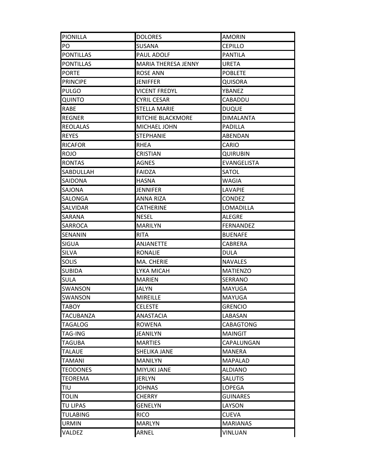| <b>PIONILLA</b>  | <b>DOLORES</b>           | <b>AMORIN</b>    |
|------------------|--------------------------|------------------|
| PO               | SUSANA                   | <b>CEPILLO</b>   |
| <b>PONTILLAS</b> | PAUL ADOLF               | <b>PANTILA</b>   |
| <b>PONTILLAS</b> | MARIA THERESA JENNY      | URETA            |
| <b>PORTE</b>     | <b>ROSE ANN</b>          | <b>POBLETE</b>   |
| <b>PRINCIPE</b>  | <b>JENIFFER</b>          | QUISORA          |
| <b>PULGO</b>     | <b>VICENT FREDYL</b>     | YBANEZ           |
| <b>QUINTO</b>    | CYRIL CESAR              | CABADDU          |
| <b>RABE</b>      | <b>STELLA MARIE</b>      | <b>DUQUE</b>     |
| <b>REGNER</b>    | <b>RITCHIE BLACKMORE</b> | <b>DIMALANTA</b> |
| <b>REOLALAS</b>  | MICHAEL JOHN             | PADILLA          |
| <b>REYES</b>     | <b>STEPHANIE</b>         | ABENDAN          |
| <b>RICAFOR</b>   | <b>RHEA</b>              | CARIO            |
| <b>ROJO</b>      | <b>CRISTIAN</b>          | QUIRUBIN         |
| <b>RONTAS</b>    | <b>AGNES</b>             | EVANGELISTA      |
| <b>SABDULLAH</b> | FAIDZA                   | SATOL            |
| SAIDONA          | <b>HASNA</b>             | WAGIA            |
| SAJONA           | <b>JENNIFER</b>          | LAVAPIE          |
| <b>SALONGA</b>   | <b>ANNA RIZA</b>         | <b>CONDEZ</b>    |
| <b>SALVIDAR</b>  | <b>CATHERINE</b>         | LOMADILLA        |
| <b>SARANA</b>    | NESEL                    | ALEGRE           |
| <b>SARROCA</b>   | <b>MARILYN</b>           | <b>FERNANDEZ</b> |
| SENANIN          | <b>RITA</b>              | <b>BUENAFE</b>   |
| <b>SIGUA</b>     | <b>ANJANETTE</b>         | CABRERA          |
| <b>SILVA</b>     | <b>RONALIE</b>           | DULA             |
| <b>SOLIS</b>     | MA. CHERIE               | <b>NAVALES</b>   |
| <b>SUBIDA</b>    | LYKA MICAH               | <b>MATIENZO</b>  |
| <b>SULA</b>      | <b>MARIEN</b>            | SERRANO          |
| <b>SWANSON</b>   | <b>JALYN</b>             | <b>MAYUGA</b>    |
| SWANSON          | <b>MIREILLE</b>          | MAYUGA           |
| TABOY            | <b>CELESTE</b>           | <b>GRENCIO</b>   |
| <b>TACUBANZA</b> | <b>ANASTACIA</b>         | LABASAN          |
| <b>TAGALOG</b>   | <b>ROWENA</b>            | CABAGTONG        |
| <b>TAG-ING</b>   | <b>JEANILYN</b>          | <b>MAINGIT</b>   |
| <b>TAGUBA</b>    | <b>MARTIES</b>           | CAPALUNGAN       |
| <b>TALAUE</b>    | SHELIKA JANE             | <b>MANERA</b>    |
| <b>TAMANI</b>    | <b>MANILYN</b>           | MAPALAD          |
| <b>TEODONES</b>  | <b>MIYUKI JANE</b>       | <b>ALDIANO</b>   |
| <b>TEOREMA</b>   | <b>JERLYN</b>            | <b>SALUTIS</b>   |
| <b>TIU</b>       | <b>JOHNAS</b>            | LOPEGA           |
| <b>TOLIN</b>     | CHERRY                   | GUINARES         |
| <b>TU LIPAS</b>  | <b>GENELYN</b>           | LAYSON           |
| <b>TULABING</b>  | <b>RICO</b>              | <b>CUEVA</b>     |
| <b>URMIN</b>     | <b>MARLYN</b>            | <b>MARIANAS</b>  |
| VALDEZ           | ARNEL                    | <b>VINLUAN</b>   |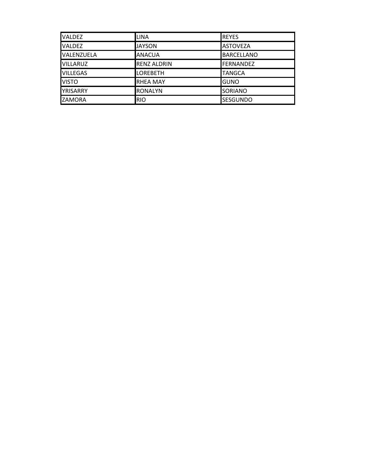| <b>VALDEZ</b>     | <b>LINA</b>        | <b>REYES</b>      |
|-------------------|--------------------|-------------------|
| <b>VALDEZ</b>     | <b>JAYSON</b>      | <b>ASTOVEZA</b>   |
| <b>VALENZUELA</b> | <b>ANACUA</b>      | <b>BARCELLANO</b> |
| <b>VILLARUZ</b>   | <b>RENZ ALDRIN</b> | <b>FERNANDEZ</b>  |
| <b>VILLEGAS</b>   | <b>LOREBETH</b>    | <b>TANGCA</b>     |
| <b>VISTO</b>      | <b>RHEA MAY</b>    | <b>GUNO</b>       |
| <b>YRISARRY</b>   | <b>RONALYN</b>     | SORIANO           |
| ZAMORA            | <b>RIO</b>         | <b>SESGUNDO</b>   |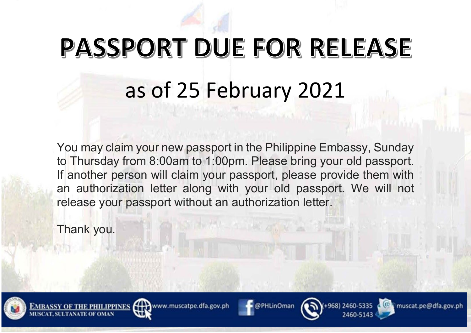

You may claim your new passport in the Philippine Embassy, Sunday to Thursday from 8:00am to 1:00pm. Please bring your old passport. If another person will claim your passport, please provide them with an authorization letter along with your old passport. We will not release your passport without an authorization letter.

Thank you.













muscat.pe@dfa.gov.ph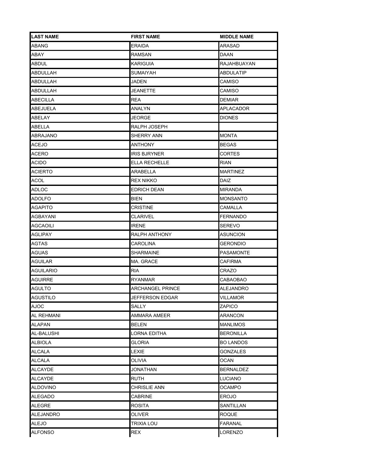| <b>LAST NAME</b> | <b>FIRST NAME</b>   | <b>MIDDLE NAME</b> |
|------------------|---------------------|--------------------|
| ABANG            | <b>ERAIDA</b>       | ARASAD             |
| ABAY             | RAMSAN              | DAAN               |
| ABDUL            | <b>KARIGUIA</b>     | RAJAHBUAYAN        |
| ABDULLAH         | <b>SUMAIYAH</b>     | ABDULATIP          |
| ABDULLAH         | <b>JADEN</b>        | CAMISO             |
| ABDULLAH         | JEANETTE            | CAMISO             |
| ABECILLA         | REA                 | DEMIAR             |
| ABEJUELA         | ANALYN              | APLACADOR          |
| ABELAY           | JEORGE              | <b>DIONES</b>      |
| ABELLA           | RALPH JOSEPH        |                    |
| ABRAJANO         | SHERRY ANN          | <b>MONTA</b>       |
| <b>ACEJO</b>     | ANTHONY             | <b>BEGAS</b>       |
| ACERO            | <b>IRIS BJRYNER</b> | CORTES             |
| ACIDO            | ELLA RECHELLE       | <b>RIAN</b>        |
| ACIERTO          | ARABELLA            | <b>MARTINEZ</b>    |
| ACOL             | REX NIKKO           | DAIZ               |
| ADLOC            | EDRICH DEAN         | <b>MIRANDA</b>     |
| <b>ADOLFO</b>    | BIEN                | <b>MONSANTO</b>    |
| AGAPITO          | <b>CRISTINE</b>     | CAMALLA            |
| <b>AGBAYANI</b>  | <b>CLARIVEL</b>     | <b>FERNANDO</b>    |
| AGCAOILI         | <b>IRENE</b>        | <b>SEREVO</b>      |
| AGLIPAY          | RALPH ANTHONY       | <b>ASUNCION</b>    |
| AGTAS            | CAROLINA            | GERONDIO           |
| <b>AGUAS</b>     | <b>SHARMAINE</b>    | <b>PASAMONTE</b>   |
| AGUILAR          | MA. GRACE           | CAFIRMA            |
| AGUILARIO        | <b>RIA</b>          | CRAZO              |
| <b>AGUIRRE</b>   | <b>RYANMAR</b>      | CABAOBAO           |
| AGULTO           | ARCHANGEL PRINCE    | ALEJANDRO          |
| <b>AGUSTILO</b>  | JEFFERSON EDGAR     | <b>VILLAMOR</b>    |
| AJOC             | SALLY               | <b>ZAPICO</b>      |
| AL REHMANI       | AMMARA AMEER        | ARANCON            |
| ALAPAN           | BELEN               | MANLIMOS           |
| AL-BALUSHI       | LORNA EDITHA        | <b>BERONILLA</b>   |
| ALBIOLA          | <b>GLORIA</b>       | <b>BO LANDOS</b>   |
| ALCALA           | LEXIE               | <b>GONZALES</b>    |
| ALCALA           | <b>OLIVIA</b>       | OCAN               |
| ALCAYDE          | <b>JONATHAN</b>     | <b>BERNALDEZ</b>   |
| ALCAYDE          | RUTH                | LUCIANO            |
| <b>ALDOVINO</b>  | CHRISLIE ANN        | <b>OCAMPO</b>      |
| <b>ALEGADO</b>   | <b>CABRINE</b>      | <b>EROJO</b>       |
| ALEGRE           | ROSITA              | SANTILLAN          |
| ALEJANDRO        | OLIVER              | ROQUE              |
| <b>ALEJO</b>     | <b>TRIXIA LOU</b>   | <b>FARANAL</b>     |
| <b>ALFONSO</b>   | <b>REX</b>          | <b>LORENZO</b>     |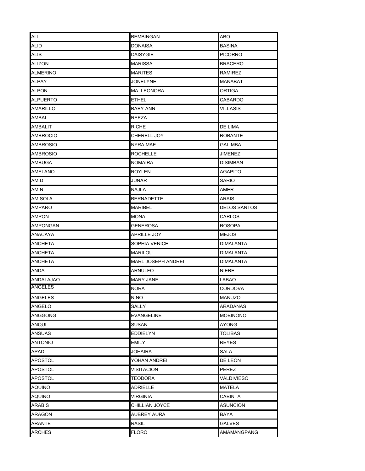| ALI             | <b>BEMBINGAN</b>          | <b>ABO</b>       |
|-----------------|---------------------------|------------------|
| ALID            | <b>DONAISA</b>            | <b>BASINA</b>    |
| ALIS            | <b>DAISYGIE</b>           | <b>PICORRO</b>   |
| ALIZON          | MARISSA                   | BRACERO          |
| ALMERINO        | MARITES                   | RAMIREZ          |
| ALPAY           | JONELYNE                  | MANABAT          |
| ALPON           | MA. LEONORA               | ORTIGA           |
| ALPUERTO        | ETHEL                     | CABARDO          |
| AMARILLO        | <b>BABY ANN</b>           | <b>VILLASIS</b>  |
| AMBAL           | <b>REEZA</b>              |                  |
| AMBALIT         | RICHE                     | DE LIMA          |
| AMBROCIO        | CHERELL JOY               | ROBANTE          |
| <b>AMBROSIO</b> | NYRA MAE                  | <b>GALIMBA</b>   |
| AMBROSIO        | <b>ROCHELLE</b>           | JIMENEZ          |
| AMBUGA          | <b>NOMAIRA</b>            | DISIMBAN         |
| AMELANO         | <b>ROYLEN</b>             | AGAPITO          |
| amid            | JUNAR                     | SARIO            |
| AMIN            | NAJLA                     | AMER             |
| AMISOLA         | <b>BERNADETTE</b>         | ARAIS            |
| AMPARO          | <b>MARIBEL</b>            | DELOS SANTOS     |
| <b>AMPON</b>    | MONA                      | CARLOS           |
| AMPONGAN        | GENEROSA                  | <b>ROSOPA</b>    |
| ANACAYA         | APRILLE JOY               | MEJOS            |
| ANCHETA         | SOPHIA VENICE             | DIMALANTA        |
| ANCHETA         | MARILOU                   | DIMALANTA        |
| ANCHETA         | <b>MARL JOSEPH ANDREI</b> | <b>DIMALANTA</b> |
| ANDA            | ARNULFO                   | NIERE            |
| ANDALAJAO       | <b>MARY JANE</b>          | LABAO            |
| <b>ANGELES</b>  | NORA                      | CORDOVA          |
| <b>ANGELES</b>  | <b>NINO</b>               | <b>MANUZO</b>    |
| ANGELO          | SALLY                     | ARADANAS         |
| <b>ANGGONG</b>  | <b>EVANGELINE</b>         | <b>MOBINONO</b>  |
| ANQUI           | SUSAN                     | AYONG            |
| <b>ANSUAS</b>   | <b>EDDIELYN</b>           | <b>TOLIBAS</b>   |
| <b>ANTONIO</b>  | <b>EMILY</b>              | <b>REYES</b>     |
| APAD            | JOHAIRA                   | SALA             |
| APOSTOL         | YOHAN ANDREI              | DE LEON          |
| APOSTOL         | VISITACION                | PEREZ            |
| APOSTOL         | TEODORA                   | VALDIVIESO       |
| AQUINO          | <b>ADRIELLE</b>           | <b>MATELA</b>    |
| AQUINO          | VIRGINIA                  | CABINTA          |
| ARABIS          | CHILLIAN JOYCE            | <b>ASUNCION</b>  |
| <b>ARAGON</b>   | <b>AUBREY AURA</b>        | BAYA             |
| <b>ARANTE</b>   | <b>RASIL</b>              | <b>GALVES</b>    |
| <b>ARCHES</b>   | <b>FLORO</b>              | AMAMANGPANG      |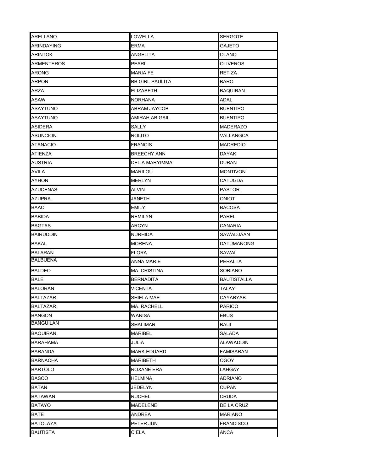| <b>ARELLANO</b>   | LOWELLA                | <b>SERGOTE</b>     |
|-------------------|------------------------|--------------------|
| ARINDAYING        | ERMA                   | GAJETO             |
| <b>ARINTOK</b>    | ANGELITA               | OLANO              |
| <b>ARMENTEROS</b> | PEARL                  | <b>OLIVEROS</b>    |
| <b>ARONG</b>      | <b>MARIA FE</b>        | RETIZA             |
| ARPON             | <b>BB GIRL PAULITA</b> | BARO               |
| ARZA              | <b>ELIZABETH</b>       | <b>BAQUIRAN</b>    |
| ASAW              | NORHANA                | ADAL               |
| <b>ASAYTUNO</b>   | <b>ABRAM JAYCOB</b>    | <b>BUENTIPO</b>    |
| ASAYTUNO          | AMIRAH ABIGAIL         | <b>BUENTIPO</b>    |
| <b>ASIDERA</b>    | SALLY                  | MADERAZO           |
| ASUNCION          | ROLITO                 | VALLANGCA          |
| <b>ATANACIO</b>   | <b>FRANCIS</b>         | <b>MADREDIO</b>    |
| ATIENZA           | <b>BREECHY ANN</b>     | DAYAK              |
| <b>AUSTRIA</b>    | DELIA MARYIMMA         | <b>DURAN</b>       |
| AVILA             | MARILOU                | <b>MONTIVON</b>    |
| <b>AYHON</b>      | <b>MERLYN</b>          | <b>CATUGDA</b>     |
| <b>AZUCENAS</b>   | ALVIN                  | <b>PASTOR</b>      |
| <b>AZUPRA</b>     | JANETH                 | ONIOT              |
| <b>BAAC</b>       | EMILY                  | BACOSA             |
| <b>BABIDA</b>     | REMILYN                | PAREL              |
| <b>BAGTAS</b>     | ARCYN                  | CANARIA            |
| BAIRUDDIN         | NURHIDA                | SAWADJAAN          |
| BAKAL             | <b>MORENA</b>          | DATUMANONG         |
| <b>BALARAN</b>    | <b>FLORA</b>           | SAWAL              |
| <b>BALBUENA</b>   | ANNA MARIE             | PERALTA            |
| <b>BALDEO</b>     | MA. CRISTINA           | SORIANO            |
| <b>BALE</b>       | <b>BERNADITA</b>       | <b>BAUTISTALLA</b> |
| <b>BALORAN</b>    | VICENTA                | TALAY              |
| <b>BALTAZAR</b>   | SHIELA MAE             | CAYABYAB           |
| BALTAZAR          | MA. RACHELL            | PARICO             |
| <b>BANGON</b>     | WANISA                 | <b>EBUS</b>        |
| <b>BANGUILAN</b>  | SHALIMAR               | BAUI               |
| <b>BAQUIRAN</b>   | <b>MARIBEL</b>         | SALADA             |
| <b>BARAHAMA</b>   | JULIA                  | ALAWADDIN          |
| <b>BARANDA</b>    | <b>MARK EDUARD</b>     | <b>FAMISARAN</b>   |
| BARNACHA          | MARIBETH               | OGOY               |
| <b>BARTOLO</b>    | ROXANE ERA             | LAHGAY             |
| <b>BASCO</b>      | HELMINA                | ADRIANO            |
| <b>BATAN</b>      | <b>JEDELYN</b>         | CUPAN              |
| BATAWAN           | <b>RUCHEL</b>          | CRUDA              |
| BATAYO            | <b>MADELENE</b>        | DE LA CRUZ         |
| BATE              | ANDREA                 | MARIANO            |
| <b>BATOLAYA</b>   | PETER JUN              | <b>FRANCISCO</b>   |
| <b>BAUTISTA</b>   | CIELA                  | ANCA               |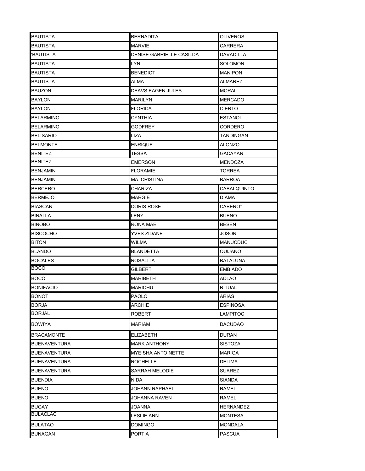| <b>BAUTISTA</b>     | <b>BERNADITA</b>          | OLIVEROS         |
|---------------------|---------------------------|------------------|
| BAUTISTA            | <b>MARVIE</b>             | CARRERA          |
| 'BAUTISTA           | DENISE GABRIELLE CASILDA  | DAVADILLA        |
| BAUTISTA            | LYN                       | <b>SOLOMON</b>   |
| BAUTISTA            | <b>BENEDICT</b>           | <b>MANIPON</b>   |
| BAUTISTA            | ALMA                      | ALMAREZ          |
| BAUZON              | <b>DEAVS EAGEN JULES</b>  | <b>MORAL</b>     |
| BAYLON              | MARILYN                   | <b>MERCADO</b>   |
| BAYLON              | <b>FLORIDA</b>            | CIERTO           |
| BELARMINO           | CYNTHIA                   | ESTANOL          |
| <b>BELARMINO</b>    | GODFREY                   | CORDERO          |
| BELISARIO           | LIZA                      | TANDINGAN        |
| BELMONTE            | <b>ENRIQUE</b>            | ALONZO           |
| BENITEZ             | TESSA                     | GACAYAN          |
| BENITEZ             | <b>EMERSON</b>            | MENDOZA          |
| <b>BENJAMIN</b>     | <b>FLORAMIE</b>           | TORREA           |
| <b>BENJAMIN</b>     | <b>MA. CRISTINA</b>       | BARROA           |
| <b>BERCERO</b>      | CHARIZA                   | CABALQUINTO      |
| <b>BERMEJO</b>      | <b>MARGIE</b>             | <b>DIAMA</b>     |
| BIASCAN             | DORIS ROSE                | CABERO*          |
| BINALLA             | LENY                      | <b>BUENO</b>     |
| <b>BINOBO</b>       | RONA MAE                  | BESEN            |
| <b>BISCOCHO</b>     | YVES ZIDANE               | JOSON            |
| BITON               | WILMA                     | MANUCDUC         |
| <b>BLANDO</b>       | <b>BLANDETTA</b>          | QUIJANO          |
| <b>BOCALES</b>      | <b>ROSALITA</b>           | BATALUNA         |
| BOCO                | GILBERT                   | <b>EMBIADO</b>   |
| <b>BOCO</b>         | MARIBETH                  | ADLAO            |
| <b>BONIFACIO</b>    | <b>MARICHU</b>            | RITUAL           |
| <b>BONOT</b>        | <b>PAOLO</b>              | <b>ARIAS</b>     |
| <b>BORJA</b>        | <b>ARCHIE</b>             | <b>ESPINOSA</b>  |
| BORJAL              | <b>ROBERT</b>             | <b>LAMPITOC</b>  |
| BOWIYA              | <b>MARIAM</b>             | DACUDAO          |
| <b>BRACAMONTE</b>   | <b>ELIZABETH</b>          | <b>DURAN</b>     |
| <b>BUENAVENTURA</b> | <b>MARK ANTHONY</b>       | SISTOZA          |
| BUENAVENTURA        | <b>MYEISHA ANTOINETTE</b> | MARIGA           |
| BUENAVENTURA        | ROCHELLE                  | DELIMA           |
| <b>BUENAVENTURA</b> | <b>SARRAH MELODIE</b>     | <b>SUAREZ</b>    |
| <b>BUENDIA</b>      | NIDA                      | SIANDA           |
| <b>BUENO</b>        | JOHANN RAPHAEL            | RAMEL            |
| <b>BUENO</b>        | JOHANNA RAVEN             | RAMEL            |
| BUGAY               | JOANNA                    | <b>HERNANDEZ</b> |
| <b>BULACLAC</b>     | <b>LESLIE ANN</b>         | <b>MONTESA</b>   |
| <b>BULATAO</b>      | DOMINGO                   | <b>MONDALA</b>   |
| <b>BUNAGAN</b>      | <b>PORTIA</b>             | <b>PASCUA</b>    |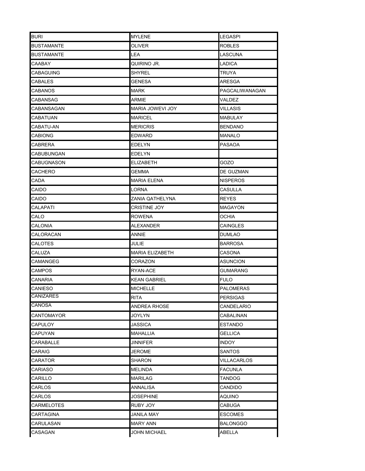| BURI              | <b>MYLENE</b>       | LEGASPI          |
|-------------------|---------------------|------------------|
| <b>BUSTAMANTE</b> | OLIVER              | ROBLES           |
| <b>BUSTAMANTE</b> | LEA                 | LASCUNA          |
| CAABAY            | QUIRINO JR.         | <b>LADICA</b>    |
| CABAGUING         | SHYREL              | TRUYA            |
| CABALES           | GENESA              | ARESGA           |
| CABANOS           | MARK                | PAGCALIWANAGAN   |
| CABANSAG          | ARMIE               | VALDEZ           |
| CABANSAGAN        | MARIA JOWEVI JOY    | VILLASIS         |
| CABATUAN          | <b>MARICEL</b>      | MABULAY          |
| CABATU-AN         | <b>MERICRIS</b>     | <b>BENDANO</b>   |
| CABIONG           | <b>EDWARD</b>       | MANALO           |
| CABRERA           | EDELYN              | <b>PASAOA</b>    |
| CABUBUNGAN        | EDELYN              |                  |
| CABUGNASON        | <b>ELIZABETH</b>    | GOZO             |
| CACHERO           | GEMMA               | DE GUZMAN        |
| CADA              | <b>MARIA ELENA</b>  | <b>NISPEROS</b>  |
| CAIDO             | LORNA               | CASULLA          |
| CAIDO             | ZANIA QATHELYNA     | <b>REYES</b>     |
| CALAPATI          | CRISTINE JOY        | <b>MAGAYON</b>   |
| CALO              | <b>ROWENA</b>       | OCHIA            |
| CALONIA           | ALEXANDER           | CAINGLES         |
| CALORACAN         | ANNIE               | DUMLAO           |
| CALOTES           | JULIE               | BARROSA          |
| CALUZA            | MARIA ELIZABETH     | CASONA           |
| CAMANGEG          | CORAZON             | ASUNCION         |
| CAMPOS            | RYAN-ACE            | GUMARANG         |
| CANARIA           | <b>KEAN GABRIEL</b> | <b>FULO</b>      |
| CANIESO           | <b>MICHELLE</b>     | <b>PALOMERAS</b> |
| <b>CANIZARES</b>  | <b>RITA</b>         | <b>PERSIGAS</b>  |
| <b>CANOSA</b>     | ANDREA RHOSE        | CANDELARIO       |
| CANTOMAYOR        | JOYLYN              | CABALINAN        |
| CAPULOY           | JASSICA             | ESTANDO          |
| CAPUYAN           | MAHALLIA            | <b>GELLICA</b>   |
| CARABALLE         | JINNIFER            | INDOY.           |
| CARAIG            | <b>JEROME</b>       | <b>SANTOS</b>    |
| CARATOR           | SHARON              | VILLACARLOS      |
| CARIASO           | <b>MELINDA</b>      | <b>FACUNLA</b>   |
| CARILLO           | MARILAG             | TANDOG           |
| CARLOS            | <b>ANNALISA</b>     | CANDIDO          |
| CARLOS            | JOSEPHINE           | AQUINO           |
| CARMELOTES        | RUBY JOY            | CABUGA           |
| <b>CARTAGINA</b>  | <b>JANILA MAY</b>   | ESCOMES          |
| CARULASAN         | MARY ANN            | <b>BALONGGO</b>  |
| CASAGAN           | <b>JOHN MICHAEL</b> | ABELLA           |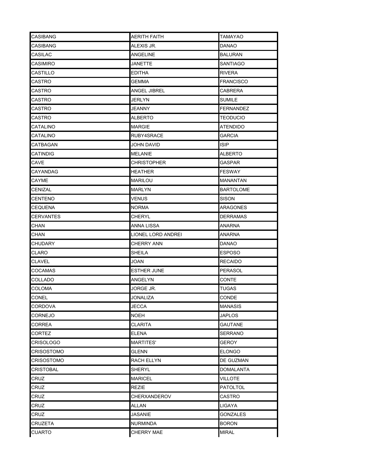| <b>CASIBANG</b>   | <b>AERITH FAITH</b> | <b>TAMAYAO</b>   |
|-------------------|---------------------|------------------|
| <b>CASIBANG</b>   | ALEXIS JR.          | DANAO            |
| CASILAC           | ANGELINE            | <b>BALURAN</b>   |
| CASIMIRO          | JANETTE             | SANTIAGO         |
| <b>CASTILLO</b>   | EDITHA              | RIVERA           |
| CASTRO            | GEMMA               | <b>FRANCISCO</b> |
| CASTRO            | ANGEL JIBREL        | CABRERA          |
| CASTRO            | JERLYN              | SUMILE           |
| CASTRO            | JEANNY              | <b>FERNANDEZ</b> |
| CASTRO            | ALBERTO             | <b>TEODUCIO</b>  |
| CATALINO          | <b>MARGIE</b>       | <b>ATENDIDO</b>  |
| CATALINO          | RUBY4SRACE          | GARCIA           |
| CATBAGAN          | JOHN DAVID          | <b>ISIP</b>      |
| CATINDIG          | <b>MELANIE</b>      | ALBERTO          |
| CAVE              | CHRISTOPHER         | GASPAR           |
| CAYANDAG          | HEATHER             | <b>FESWAY</b>    |
| CAYME             | MARILOU             | MANANTAN         |
| <b>CENIZAL</b>    | <b>MARLYN</b>       | <b>BARTOLOME</b> |
| <b>CENTENO</b>    | VENUS               | SISON            |
| <b>CEQUENA</b>    | NORMA               | ARAGONES         |
| <b>CERVANTES</b>  | CHERYL              | <b>DERRAMAS</b>  |
| <b>CHAN</b>       | ANNA LISSA          | ANARNA           |
| CHAN              | LIONEL LORD ANDREI  | ANARNA           |
| CHUDARY           | CHERRY ANN          | DANAO            |
| CLARO             | SHEILA              | <b>ESPOSO</b>    |
| <b>CLAVEL</b>     | JOAN                | <b>RECAIDO</b>   |
| COCAMAS           | <b>ESTHER JUNE</b>  | PERASOL          |
| COLLADO           | ANGELYN             | CONTE            |
| <b>COLOMA</b>     | JORGE JR.           | TUGAS            |
| <b>CONEL</b>      | JONALIZA            | CONDE            |
| CORDOVA           | JECCA               | MANASIS          |
| CORNEJO           | <b>NOEH</b>         | <b>JAPLOS</b>    |
| CORREA            | CLARITA             | GAUTANE          |
| CORTEZ            | <b>ELENA</b>        | <b>SERRANO</b>   |
| <b>CRISOLOGO</b>  | <b>MARTITES'</b>    | <b>GEROY</b>     |
| <b>CRISOSTOMO</b> | <b>GLENN</b>        | <b>ELONGO</b>    |
| CRISOSTOMO        | RACH ELLYN          | DE GUZMAN        |
| <b>CRISTOBAL</b>  | <b>SHERYL</b>       | <b>DOMALANTA</b> |
| CRUZ              | MARICEL             | VILLOTE          |
| CRUZ              | REZIE               | <b>PATOLTOL</b>  |
| <b>CRUZ</b>       | CHERXANDEROV        | CASTRO           |
| <b>CRUZ</b>       | ALLAN               | LIGAYA           |
| <b>CRUZ</b>       | JASANIE             | GONZALES         |
| <b>CRUZETA</b>    | <b>NURMINDA</b>     | <b>BORON</b>     |
| <b>CUARTO</b>     | CHERRY MAE          | MIRAL            |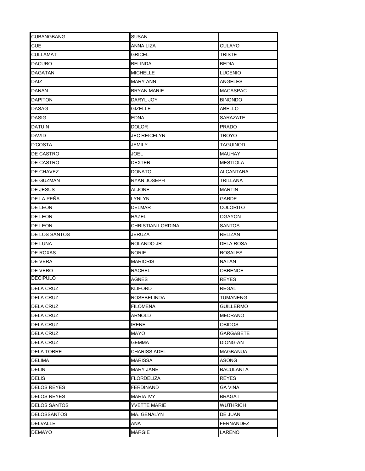| <b>CUBANGBANG</b>   | SUSAN             |                 |
|---------------------|-------------------|-----------------|
| <b>CUE</b>          | ANNA LIZA         | <b>CULAYO</b>   |
| <b>CULLAMAT</b>     | GRICEL            | TRISTE          |
| <b>DACURO</b>       | <b>BELINDA</b>    | <b>BEDIA</b>    |
| <b>DAGATAN</b>      | <b>MICHELLE</b>   | LUCENIO         |
| DAIZ                | MARY ANN          | ANGELES         |
| DANAN               | BRYAN MARIE       | MACASPAC        |
| <b>DAPITON</b>      | DARYL JOY         | <b>BINONDO</b>  |
| <b>DASAG</b>        | <b>GIZELLE</b>    | ABELLO          |
| DASIG               | EDNA              | SARAZATE        |
| <b>DATUIN</b>       | <b>DOLOR</b>      | PRADO           |
| DAVID               | JEC REICELYN      | TROYO           |
| <b>D'COSTA</b>      | JEMILY            | TAGUINOD        |
| DE CASTRO           | JOEL              | MAUHAY          |
| <b>DE CASTRO</b>    | <b>DEXTER</b>     | <b>MESTIOLA</b> |
| <b>DE CHAVEZ</b>    | <b>DONATO</b>     | ALCANTARA       |
| <b>DE GUZMAN</b>    | RYAN JOSEPH       | TRILLANA        |
| DE JESUS            | ALJONE            | MARTIN          |
| DE LA PEÑA          | LYNLYN            | GARDE           |
| DE LEON             | DELMAR            | <b>COLORITO</b> |
| DE LEON             | HAZEL             | OGAYON          |
| DE LEON             | CHRISTIAN LORDINA | SANTOS          |
| DE LOS SANTOS       | JERUZA            | RELIZAN         |
| DE LUNA             | ROLANDO JR        | DELA ROSA       |
| DE ROXAS            | <b>NORIE</b>      | ROSALES         |
| DE VERA             | <b>MARICRIS</b>   | NATAN           |
| DE VERO             | RACHEL            | OBRENCE         |
| <b>DECIPULO</b>     | AGNES             | <b>REYES</b>    |
| <b>DELA CRUZ</b>    | KLIFORD           | REGAL           |
| <b>DELA CRUZ</b>    | ROSEBELINDA       | <b>TUMANENG</b> |
| DELA CRUZ           | FILOMENA          | GUILLERMO       |
| <b>DELA CRUZ</b>    | ARNOLD            | MEDRANO         |
| DELA CRUZ           | IRENE             | OBIDOS          |
| <b>DELA CRUZ</b>    | <b>MAYO</b>       | GARGABETE       |
| DELA CRUZ           | GEMMA             | DIONG-AN        |
| <b>DELA TORRE</b>   | CHARISS ADEL      | <b>MAGBANUA</b> |
| DELIMA              | MARISSA           | ASONG           |
| DELIN               | MARY JANE         | BACULANTA       |
| <b>DELIS</b>        | <b>FLORDELIZA</b> | REYES           |
| <b>DELOS REYES</b>  | <b>FERDINAND</b>  | <b>GA VINA</b>  |
| <b>DELOS REYES</b>  | MARIA IVY         | BRAGAT          |
| <b>DELOS SANTOS</b> | YVETTE MARIE      | WUTHRICH        |
| <b>DELOSSANTOS</b>  | MA. GENALYN       | DE JUAN         |
| <b>DELVALLE</b>     | ANA               | FERNANDEZ       |
| <b>DEMAYO</b>       | <b>MARGIE</b>     | LARENO          |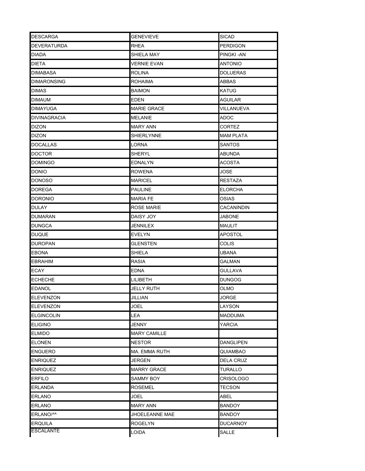| <b>DESCARGA</b>     | <b>GENEVIEVE</b>    | <b>SICAD</b>     |
|---------------------|---------------------|------------------|
| <b>DEVERATURDA</b>  | <b>RHEA</b>         | <b>PERDIGON</b>  |
| DIADA               | SHIELA MAY          | PINGKI-AN        |
| DIETA               | <b>VERNIE EVAN</b>  | <b>ANTONIO</b>   |
| DIMABASA            | ROLINA              | <b>DOLUERAS</b>  |
| <b>DIMARONSING</b>  | ROHAIMA             | ABBAS            |
| DIMAS               | BAIMON              | KATUG            |
| DIMAUM              | EDEN                | <b>AGUILAR</b>   |
| <b>DIMAYUGA</b>     | <b>MARIE GRACE</b>  | VILLANUEVA       |
| <b>DIVINAGRACIA</b> | MELANIE             | ADOC             |
| <b>DIZON</b>        | <b>MARY ANN</b>     | CORTEZ           |
| DIZON               | SHIERLYNNE          | <b>MAM PLATA</b> |
| <b>DOCALLAS</b>     | LORNA               | <b>SANTOS</b>    |
| <b>DOCTOR</b>       | SHERYL              | ABUNDA           |
| <b>DOMINGO</b>      | <b>EDNALYN</b>      | <b>ACOSTA</b>    |
| <b>DONIO</b>        | ROWENA              | JOSE             |
| <b>DONOSO</b>       | MARICEL             | <b>RESTAZA</b>   |
| <b>DOREGA</b>       | <b>PAULINE</b>      | <b>ELORCHA</b>   |
| <b>DORONIO</b>      | <b>MARIA FE</b>     | OSIAS            |
| <b>DULAY</b>        | <b>ROSE MARIE</b>   | CACANINDIN       |
| <b>DUMARAN</b>      | DAISY JOY           | <b>JABONE</b>    |
| <b>DUNGCA</b>       | JENNILEX            | MAULIT           |
| <b>DUQUE</b>        | <b>EVELYN</b>       | <b>APOSTOL</b>   |
| <b>DUROPAN</b>      | GLENSTEN            | COLIS            |
| EBONA               | SHIELA              | UBANA            |
| <b>EBRAHIM</b>      | RASIA               | GALMAN           |
| ECAY                | EDNA                | GULLAVA          |
| <b>ECHECHE</b>      | <b>LILIBETH</b>     | <b>DUNGOG</b>    |
| <b>EDANOL</b>       | JELLY RUTH          | OLMO             |
| <b>ELEVENZON</b>    | JILLIAN             | JORGE            |
| <b>ELEVENZON</b>    | JOEL                | LAYSON           |
| <b>ELGINCOLIN</b>   | LEA                 | <b>MADDUMA</b>   |
| <b>ELIGINO</b>      | JENNY               | YARCIA           |
| <b>ELMIDO</b>       | <b>MARY CAMILLE</b> |                  |
| <b>ELONEN</b>       | <b>NESTOR</b>       | <b>DANGLIPEN</b> |
| <b>ENGUERO</b>      | MA. EMMA RUTH       | QUIAMBAO         |
| <b>ENRIQUEZ</b>     | JERGEN              | <b>DELA CRUZ</b> |
| <b>ENRIQUEZ</b>     | <b>MARRY GRACE</b>  | <b>TURALLO</b>   |
| ERFILO              | SAMMY BOY           | CRISOLOGO        |
| <b>ERLANDA</b>      | <b>ROSEMEL</b>      | TECSON           |
| <b>ERLANO</b>       | JOEL                | ABEL             |
| <b>ERLANO</b>       | <b>MARY ANN</b>     | <b>BANDOY</b>    |
| ERLANO/^^           | JHOELEANNE MAE      | <b>BANDOY</b>    |
| <b>ERQUILA</b>      | <b>ROGELYN</b>      | <b>DUCARNOY</b>  |
| <b>ESCALANTE</b>    | LOIDA               | SALLE            |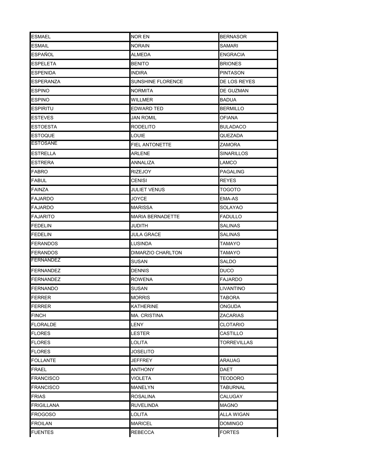| <b>ESMAEL</b>     | <b>NOR EN</b>           | <b>BERNASOR</b>    |
|-------------------|-------------------------|--------------------|
| <b>ESMAIL</b>     | <b>NORAIN</b>           | SAMARI             |
| ESPAÑOL           | ALMEDA                  | <b>ENGRACIA</b>    |
| <b>ESPELETA</b>   | <b>BENITO</b>           | <b>BRIONES</b>     |
| <b>ESPENIDA</b>   | <b>INDIRA</b>           | PINTASON           |
| ESPERANZA         | SUNSHINE FLORENCE       | DE LOS REYES       |
| ESPINO            | NORMITA                 | DE GUZMAN          |
| ESPINO            | WILLMER                 | BADUA              |
| <b>ESPIRITU</b>   | <b>EDWARD TED</b>       | <b>BERMILLO</b>    |
| <b>ESTEVES</b>    | JAN ROMIL               | OFIANA             |
| <b>ESTOESTA</b>   | <b>RODELITO</b>         | <b>BULADACO</b>    |
| <b>ESTOQUE</b>    | LOUIE                   | QUEZADA            |
| <b>ESTOSANE</b>   | <b>FIEL ANTONETTE</b>   | ZAMORA             |
| <b>ESTRELLA</b>   | ARLENE                  | SINARILLOS         |
| <b>ESTRERA</b>    | ANNALIZA                | LAMCO              |
| <b>FABRO</b>      | <b>RIZEJOY</b>          | PAGALING           |
| <b>FABUL</b>      | <b>CENISI</b>           | REYES              |
| <b>FAINZA</b>     | <b>JULIET VENUS</b>     | TOGOTO             |
| <b>FAJARDO</b>    | JOYCE                   | EMA-AS             |
| <b>FAJARDO</b>    | <b>MARISSA</b>          | SOLAYAO            |
| <b>FAJARITO</b>   | <b>MARIA BERNADETTE</b> | <b>FADULLO</b>     |
| <b>FEDELIN</b>    | JUDITH                  | SALINAS            |
| <b>FEDELIN</b>    | <b>JULA GRACE</b>       | <b>SALINAS</b>     |
| <b>FERANDOS</b>   | LUSINDA                 | TAMAYO             |
| <b>FERANDOS</b>   | DIMARZIO CHARLTON       | TAMAYO             |
| <b>FERNANDEZ</b>  | SUSAN                   | SALDO              |
| <b>FERNANDEZ</b>  | <b>DENNIS</b>           | <b>DUCO</b>        |
| FERNANDEZ         | <b>ROWENA</b>           | FAJARDO            |
| <b>FERNANDO</b>   | SUSAN                   | LIVANTINO          |
| <b>FERRER</b>     | <b>MORRIS</b>           | <b>TABORA</b>      |
| <b>FERRER</b>     | KATHERINE               | ONGUDA             |
| <b>FINCH</b>      | <b>MA. CRISTINA</b>     | ZACARIAS           |
| <b>FLORALDE</b>   | LENY                    | CLOTARIO           |
| <b>FLORES</b>     | LESTER                  | CASTILLO           |
| <b>FLORES</b>     | LOLITA                  | <b>TORREVILLAS</b> |
| <b>FLORES</b>     | JOSELITO                |                    |
| <b>FOLLANTE</b>   | JEFFREY                 | ARAUAG             |
| <b>FRAEL</b>      | ANTHONY                 | DAET               |
| <b>FRANCISCO</b>  | VIOLETA                 | TEODORO            |
| <b>FRANCISCO</b>  | MANELYN                 | TABURNAL           |
| <b>FRIAS</b>      | ROSALINA                | CALUGAY            |
| <b>FRIGILLANA</b> | <b>RUVELINDA</b>        | <b>MAGNO</b>       |
| <b>FROGOSO</b>    | LOLITA                  | ALLA WIGAN         |
| <b>FROILAN</b>    | <b>MARICEL</b>          | <b>DOMINGO</b>     |
| <b>FUENTES</b>    | <b>REBECCA</b>          | <b>FORTES</b>      |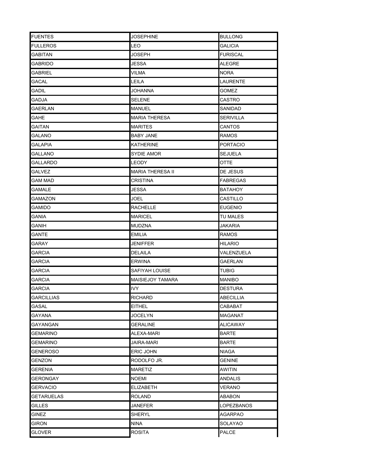| <b>FUENTES</b>    | <b>JOSEPHINE</b>        | <b>BULLONG</b>   |
|-------------------|-------------------------|------------------|
| FULLEROS          | LEO                     | GALICIA          |
| GABITAN           | JOSEPH                  | <b>FURISCAL</b>  |
| GABRIDO           | JESSA                   | ALEGRE           |
| GABRIEL           | <b>VILMA</b>            | NORA             |
| GACAL             | LEILA                   | LAURENTE         |
| GADIL             | JOHANNA                 | GOMEZ            |
| GADJA             | <b>SELENE</b>           | CASTRO           |
| <b>GAERLAN</b>    | <b>MANUEL</b>           | SANIDAD          |
| GAHE              | <b>MARIA THERESA</b>    | <b>SERIVILLA</b> |
| GAITAN            | <b>MARITES</b>          | CANTOS           |
| GALANO            | BABY JANE               | <b>RAMOS</b>     |
| <b>GALAPIA</b>    | <b>KATHERINE</b>        | <b>PORTACIO</b>  |
| GALLANO           | SYDIE AMOR              | <b>SEJUELA</b>   |
| <b>GALLARDO</b>   | LEODY                   | OTTE             |
| <b>GALVEZ</b>     | <b>MARIA THERESA II</b> | DE JESUS         |
| GAM MAD           | <b>CRISTINA</b>         | <b>FABREGAS</b>  |
| <b>GAMALE</b>     | JESSA                   | BATAHOY          |
| GAMAZON           | JOEL                    | CASTILLO         |
| gamido            | <b>RACHELLE</b>         | <b>EUGENIO</b>   |
| gania             | <b>MARICEL</b>          | TU MALES         |
| GANIH             | MUDZNA                  | JAKARIA          |
| GANTE             | <b>EMILIA</b>           | RAMOS            |
| GARAY             | JENIFFER                | HILARIO          |
| GARCIA            | DELAILA                 | VALENZUELA       |
| GARCIA            | <b>ERWINA</b>           | GAERLAN          |
| GARCIA            | SAFIYAH LOUISE          | TUBIG            |
| GARCIA            | <b>MAISIEJOY TAMARA</b> | MANIBO           |
| GARCIA            | <b>IVY</b>              | <b>DESTURA</b>   |
| <b>GARCILLIAS</b> | RICHARD                 | ARFCII I IA      |
| GASAL             | EITHEL                  | CABABAT          |
| GAYANA            | <b>JOCELYN</b>          | MAGANAT          |
| GAYANGAN          | GERALINE                | ALICAWAY         |
| <b>GEMARINO</b>   | ALEXA-MARI              | <b>BARTE</b>     |
| GEMARINO          | JAIRA-MARI              | BARTE            |
| GENEROSO          | <b>ERIC JOHN</b>        | NIAGA            |
| GENZON            | RODOLFO JR.             | GENINE           |
| <b>GERENIA</b>    | <b>MARETIZ</b>          | AWITIN           |
| GERONGAY          | <b>NOEMI</b>            | ANDALIS          |
| <b>GERVACIO</b>   | <b>ELIZABETH</b>        | <b>VERANO</b>    |
| GETARUELAS        | <b>ROLAND</b>           | ABABON           |
| <b>GILLES</b>     | <b>JANEFER</b>          | LOPEZBANOS       |
| GINEZ             | <b>SHERYL</b>           | <b>AGARPAO</b>   |
| GIRON             | NINA                    | SOLAYAO          |
| <b>GLOVER</b>     | ROSITA                  | <b>PALCE</b>     |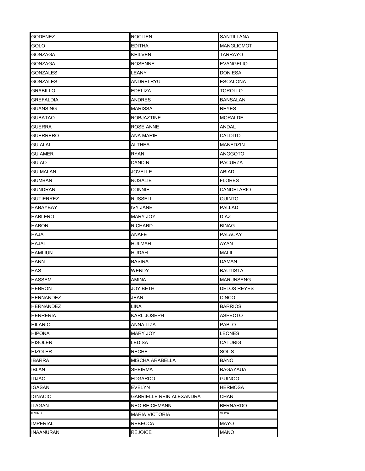| <b>GODENEZ</b>   | <b>ROCLIEN</b>           | <b>SANTILLANA</b> |
|------------------|--------------------------|-------------------|
| GOLO             | <b>EDITHA</b>            | <b>MANGLICMOT</b> |
| GONZAGA          | <b>KEILVEN</b>           | TARRAYO           |
| GONZAGA          | <b>ROSENNE</b>           | EVANGELIO         |
| GONZALES         | LEANY                    | DON ESA           |
| GONZALES         | ANDREI RYU               | ESCALONA          |
| GRABILLO         | <b>EDELIZA</b>           | TOROLLO           |
| GREFALDIA        | ANDRES                   | BANSALAN          |
| GUANSING         | MARISSA                  | <b>REYES</b>      |
| GUBATAO          | <b>ROBJAZTINE</b>        | <b>MORALDE</b>    |
| GUERRA           | ROSE ANNE                | ANDAL             |
| <b>GUERRERO</b>  | ANA MARIE                | CALDITO           |
| <b>GUIALAL</b>   | <b>ALTHEA</b>            | MANEDZIN          |
| GUIAMER          | <b>RYAN</b>              | ANGGOTO           |
| <b>GUIAO</b>     | <b>DANDIN</b>            | <b>PACURZA</b>    |
| GUIMALAN         | JOVELLE                  | ABIAD             |
| GUMBAN           | <b>ROSALIE</b>           | <b>FLORES</b>     |
| GUNDRAN          | CONNIE                   | CANDELARIO        |
| GUTIERREZ        | <b>RUSSELL</b>           | QUINTO            |
| HABAYBAY         | <b>IVY JANE</b>          | <b>PALLAD</b>     |
| <b>HABLERO</b>   | <b>MARY JOY</b>          | <b>DIAZ</b>       |
| <b>HABON</b>     | <b>RICHARD</b>           | <b>BINAG</b>      |
| <b>HAJA</b>      | ANAFE                    | <b>PALACAY</b>    |
| <b>HAJAL</b>     | HULMAH                   | AYAN              |
| <b>HAMLIUN</b>   | HUDAH                    | MALIL             |
| HANN             | <b>BASIRA</b>            | <b>DAMAN</b>      |
| HAS              | WENDY                    | <b>BAUTISTA</b>   |
| <b>HASSEM</b>    | AMINA                    | <b>MARUNSENG</b>  |
| <b>HEBRON</b>    | JOY BETH                 | DELOS REYES       |
| <b>HERNANDEZ</b> | JEAN                     | <b>CINCO</b>      |
| HERNANDEZ        | LINA                     | <b>BARRIOS</b>    |
| HERRERIA         | <b>KARL JOSEPH</b>       | <b>ASPECTO</b>    |
| HILARIO          | ANNA LIZA                | PABLO             |
| HIPONA           | <b>MARY JOY</b>          | LEONES            |
| HISOLER          | LEDISA                   | CATUBIG           |
| HIZOLER          | <b>RECHE</b>             | SOLIS             |
| IBARRA           | MISCHA ARABELLA          | BANO              |
| IBLAN            | SHEIRMA                  | BAGAYAUA          |
| IDJAO            | EDGARDO                  | guinoo            |
| IGASAN           | EVELYN                   | HERMOSA           |
| <b>IGNACIO</b>   | GABRIELLE REIN ALEXANDRA | CHAN              |
| ILAGAN           | <b>NEO REICHMANN</b>     | <b>BERNARDO</b>   |
| ILMING           | <b>MARIA VICTORIA</b>    | MOYA              |
| <b>IMPERIAL</b>  | <b>REBECCA</b>           | <b>MAYO</b>       |
| <b>INAANURAN</b> | <b>REJOICE</b>           | <b>MANO</b>       |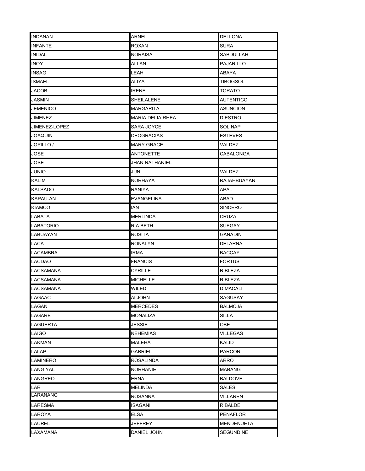| <b>INDANAN</b>   | ARNEL                   | <b>DELLONA</b>    |
|------------------|-------------------------|-------------------|
| <b>INFANTE</b>   | ROXAN                   | <b>SURA</b>       |
| <b>INIDAL</b>    | <b>NORAISA</b>          | SABDULLAH         |
| <b>INOY</b>      | ALLAN                   | PAJARILLO         |
| <b>INSAG</b>     | LEAH                    | ABAYA             |
| ISMAEL           | ALIYA                   | TIBOGSOL          |
| JACOB            | <b>IRENE</b>            | TORATO            |
| JASMIN           | SHEILALENE              | <b>AUTENTICO</b>  |
| <b>JEMENICO</b>  | MARGARITA               | <b>ASUNCION</b>   |
| JIMENEZ          | <b>MARIA DELIA RHEA</b> | <b>DIESTRO</b>    |
| JIMENEZ-LOPEZ    | SARA JOYCE              | SOLINAP           |
| JOAQUIN          | DEOGRACIAS              | ESTEVES           |
| JOPILLO /        | <b>MARY GRACE</b>       | VALDEZ            |
| JOSE             | <b>ANTONETTE</b>        | CABALONGA         |
| JOSE             | <b>JHAN NATHANIEL</b>   |                   |
| JUNIO            | JUN                     | VALDEZ            |
| KALIM            | <b>NORHAYA</b>          | RAJAHBUAYAN       |
| KALSADO          | RANIYA                  | APAL              |
| KAPAU-AN         | <b>EVANGELINA</b>       | ABAD              |
| KIAMCO           | IAN                     | <b>SINCERO</b>    |
| LABATA           | <b>MERLINDA</b>         | CRUZA             |
| LABATORIO        | <b>RIA BETH</b>         | SUEGAY            |
| LABUAYAN         | <b>ROSITA</b>           | GANADIN           |
| LACA             | <b>RONALYN</b>          | <b>DELARNA</b>    |
| LACAMBRA         | irma                    | BACCAY            |
| LACDAO           | <b>FRANCIS</b>          | <b>FORTUS</b>     |
| <b>LACSAMANA</b> | CYRILLE                 | RIBLEZA           |
| <b>LACSAMANA</b> | <b>MICHELLE</b>         | RIBLEZA           |
| LACSAMANA        | WILED                   | DIMACALI          |
| LAGAAC           | ALJOHN                  | SAGUSAY           |
| LAGAN            | MERCEDES                | BALMOJA           |
| LAGARE           | <b>MONALIZA</b>         | <b>SILLA</b>      |
| LAGUERTA         | JESSIE                  | OBE               |
| LAIGO            | <b>NEHEMIAS</b>         | VILLEGAS          |
| LAKMAN           | MALEHA                  | KALID             |
| LALAP            | GABRIEL                 | <b>PARCON</b>     |
| LAMINERO         | ROSALINDA               | ARRO              |
| LANGIYAL         | <b>NORHANIE</b>         | MABANG            |
| LANGREO          | ERNA                    | BALDOVE           |
| LAR              | <b>MELINDA</b>          | SALES             |
| LARANANG         | ROSANNA                 | VILLAREN          |
| <b>LARESMA</b>   | <b>ISAGANI</b>          | <b>RIBALDE</b>    |
| LAROYA           | <b>ELSA</b>             | <b>PENAFLOR</b>   |
| LAUREL           | JEFFREY                 | <b>MENDENUETA</b> |
| LAXAMANA         | DANIEL JOHN             | <b>SEGUNDINE</b>  |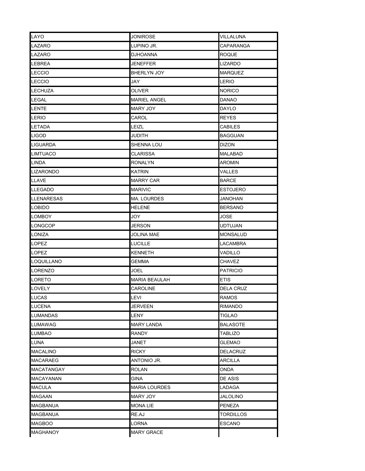| LAYO              | <b>JONIROSE</b>      | VILLALUNA        |
|-------------------|----------------------|------------------|
| LAZARO            | LUPINO JR.           | CAPARANGA        |
| LAZARO            | <b>DJHOANNA</b>      | <b>ROQUE</b>     |
| LEBREA            | JENEFFER             | LIZARDO          |
| LECCIO            | BHERLYN JOY          | <b>MARQUEZ</b>   |
| LECCIO            | JAY                  | LERIO            |
| LECHUZA           | OLIVER               | <b>NORICO</b>    |
| LEGAL             | <b>MARIEL ANGEL</b>  | DANAO            |
| <b>LENTE</b>      | MARY JOY             | <b>DAYLO</b>     |
| LERIO             | CAROL                | <b>REYES</b>     |
| LETADA            | LEIZL                | CABILES          |
| LIGOD             | JUDITH               | <b>BAGGUAN</b>   |
| <b>LIGUARDA</b>   | SHENNA LOU           | <b>DIZON</b>     |
| <b>LIMTUACO</b>   | <b>CLARISSA</b>      | MALABAD          |
| <b>LINDA</b>      | <b>RONALYN</b>       | <b>AROMIN</b>    |
| <b>LIZARONDO</b>  | KATRIN               | VALLES           |
| LLAVE             | <b>MARRY CAR</b>     | <b>BARCE</b>     |
| <b>LLEGADO</b>    | <b>MARIVIC</b>       | <b>ESTOJERO</b>  |
| <b>LLENARESAS</b> | <b>MA. LOURDES</b>   | JANOHAN          |
| <b>LOBIDO</b>     | HELENE               | <b>BERSANO</b>   |
| <b>LOMBOY</b>     | JOY                  | <b>JOSE</b>      |
| <b>LONGCOP</b>    | JERSON               | UDTUJAN          |
| LONIZA            | <b>JOLINA MAE</b>    | <b>MONSALUD</b>  |
| LOPEZ             | <b>LUCILLE</b>       | LACAMBRA         |
| LOPEZ             | <b>KENNETH</b>       | VADILLO          |
| <b>LOQUILLANO</b> | <b>GEMMA</b>         | CHAVEZ           |
| LORENZO           | <b>JOEL</b>          | <b>PATRICIO</b>  |
| LORETO            | <b>MARIA BEAULAH</b> | <b>ETIS</b>      |
| <b>LOVELY</b>     | CAROLINE             | <b>DELA CRUZ</b> |
| <b>LUCAS</b>      | LEVI                 | <b>RAMOS</b>     |
| LUCENA            | JERVEEN              | RIMANDO          |
| <b>LUMANDAS</b>   | LENY                 | TIGLAO           |
| LUMAWAG           | <b>MARY LANDA</b>    | BALASOTE         |
| LUMBAO            | <b>RANDY</b>         | TABLIZO          |
| LUNA              | JANET                | GLEMAO           |
| MACALINO          | <b>RICKY</b>         | <b>DELACRUZ</b>  |
| MACARAEG          | ANTONIO JR.          | ARCILLA          |
| <b>MACATANGAY</b> | <b>ROLAN</b>         | ONDA             |
| MACAYANAN         | GINA                 | DE ASIS          |
| MACULA            | <b>MARIA LOURDES</b> | LADAGA           |
| MAGAAN            | MARY JOY             | JALOLINO         |
| <b>MAGBANUA</b>   | <b>MONALIE</b>       | <b>PENEZA</b>    |
| <b>MAGBANUA</b>   | RE.AJ                | <b>TORDILLOS</b> |
| <b>MAGBOO</b>     | <b>LORNA</b>         | <b>ESCANO</b>    |
| MAGHANOY          | <b>MARY GRACE</b>    |                  |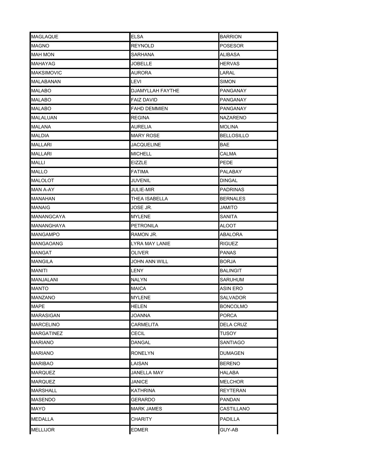| <b>MAGLAQUE</b>   | <b>ELSA</b>             | <b>BARRION</b>   |
|-------------------|-------------------------|------------------|
| <b>MAGNO</b>      | REYNOLD                 | POSESOR          |
| MAH MON           | SARHANA                 | ALIBASA          |
| MAHAYAG           | JOBELLE                 | HERVAS           |
| <b>MAKSIMOVIC</b> | <b>AURORA</b>           | LARAL            |
| MALABANAN         | LEVI                    | SIMON            |
| MALABO            | <b>DJAMYLLAH FAYTHE</b> | PANGANAY         |
| MALABO            | FAIZ DAVID              | PANGANAY         |
| <b>MALABO</b>     | <b>FAHD DEMMIEN</b>     | PANGANAY         |
| MALALUAN          | <b>REGINA</b>           | NAZARENO         |
| MALANA            | <b>AURELIA</b>          | <b>MOLINA</b>    |
| MALDIA            | <b>MARY ROSE</b>        | BELLOSILLO       |
| MALLARI           | JACQUELINE              | BAE              |
| MALLARI           | <b>MICHELL</b>          | CALMA            |
| MALLI             | <b>EIZZLE</b>           | PEDE             |
| <b>MALLO</b>      | FATIMA                  | PALABAY          |
| <b>MALOLOT</b>    | <b>JUVENIL</b>          | DINGAL           |
| MAN A-AY          | JULIE-MIR               | PADRINAS         |
| <b>MANAHAN</b>    | THEA ISABELLA           | <b>BERNALES</b>  |
| MANAIG            | JOSE JR.                | JAMITO           |
| MANANGCAYA        | MYLENE                  | SANITA           |
| MANANGHAYA        | <b>PETRONILA</b>        | ALOOT            |
| <b>MANGAMPO</b>   | RAMON JR.               | ABALORA          |
| MANGAOANG         | LYRA MAY LANIE          | <b>RIGUEZ</b>    |
| MANGAT            | OLIVER                  | PANAS            |
| MANGILA           | JOHN ANN WILL           | <b>BORJA</b>     |
| MANITI            | LENY                    | BALINGIT         |
| MANJALANI         | <b>NALYN</b>            | SARUHUM          |
| <b>MANTO</b>      | <b>MAICA</b>            | ASIN ERO         |
| MANZANO           | <b>MYLENE</b>           | SAI VADOR        |
| <b>MAPE</b>       | HELEN                   | BONCOLMO         |
| <b>MARASIGAN</b>  | JOANNA                  | <b>PORCA</b>     |
| <b>MARCELINO</b>  | CARMELITA               | <b>DELA CRUZ</b> |
| <b>MARGATINEZ</b> | CECIL                   | TUSOY            |
| <b>MARIANO</b>    | DANGAL                  | SANTIAGO         |
| <b>MARIANO</b>    | RONELYN                 | DUMAGEN          |
| <b>MARIBAO</b>    | LAISAN                  | <b>BERENO</b>    |
| <b>MARQUEZ</b>    | JANELLA MAY             | <b>HALABA</b>    |
| <b>MARQUEZ</b>    | JANICE                  | MELCHOR          |
| <b>MARSHALL</b>   | <b>KATHRINA</b>         | <b>REYTERAN</b>  |
| MASENDO           | GERARDO                 | PANDAN           |
| MAYO              | <b>MARK JAMES</b>       | CASTILLANO       |
| <b>MEDALLA</b>    | CHARITY                 | PADILLA          |
| <b>MELLIJOR</b>   | <b>EDMER</b>            | GUY-AB           |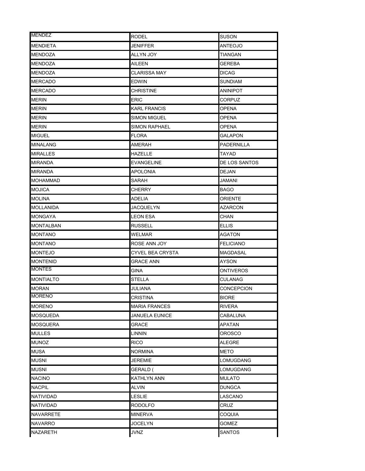| <b>MENDEZ</b>    | <b>RODEL</b>          | SUSON            |
|------------------|-----------------------|------------------|
| <b>MENDIETA</b>  | JENIFFER              | ANTEOJO          |
| <b>MENDOZA</b>   | ALLYN JOY             | TIANGAN          |
| MENDOZA          | AILEEN                | GEREBA           |
| MENDOZA          | <b>CLARISSA MAY</b>   | <b>DICAG</b>     |
| MERCADO          | <b>EDWIN</b>          | SUNDIAM          |
| <b>MERCADO</b>   | <b>CHRISTINE</b>      | <b>ANINIPOT</b>  |
| MERIN            | ERIC                  | CORPUZ           |
| <b>MERIN</b>     | <b>KARL FRANCIS</b>   | <b>OPENA</b>     |
| MERIN            | <b>SIMON MIGUEL</b>   | OPENA            |
| MERIN            | <b>SIMON RAPHAEL</b>  | OPENA            |
| <b>MIGUEL</b>    | <b>FLORA</b>          | GALAPON          |
| <b>MINALANG</b>  | <b>AMERAH</b>         | PADERNILLA       |
| <b>MIRALLES</b>  | HAZELLE               | TAYAD            |
| <b>MIRANDA</b>   | <b>EVANGELINE</b>     | DE LOS SANTOS    |
| <b>MIRANDA</b>   | <b>APOLONIA</b>       | DEJAN            |
| <b>MOHAMMAD</b>  | SARAH                 | JAMANI           |
| MOJICA           | CHERRY                | BAGO             |
| MOLINA           | ADELIA                | ORIENTE          |
| MOLLANIDA        | <b>JACQUELYN</b>      | <b>AZARCON</b>   |
| MONGAYA          | LEON ESA              | CHAN             |
| MONTALBAN        | <b>RUSSELL</b>        | ELLIS            |
| MONTANO          | WELMAR                | AGATON           |
| <b>MONTANO</b>   | ROSE ANN JOY          | <b>FELICIANO</b> |
| <b>MONTEJO</b>   | CYVEL BEA CRYSTA      | MAGDASAL         |
| <b>MONTENID</b>  | GRACE ANN             | AYSON            |
| <b>MONTES</b>    | GINA                  | <b>ONTIVEROS</b> |
| <b>MONTIALTO</b> | <b>STELLA</b>         | CULANAG          |
| <b>MORAN</b>     | JULIANA               | CONCEPCION       |
| <b>MORENO</b>    | CRISTINA              | <b>BIORE</b>     |
| <b>MORENO</b>    | <b>MARIA FRANCES</b>  | RIVERA           |
| MOSQUEDA         | <b>JANUELA EUNICE</b> | CABALUNA         |
| <b>MOSQUERA</b>  | GRACE                 | APATAN           |
| <b>MULLES</b>    | LINNIN                | OROSCO           |
| MUNOZ            | <b>RICO</b>           | ALEGRE           |
| <b>MUSA</b>      | <b>NORMINA</b>        | <b>METO</b>      |
| <b>MUSNI</b>     | <b>JEREMIE</b>        | LOMUGDANG        |
| <b>MUSNI</b>     | GERALD (              | LOMUGDANG        |
| <b>NACINO</b>    | KATHLYN ANN           | <b>MULATO</b>    |
| <b>NACPIL</b>    | ALVIN                 | <b>DUNGCA</b>    |
| NATIVIDAD        | LESLIE                | LASCANO          |
| NATIVIDAD        | <b>RODOLFO</b>        | CRUZ             |
| NAVARRETE        | <b>MINERVA</b>        | COQUIA           |
| NAVARRO          | JOCELYN               | GOMEZ            |
| NAZARETH         | <b>JVNZ</b>           | SANTOS           |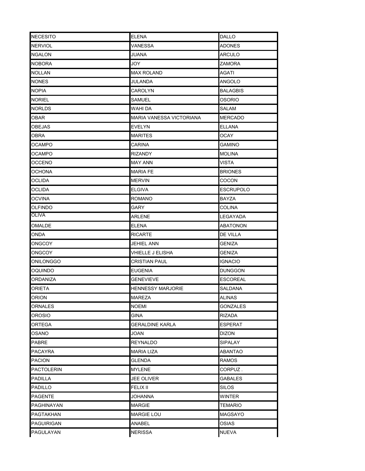| <b>NECESITO</b>   | <b>ELENA</b>             | <b>DALLO</b>     |
|-------------------|--------------------------|------------------|
| <b>NERVIOL</b>    | <b>VANESSA</b>           | <b>ADONES</b>    |
| <b>NGALON</b>     | JUANA                    | ARCULO           |
| <b>NOBORA</b>     | JOY                      | ZAMORA           |
| <b>NOLLAN</b>     | MAX ROLAND               | AGATI            |
| <b>NONES</b>      | JULANDA                  | ANGOLO           |
| <b>NOPIA</b>      | CAROLYN                  | <b>BALAGBIS</b>  |
| <b>NORIEL</b>     | SAMUEL                   | OSORIO           |
| <b>NORLDS</b>     | WAHI DA                  | SALAM            |
| OBAR              | MARIA VANESSA VICTORIANA | <b>MERCADO</b>   |
| OBEJAS            | EVELYN                   | <b>ELLANA</b>    |
| OBRA              | MARITES                  | OCAY             |
| <b>OCAMPO</b>     | <b>CARINA</b>            | <b>GAMINO</b>    |
| OCAMPO            | RIZANDY                  | MOLINA           |
| <b>OCCENO</b>     | <b>MAY ANN</b>           | VISTA            |
| OCHONA            | <b>MARIA FE</b>          | <b>BRIONES</b>   |
| OCLIDA            | <b>MERVIN</b>            | COCON            |
| OCLIDA            | <b>ELGIVA</b>            | <b>ESCRUPOLO</b> |
| <b>OCVINA</b>     | <b>ROMANO</b>            | <b>BAYZA</b>     |
| <b>OLFINDO</b>    | GARY                     | COLINA           |
| OLIVA             | <b>ARLENE</b>            | LEGAYADA         |
| OMALDE            | ELENA                    | <b>ABATONON</b>  |
| ONDA              | <b>RICARTE</b>           | <b>DE VILLA</b>  |
| <b>ONGCOY</b>     | <b>JEHIEL ANN</b>        | GENIZA           |
| <b>ONGCOY</b>     | VHIELLE J ELISHA         | GENIZA           |
| ONILONGGO         | <b>CRISTIAN PAUL</b>     | <b>IGNACIO</b>   |
| <b>OQUINDO</b>    | EUGENIA                  | DUNGGON          |
| <b>ORDANIZA</b>   | GENEVIEVE                | <b>ESCOREAL</b>  |
| ORIETA            | HENNESSY MARJORIE        | SALDANA          |
| <b>ORION</b>      | MAREZA                   | <b>ALINAS</b>    |
| ORNALES           | NOEMI                    | GONZALES         |
| OROSIO            | GINA                     | RIZADA           |
| ORTEGA            | GERALDINE KARLA          | ESPERAT          |
| OSANO             | JOAN                     | DIZON            |
| PABRE             | <b>REYNALDO</b>          | SIPALAY          |
| PACAYRA           | <b>MARIA LIZA</b>        | <b>ABANTAO</b>   |
| PACION            | GLENDA                   | RAMOS            |
| <b>PACTOLERIN</b> | MYLENE                   | CORPUZ.          |
| PADILLA           | JEE OLIVER               | GABALES          |
| PADILLO           | <b>FELIX II</b>          | SILOS            |
| <b>PAGENTE</b>    | JOHANNA                  | WINTER           |
| PAGHINAYAN        | MARGIE                   | <b>TEMARIO</b>   |
| <b>PAGTAKHAN</b>  | <b>MARGIE LOU</b>        | MAGSAYO          |
| <b>PAGUIRIGAN</b> | ANABEL                   | OSIAS            |
| PAGULAYAN         | NERISSA                  | NUEVA            |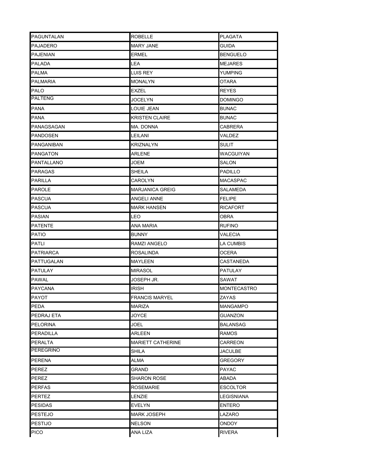| PAGUNTALAN       | <b>ROBELLE</b>           | <b>PLAGATA</b>     |
|------------------|--------------------------|--------------------|
| <b>PAJADERO</b>  | <b>MARY JANE</b>         | <b>GUIDA</b>       |
| <b>PAJENIAN</b>  | ERMEL                    | <b>BENGUELO</b>    |
| PALADA           | LEA                      | <b>MEJARES</b>     |
| <b>PALMA</b>     | LUIS REY                 | YUMPING            |
| PALMARIA         | MONALYN                  | OTARA              |
| PALO             | EXZEL                    | <b>REYES</b>       |
| <b>PALTENG</b>   | JOCELYN                  | <b>DOMINGO</b>     |
| PANA             | LOUIE JEAN               | <b>BUNAC</b>       |
| PANA             | <b>KRISTEN CLAIRE</b>    | <b>BUNAC</b>       |
| PANAGSAGAN       | ma. Donna                | CABRERA            |
| PANDOSEN         | LEILANI                  | VALDEZ             |
| PANGANIBAN       | <b>KRIZNALYN</b>         | <b>SULIT</b>       |
| <b>PANGATON</b>  | <b>ARLENE</b>            | <b>WACGUIYAN</b>   |
| PANTALLANO       | JOEM                     | SALON              |
| <b>PARAGAS</b>   | SHEILA                   | PADILLO            |
| <b>PARILLA</b>   | CAROLYN                  | <b>MACASPAC</b>    |
| PAROLE           | <b>MARJANICA GREIG</b>   | SALAMEDA           |
| <b>PASCUA</b>    | ANGELI ANNE              | <b>FELIPE</b>      |
| <b>PASCUA</b>    | <b>MARK HANSEN</b>       | <b>RICAFORT</b>    |
| <b>PASIAN</b>    | LEO                      | OBRA               |
| <b>PATENTE</b>   | ANA MARIA                | <b>RUFINO</b>      |
| <b>PATIO</b>     | BUNNY                    | VALECIA            |
| PATLI            | RAMZI ANGELO             | LA CUMBIS          |
| <b>PATRIARCA</b> | ROSALINDA                | OCERA              |
| PATTUGALAN       | MAYLEEN                  | CASTANEDA          |
| <b>PATULAY</b>   | <b>MIRASOL</b>           | <b>PATULAY</b>     |
| <b>PAWAL</b>     | JOSEPH JR.               | SAWAT              |
| <b>PAYCANA</b>   | IRISH                    | <b>MONTECASTRO</b> |
| PAYOT            | <b>FRANCIS MARYEL</b>    | <b>ZAYAS</b>       |
| PEDA             | MARIZA                   | <b>MANGAMPO</b>    |
| PEDRAJ ETA       | <b>JOYCE</b>             | <b>GUANZON</b>     |
| <b>PELORINA</b>  | JOEL                     | BALANSAG           |
| <b>PERADILLA</b> | ARLEEN                   | RAMOS              |
| PERALTA          | <b>MARIETT CATHERINE</b> | CARREON            |
| <b>PEREGRINO</b> | SHILA                    | <b>JACULBE</b>     |
| PERENA           | ALMA                     | GREGORY            |
| <b>PEREZ</b>     | GRAND                    | PAYAC              |
| PEREZ            | SHARON ROSE              | ABADA              |
| PERFAS           | ROSEMARIE                | <b>ESCOLTOR</b>    |
| <b>PERTEZ</b>    | LENZIE                   | LEGISNIANA         |
| <b>PESIDAS</b>   | <b>EVELYN</b>            | <b>ENTERO</b>      |
| <b>PESTEJO</b>   | MARK JOSEPH              | LAZARO             |
| <b>PESTIJO</b>   | <b>NELSON</b>            | ONDOY              |
| <b>PICO</b>      | ANA LIZA                 | <b>RIVERA</b>      |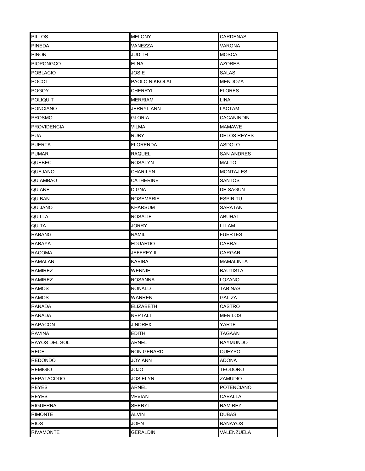| <b>PILLOS</b>      | <b>MELONY</b>     | <b>CARDENAS</b>    |
|--------------------|-------------------|--------------------|
| <b>PINEDA</b>      | VANEZZA           | VARONA             |
| <b>PINON</b>       | JUDITH            | <b>MOSCA</b>       |
| <b>PIOPONGCO</b>   | <b>ELNA</b>       | AZORES             |
| <b>POBLACIO</b>    | JOSIE             | SALAS              |
| POCOT              | PAOLO NIKKOLAI    | MENDOZA            |
| POGOY              | CHERRYL           | <b>FLORES</b>      |
| <b>POLIQUIT</b>    | MERRIAM           | LINA               |
| <b>PONCIANO</b>    | <b>JERRYL ANN</b> | LACTAM             |
| <b>PROSMO</b>      | GLORIA            | CACANINDIN         |
| <b>PROVIDENCIA</b> | VILMA             | MAMAWE             |
| <b>PUA</b>         | <b>RUBY</b>       | <b>DELOS REYES</b> |
| <b>PUERTA</b>      | <b>FLORENDA</b>   | ASDOLO             |
| PUMAR              | RAQUEL            | <b>SAN ANDRES</b>  |
| QUEBEC             | <b>ROSALYN</b>    | <b>MALTO</b>       |
| QUEJANO            | CHARILYN          | <b>MONTAJ ES</b>   |
| QUIAMBAO           | CATHERINE         | SANTOS             |
| QUIANE             | DIGNA             | DE SAGUN           |
| <b>QUIBAN</b>      | <b>ROSEMARIE</b>  | <b>ESPIRITU</b>    |
| QUIJANO            | KHARSUM           | SARATAN            |
| QUILLA             | <b>ROSALIE</b>    | <b>ABUHAT</b>      |
| QUITA              | JORRY             | LI LAM             |
| <b>RABANG</b>      | ramil             | <b>FUERTES</b>     |
| RABAYA             | EDUARDO           | CABRAL             |
| <b>RACOMA</b>      | JEFFREY II        | CARGAR             |
| <b>RAMALAN</b>     | KABIBA            | MAMALINTA          |
| RAMIREZ            | WENNIE            | BAUTISTA           |
| <b>RAMIREZ</b>     | ROSANNA           | LOZANO             |
| <b>RAMOS</b>       | RONALD            | TABINAS            |
| <b>RAMOS</b>       | WARREN            | <b>GALIZA</b>      |
| <b>RANADA</b>      | <b>ELIZABETH</b>  | CASTRO             |
| RAÑADA             | <b>NEPTALI</b>    | <b>MERILOS</b>     |
| <b>RAPACON</b>     | JINDREX           | YARTE              |
| <b>RAVINA</b>      | <b>EDITH</b>      | TAGAAN             |
| RAYOS DEL SOL      | ARNEL             | <b>RAYMUNDO</b>    |
| <b>RECEL</b>       | <b>RON GERARD</b> | QUEYPO             |
| <b>REDONDO</b>     | JOY ANN           | ADONA              |
| <b>REMIGIO</b>     | OLOL              | <b>TEODORO</b>     |
| <b>REPATACODO</b>  | JOSIELYN          | ZAMUDIO            |
| <b>REYES</b>       | <b>ARNEL</b>      | <b>POTENCIANO</b>  |
| <b>REYES</b>       | VEVIAN            | CABALLA            |
| <b>RIGUERRA</b>    | <b>SHERYL</b>     | <b>RAMIREZ</b>     |
| <b>RIMONTE</b>     | ALVIN             | DUBAS              |
| <b>RIOS</b>        | <b>JOHN</b>       | <b>BANAYOS</b>     |
| <b>RIVAMONTE</b>   | <b>GERALDIN</b>   | VALENZUELA         |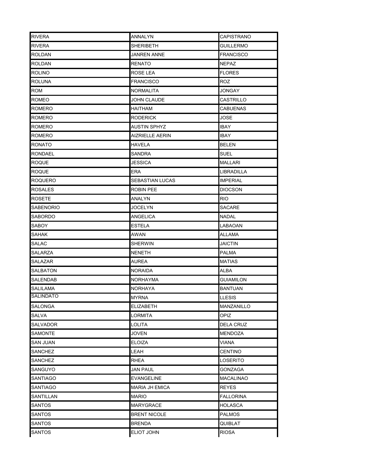| <b>RIVERA</b>    | <b>ANNALYN</b>         | <b>CAPISTRANO</b> |
|------------------|------------------------|-------------------|
| <b>RIVERA</b>    | SHERIBETH              | GUILLERMO         |
| <b>ROLDAN</b>    | JANREN ANNE            | <b>FRANCISCO</b>  |
| ROLDAN           | RENATO                 | NEPAZ             |
| <b>ROLINO</b>    | ROSE LEA               | <b>FLORES</b>     |
| <b>ROLUNA</b>    | <b>FRANCISCO</b>       | ROZ               |
| ROM              | NORMALITA              | JONGAY            |
| ROMEO            | JOHN CLAUDE            | CASTRILLO         |
| <b>ROMERO</b>    | HAITHAM                | <b>CABUENAS</b>   |
| ROMERO           | RODERICK               | JOSE              |
| ROMERO           | AUSTIN SPHYZ           | IBAY              |
| ROMERO           | <b>AIZRIELLE AERIN</b> | IBAY              |
| <b>RONATO</b>    | <b>HAVELA</b>          | <b>BELEN</b>      |
| <b>RONDAEL</b>   | SANDRA                 | SUEL              |
| ROQUE            | JESSICA                | <b>MALLARI</b>    |
| <b>ROQUE</b>     | ERA                    | LIBRADILLA        |
| <b>ROQUERO</b>   | SEBASTIAN LUCAS        | <b>IMPERIAL</b>   |
| <b>ROSALES</b>   | ROBIN PEE              | DIOCSON           |
| <b>ROSETE</b>    | ANALYN                 | RIO.              |
| <b>SABENORIO</b> | JOCELYN                | SACARE            |
| <b>SABORDO</b>   | <b>ANGELICA</b>        | <b>NADAL</b>      |
| SABOY            | ESTELA                 | LABAOAN           |
| SAHAK            | AWAN                   | ALLAMA            |
| <b>SALAC</b>     | SHERWIN                | JAICTIN           |
| SALARZA          | NENETH                 | PALMA             |
| <b>SALAZAR</b>   | AUREA                  | <b>MATIAS</b>     |
| SALBATON         | NORAIDA                | ALBA              |
| SALENDAB         | NORHAYMA               | Guiamilon         |
| SALILAMA         | NORHAYA                | BANTUAN           |
| <b>SALINDATO</b> | <b>MYRNA</b>           | <b>LLESIS</b>     |
| SALONGA          | ELIZABETH              | MANZANILLO        |
| SALVA            | LORMITA                | OPIZ              |
| <b>SALVADOR</b>  | LOLITA                 | <b>DELA CRUZ</b>  |
| <b>SAMONTE</b>   | <b>JOVEN</b>           | <b>MENDOZA</b>    |
| SAN JUAN         | <b>ELOIZA</b>          | VIANA             |
| SANCHEZ          | LEAH                   | <b>CENTINO</b>    |
| SANCHEZ          | RHEA                   | LOSERITO          |
| SANGUYO          | <b>JAN PAUL</b>        | <b>GONZAGA</b>    |
| SANTIAGO         | EVANGELINE             | MACALINAO         |
| SANTIAGO         | <b>MARIA JH EMICA</b>  | REYES             |
| SANTILLAN        | <b>MARIO</b>           | FALLORINA         |
| SANTOS           | <b>MARYGRACE</b>       | <b>HOLASCA</b>    |
| SANTOS           | <b>BRENT NICOLE</b>    | PALMOS            |
| SANTOS           | <b>BRENDA</b>          | QUIBLAT           |
| <b>SANTOS</b>    | ELIOT JOHN             | <b>RIOSA</b>      |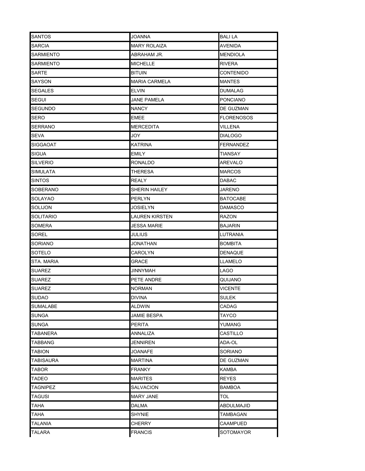| <b>SANTOS</b>   | <b>JOANNA</b>        | <b>BALILA</b>    |
|-----------------|----------------------|------------------|
| SARCIA          | <b>MARY ROLAIZA</b>  | AVENIDA          |
| SARMIENTO       | ABRAHAM JR.          | <b>MENDIOLA</b>  |
| SARMIENTO       | <b>MICHELLE</b>      | RIVERA           |
| SARTE           | <b>BITUIN</b>        | CONTENIDO        |
| SAYSON          | <b>MARIA CARMELA</b> | MANTES           |
| <b>SEGALES</b>  | <b>ELVIN</b>         | <b>DUMALAG</b>   |
| SEGUI           | <b>JANE PAMELA</b>   | PONCIANO         |
| SEGUNDO         | <b>NANCY</b>         | DE GUZMAN        |
| SERO            | EMEE                 | FLORENOSOS       |
| <b>SERRANO</b>  | <b>MERCEDITA</b>     | VILLENA          |
| <b>SEVA</b>     | JOY                  | DIALOGO          |
| <b>SIGGAOAT</b> | <b>KATRINA</b>       | <b>FERNANDEZ</b> |
| <b>SIGUA</b>    | <b>EMILY</b>         | TIANSAY          |
| SILVERIO        | <b>RONALDO</b>       | <b>AREVALO</b>   |
| <b>SIMULATA</b> | <b>THERESA</b>       | <b>MARCOS</b>    |
| <b>SINTOS</b>   | <b>REALY</b>         | DABAC            |
| <b>SOBERANO</b> | SHERIN HAILEY        | JARENO           |
| SOLAYAO         | <b>PERLYN</b>        | BATOCABE         |
| <b>SOLIJON</b>  | JOSIELYN             | DAMASCO          |
| SOLITARIO       | LAUREN KIRSTEN       | RAZON            |
| SOMERA          | JESSA MARIE          | <b>BAJARIN</b>   |
| SOREL           | JULIUS               | LUTRANIA         |
| SORIANO         | JONATHAN             | <b>BOMBITA</b>   |
| SOTELO          | CAROLYN              | DENAQUE          |
| STA. MARIA      | GRACE                | LLAMELO          |
| SUAREZ          | <b>JINNYMAH</b>      | LAGO             |
| SUAREZ          | PETE ANDRE           | QUIJANO          |
| <b>SUAREZ</b>   | <b>NORMAN</b>        | VICENTE          |
| <b>SUDAO</b>    | <b>DIVINA</b>        | <b>SULEK</b>     |
| SUMALABE        | ALDWIN               | CADAG            |
| SUNGA           | JAMIE BESPA          | TAYCO            |
| SUNGA           | <b>PERITA</b>        | YUMANG           |
| TABANERA        | ANNALIZA             | CASTILLO         |
| TABBANG         | JENNIREN             | ADA-OL           |
| TABION          | <b>JOANAFE</b>       | SORIANO          |
| TABISAURA       | MARTINA              | DE GUZMAN        |
| TABOR           | <b>FRANKY</b>        | <b>KAMBA</b>     |
| TADEO           | <b>MARITES</b>       | <b>REYES</b>     |
| <b>TAGNIPEZ</b> | SALVACION            | BAMBOA           |
| TAGUSI          | <b>MARY JANE</b>     | TOL.             |
| ТАНА            | DALMA                | ABDULMAJID       |
| ТАНА            | SHYNIE               | TAMBAGAN         |
| TALANIA         | CHERRY               | CAAMPUED         |
| <b>TALARA</b>   | <b>FRANCIS</b>       | SOTOMAYOR        |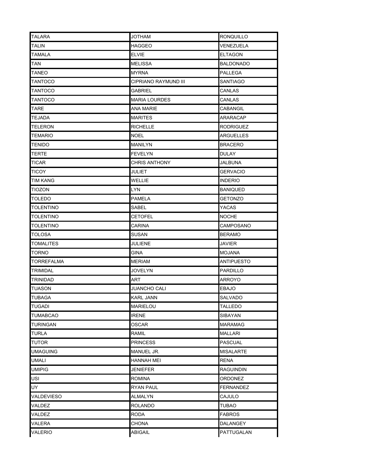| <b>TALARA</b>    | <b>JOTHAM</b>        | <b>RONQUILLO</b> |
|------------------|----------------------|------------------|
| <b>TALIN</b>     | <b>HAGGEO</b>        | VENEZUELA        |
| TAMALA           | <b>ELVIE</b>         | <b>ELTAGON</b>   |
| TAN              | MELISSA              | <b>BALDONADO</b> |
| <b>TANEO</b>     | <b>MYRNA</b>         | PALLEGA          |
| <b>TANTOCO</b>   | CIPRIANO RAYMUND III | SANTIAGO         |
| TANTOCO          | GABRIEL              | CANLAS           |
| TANTOCO          | <b>MARIA LOURDES</b> | CANLAS           |
| <b>TARE</b>      | ANA MARIE            | <b>CABANGIL</b>  |
| TEJADA           | MARITES              | ARARACAP         |
| <b>TELERON</b>   | <b>RICHELLE</b>      | <b>RODRIGUEZ</b> |
| TEMARIO          | NOEL                 | <b>ARGUELLES</b> |
| <b>TENIDO</b>    | <b>MANILYN</b>       | <b>BRACERO</b>   |
| TERTE            | <b>FEVELYN</b>       | DULAY            |
| <b>TICAR</b>     | CHRIS ANTHONY        | JALBUNA          |
| TICOY            | JULIET               | GERVACIO         |
| TIM KANG         | WELLIE               | INDERIO          |
| <b>TIOZON</b>    | LYN                  | BANIQUED         |
| <b>TOLEDO</b>    | <b>PAMELA</b>        | <b>GETONZO</b>   |
| TOLENTINO        | SABEL                | YACAS            |
| <b>TOLENTINO</b> | <b>CETOFEL</b>       | <b>NOCHE</b>     |
| <b>TOLENTINO</b> | CARINA               | CAMPOSANO        |
| TOLOSA           | SUSAN                | <b>BERAMO</b>    |
| <b>TOMALITES</b> | <b>JULIENE</b>       | JAVIER           |
| TORNO            | <b>GINA</b>          | MOJANA           |
| TORREFALMA       | <b>MERIAM</b>        | ANTIPUESTO       |
| <b>TRIMIDAL</b>  | <b>JOVELYN</b>       | <b>PARDILLO</b>  |
| TRINIDAD         | ART                  | <b>ARROYO</b>    |
| <b>TUASON</b>    | <b>JUANCHO CALI</b>  | EBAJO            |
| <b>TUBAGA</b>    | <b>KARL JANN</b>     | <b>SALVADO</b>   |
| TUGADI           | MARIELOU             | TALLEDO          |
| TUMABCAO         | <b>IRENE</b>         | SIBAYAN          |
| TURINGAN         | OSCAR                | MARAMAG          |
| TURLA            | ramil                | MALLARI          |
| TUTOR            | <b>PRINCESS</b>      | <b>PASCUAL</b>   |
| UMAGUING         | MANUEL JR.           | <b>MISALARTE</b> |
| UMALI            | HANNAH MEI           | RENA             |
| UMIPIG           | <b>JENIEFER</b>      | <b>RAGUINDIN</b> |
| USI              | ROMINA               | ORDONEZ          |
| UY               | RYAN PAUL            | FERNANDEZ        |
| VALDEVIESO       | ALMALYN              | CAJULO           |
| VALDEZ           | <b>ROLANDO</b>       | <b>TUBAO</b>     |
| VALDEZ           | RODA                 | <b>FABROS</b>    |
| VALERA           | CHONA                | DALANGEY         |
| VALERIO          | <b>ABIGAIL</b>       | PATTUGALAN       |